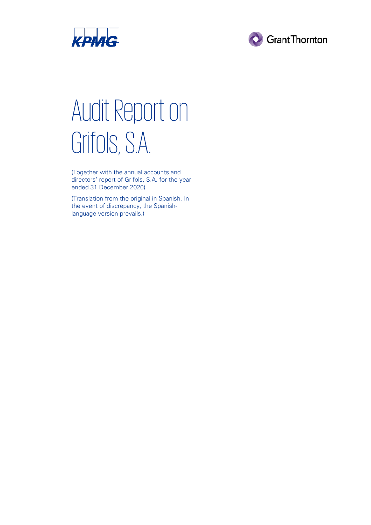



# Audit Report on Grifols, S.A.

(Together with the annual accounts and directors' report of Grifols, S.A. for the year ended 31 December 2020)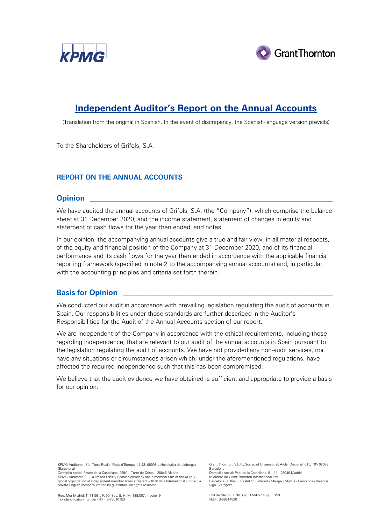



## **Independent Auditor's Report on the Annual Accounts**

(Translation from the original in Spanish. In the event of discrepancy, the Spanish-language version prevails)

To the Shareholders of Grifols, S.A.

## **REPORT ON THE ANNUAL ACCOUNTS**

## **Opinion \_\_\_\_\_\_\_\_\_\_\_\_\_\_\_\_\_\_\_\_\_\_\_\_\_\_\_\_\_\_\_\_\_\_\_\_\_\_\_\_\_\_\_\_\_\_\_\_\_\_\_\_\_\_\_\_\_\_\_\_\_\_\_\_\_**

We have audited the annual accounts of Grifols, S.A. (the "Company"), which comprise the balance sheet at 31 December 2020, and the income statement, statement of changes in equity and statement of cash flows for the year then ended, and notes.

In our opinion, the accompanying annual accounts give a true and fair view, in all material respects, of the equity and financial position of the Company at 31 December 2020, and of its financial performance and its cash flows for the year then ended in accordance with the applicable financial reporting framework (specified in note 2 to the accompanying annual accounts) and, in particular, with the accounting principles and criteria set forth therein.

## **Basis for Opinion**

We conducted our audit in accordance with prevailing legislation regulating the audit of accounts in Spain. Our responsibilities under those standards are further described in the Auditor's Responsibilities for the Audit of the Annual Accounts section of our report.

We are independent of the Company in accordance with the ethical requirements, including those regarding independence, that are relevant to our audit of the annual accounts in Spain pursuant to the legislation regulating the audit of accounts. We have not provided any non-audit services, nor have any situations or circumstances arisen which, under the aforementioned regulations, have affected the required independence such that this has been compromised.

We believe that the audit evidence we have obtained is sufficient and appropriate to provide a basis for our opinion.

KPMG Auditores, S.L. Torre Realia, Plaça d'Europa, 41-43, 08908 L'Hospitalet de Llobregat (Barcelona) Domicilio social: Paseo de la Castellana, 259C – Torre de Cristal - 28046 Madrid

Grant Thornton, S.L.P., Sociedad Unipersonal, Avda. Diagonal, 615, 10ª- 08028 Barcelona Domicilio social: Pso. de la Castellana, 81, 11 - 28046 Madrid

Barcelona · Bilbao · Castellón · Madrid · Málaga · Murcia · Pamplona · Valencia ·

KPMG Auditores S.L., a limited liability Spanish company and a member firm of the KPMG global organization of independent member firms affiliated with KPMG International Limited, a private English company limited by guarantee. All rights reserved.

RM de Madrid T. 36.652, H M-657.409, F. 159

Vigo Zaragoza

Reg. Mer Madrid, T. 11.961, F. 90, Sec. 8, H. M -188.007, Inscrip. 9. Tax identification number (NIF): B-78510153

N.I.F. B-08914830

Miembro de Grant Thornton International Ltd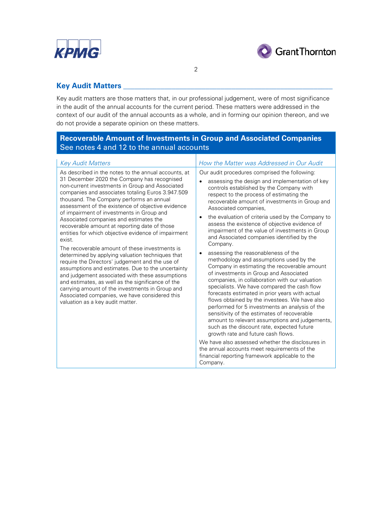



## **Key Audit Matters**

Key audit matters are those matters that, in our professional judgement, were of most significance in the audit of the annual accounts for the current period. These matters were addressed in the context of our audit of the annual accounts as a whole, and in forming our opinion thereon, and we do not provide a separate opinion on these matters.

2

## **Recoverable Amount of Investments in Group and Associated Companies** See notes 4 and 12 to the annual accounts

| <b>Key Audit Matters</b>                                                                                                                                                                                                                                                                                                                                                                                                                                                                                                                                                                                                                                                                                                                                                                                                                                                                                                                                                            | How the Matter was Addressed in Our Audit                                                                                                                                                                                                                                                                                                                                                                                                                                                                                                                                                                                                                                                                                                                                                                                                                                                                                                                                                                                                                                                                                                                                                                                                                                                    |
|-------------------------------------------------------------------------------------------------------------------------------------------------------------------------------------------------------------------------------------------------------------------------------------------------------------------------------------------------------------------------------------------------------------------------------------------------------------------------------------------------------------------------------------------------------------------------------------------------------------------------------------------------------------------------------------------------------------------------------------------------------------------------------------------------------------------------------------------------------------------------------------------------------------------------------------------------------------------------------------|----------------------------------------------------------------------------------------------------------------------------------------------------------------------------------------------------------------------------------------------------------------------------------------------------------------------------------------------------------------------------------------------------------------------------------------------------------------------------------------------------------------------------------------------------------------------------------------------------------------------------------------------------------------------------------------------------------------------------------------------------------------------------------------------------------------------------------------------------------------------------------------------------------------------------------------------------------------------------------------------------------------------------------------------------------------------------------------------------------------------------------------------------------------------------------------------------------------------------------------------------------------------------------------------|
| As described in the notes to the annual accounts, at<br>31 December 2020 the Company has recognised<br>non-current investments in Group and Associated<br>companies and associates totaling Euros 3.947.509<br>thousand. The Company performs an annual<br>assessment of the existence of objective evidence<br>of impairment of investments in Group and<br>Associated companies and estimates the<br>recoverable amount at reporting date of those<br>entities for which objective evidence of impairment<br>exist.<br>The recoverable amount of these investments is<br>determined by applying valuation techniques that<br>require the Directors' judgement and the use of<br>assumptions and estimates. Due to the uncertainty<br>and judgement associated with these assumptions<br>and estimates, as well as the significance of the<br>carrying amount of the investments in Group and<br>Associated companies, we have considered this<br>valuation as a key audit matter. | Our audit procedures comprised the following:<br>assessing the design and implementation of key<br>$\bullet$<br>controls established by the Company with<br>respect to the process of estimating the<br>recoverable amount of investments in Group and<br>Associated companies,<br>the evaluation of criteria used by the Company to<br>assess the existence of objective evidence of<br>impairment of the value of investments in Group<br>and Associated companies identified by the<br>Company.<br>assessing the reasonableness of the<br>methodology and assumptions used by the<br>Company in estimating the recoverable amount<br>of investments in Group and Associated<br>companies, in collaboration with our valuation<br>specialists. We have compared the cash flow<br>forecasts estimated in prior years with actual<br>flows obtained by the investees. We have also<br>performed for 5 investments an analysis of the<br>sensitivity of the estimates of recoverable<br>amount to relevant assumptions and judgements,<br>such as the discount rate, expected future<br>growth rate and future cash flows.<br>We have also assessed whether the disclosures in<br>the annual accounts meet requirements of the<br>financial reporting framework applicable to the<br>Company. |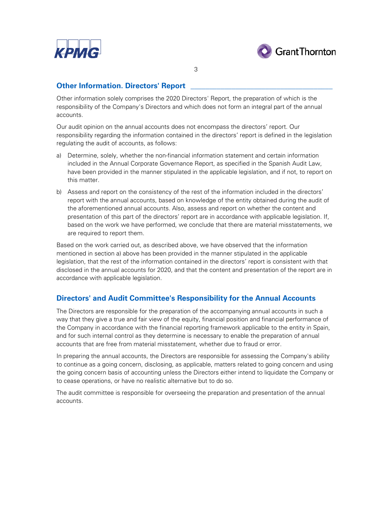



3

## **Other Information. Directors' Report**

Other information solely comprises the 2020 Directors' Report, the preparation of which is the responsibility of the Company's Directors and which does not form an integral part of the annual accounts.

Our audit opinion on the annual accounts does not encompass the directors' report. Our responsibility regarding the information contained in the directors' report is defined in the legislation regulating the audit of accounts, as follows:

- a) Determine, solely, whether the non-financial information statement and certain information included in the Annual Corporate Governance Report, as specified in the Spanish Audit Law, have been provided in the manner stipulated in the applicable legislation, and if not, to report on this matter.
- b) Assess and report on the consistency of the rest of the information included in the directors' report with the annual accounts, based on knowledge of the entity obtained during the audit of the aforementioned annual accounts. Also, assess and report on whether the content and presentation of this part of the directors' report are in accordance with applicable legislation. If, based on the work we have performed, we conclude that there are material misstatements, we are required to report them.

Based on the work carried out, as described above, we have observed that the information mentioned in section a) above has been provided in the manner stipulated in the applicable legislation, that the rest of the information contained in the directors' report is consistent with that disclosed in the annual accounts for 2020, and that the content and presentation of the report are in accordance with applicable legislation.

## **Directors' and Audit Committee's Responsibility for the Annual Accounts**

The Directors are responsible for the preparation of the accompanying annual accounts in such a way that they give a true and fair view of the equity, financial position and financial performance of the Company in accordance with the financial reporting framework applicable to the entity in Spain, and for such internal control as they determine is necessary to enable the preparation of annual accounts that are free from material misstatement, whether due to fraud or error.

In preparing the annual accounts, the Directors are responsible for assessing the Company's ability to continue as a going concern, disclosing, as applicable, matters related to going concern and using the going concern basis of accounting unless the Directors either intend to liquidate the Company or to cease operations, or have no realistic alternative but to do so.

The audit committee is responsible for overseeing the preparation and presentation of the annual accounts.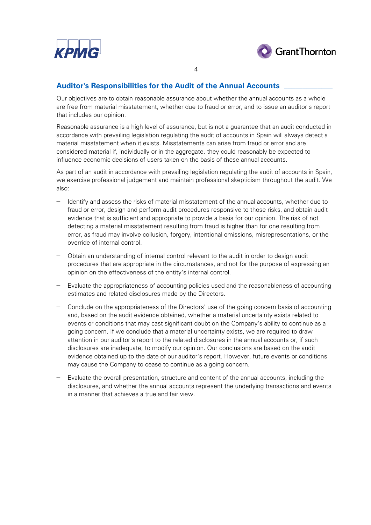



## **Auditor's Responsibilities for the Audit of the Annual Accounts \_\_\_\_\_\_\_\_\_\_\_\_\_**

Our objectives are to obtain reasonable assurance about whether the annual accounts as a whole are free from material misstatement, whether due to fraud or error, and to issue an auditor's report that includes our opinion.

4

Reasonable assurance is a high level of assurance, but is not a guarantee that an audit conducted in accordance with prevailing legislation regulating the audit of accounts in Spain will always detect a material misstatement when it exists. Misstatements can arise from fraud or error and are considered material if, individually or in the aggregate, they could reasonably be expected to influence economic decisions of users taken on the basis of these annual accounts.

As part of an audit in accordance with prevailing legislation regulating the audit of accounts in Spain, we exercise professional judgement and maintain professional skepticism throughout the audit. We also:

- Identify and assess the risks of material misstatement of the annual accounts, whether due to fraud or error, design and perform audit procedures responsive to those risks, and obtain audit evidence that is sufficient and appropriate to provide a basis for our opinion. The risk of not detecting a material misstatement resulting from fraud is higher than for one resulting from error, as fraud may involve collusion, forgery, intentional omissions, misrepresentations, or the override of internal control.
- Obtain an understanding of internal control relevant to the audit in order to design audit procedures that are appropriate in the circumstances, and not for the purpose of expressing an opinion on the effectiveness of the entity's internal control.
- Evaluate the appropriateness of accounting policies used and the reasonableness of accounting estimates and related disclosures made by the Directors.
- Conclude on the appropriateness of the Directors' use of the going concern basis of accounting and, based on the audit evidence obtained, whether a material uncertainty exists related to events or conditions that may cast significant doubt on the Company's ability to continue as a going concern. If we conclude that a material uncertainty exists, we are required to draw attention in our auditor's report to the related disclosures in the annual accounts or, if such disclosures are inadequate, to modify our opinion. Our conclusions are based on the audit evidence obtained up to the date of our auditor's report. However, future events or conditions may cause the Company to cease to continue as a going concern.
- Evaluate the overall presentation, structure and content of the annual accounts, including the disclosures, and whether the annual accounts represent the underlying transactions and events in a manner that achieves a true and fair view.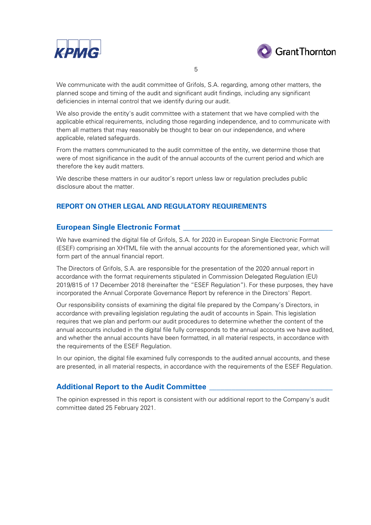



5

We communicate with the audit committee of Grifols, S.A. regarding, among other matters, the planned scope and timing of the audit and significant audit findings, including any significant deficiencies in internal control that we identify during our audit.

We also provide the entity's audit committee with a statement that we have complied with the applicable ethical requirements, including those regarding independence, and to communicate with them all matters that may reasonably be thought to bear on our independence, and where applicable, related safeguards.

From the matters communicated to the audit committee of the entity, we determine those that were of most significance in the audit of the annual accounts of the current period and which are therefore the key audit matters.

We describe these matters in our auditor's report unless law or regulation precludes public disclosure about the matter.

## **REPORT ON OTHER LEGAL AND REGULATORY REQUIREMENTS**

## **European Single Electronic Format \_\_\_\_\_\_\_\_\_\_\_\_\_\_\_\_\_\_\_\_\_\_\_\_\_\_\_\_\_\_\_\_\_\_\_\_\_\_\_\_**

We have examined the digital file of Grifols, S.A. for 2020 in European Single Electronic Format (ESEF) comprising an XHTML file with the annual accounts for the aforementioned year, which will form part of the annual financial report.

The Directors of Grifols, S.A. are responsible for the presentation of the 2020 annual report in accordance with the format requirements stipulated in Commission Delegated Regulation (EU) 2019/815 of 17 December 2018 (hereinafter the "ESEF Regulation"). For these purposes, they have incorporated the Annual Corporate Governance Report by reference in the Directors' Report.

Our responsibility consists of examining the digital file prepared by the Company's Directors, in accordance with prevailing legislation regulating the audit of accounts in Spain. This legislation requires that we plan and perform our audit procedures to determine whether the content of the annual accounts included in the digital file fully corresponds to the annual accounts we have audited, and whether the annual accounts have been formatted, in all material respects, in accordance with the requirements of the ESEF Regulation.

In our opinion, the digital file examined fully corresponds to the audited annual accounts, and these are presented, in all material respects, in accordance with the requirements of the ESEF Regulation.

## **Additional Report to the Audit Committee \_\_\_\_\_\_\_\_\_\_\_\_\_\_\_\_\_\_\_\_\_\_\_\_\_\_\_\_\_\_\_\_\_**

The opinion expressed in this report is consistent with our additional report to the Company's audit committee dated 25 February 2021.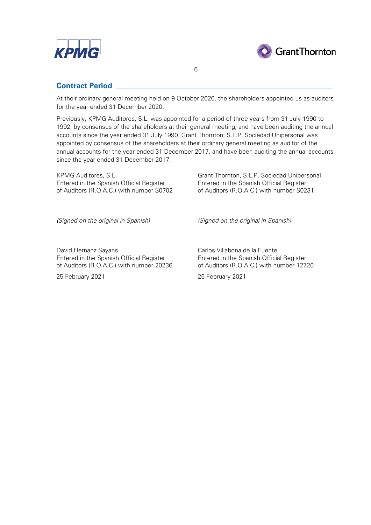



## **Contract Period \_\_\_\_\_\_\_\_\_\_\_\_\_\_\_\_\_\_\_\_\_\_\_\_\_\_\_\_\_\_\_\_\_\_\_\_\_\_\_\_\_\_\_\_\_\_\_\_\_\_\_\_\_\_\_\_\_\_**

At their ordinary general meeting held on 9 October 2020, the shareholders appointed us as auditors for the year ended 31 December 2020.

6

Previously, KPMG Auditores, S.L. was appointed for a period of three years from 31 July 1990 to 1992, by consensus of the shareholders at their general meeting, and have been auditing the annual accounts since the year ended 31 July 1990. Grant Thornton, S.L.P. Sociedad Unipersonal was appointed by consensus of the shareholders at their ordinary general meeting as auditor of the annual accounts for the year ended 31 December 2017, and have been auditing the annual accounts since the year ended 31 December 2017.

KPMG Auditores, S.L.<br>
Entered in the Spanish Official Register<br>
Entered in the Spanish Official Register<br>
Entered in the Spanish Official Register Entered in the Spanish Official Register of Auditors (R.O.A.C.) with number S0702 of Auditors (R.O.A.C.) with number S0231

*(Signed on the original in Spanish) (Signed on the original in Spanish)*

David Hernanz Sayans<br>
Entered in the Spanish Official Register<br>
Entered in the Spanish Official Register<br>
Entered in the Spanish Official Register of Auditors (R.O.A.C.) with number 20236

Entered in the Spanish Official Register<br>
of Auditors (R.O.A.C.) with number 20236<br>
of Auditors (R.O.A.C.) with number 12720

25 February 2021 25 February 2021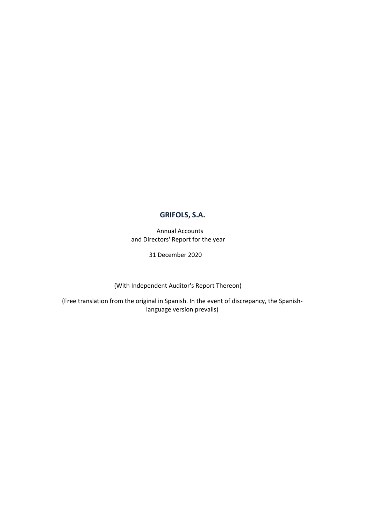Annual Accounts and Directors' Report for the year

31 December 2020

(With Independent Auditor's Report Thereon)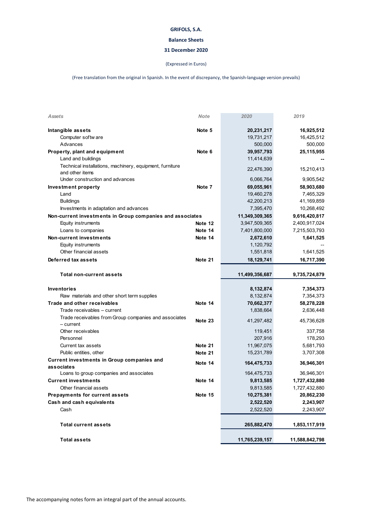#### **Balance Sheets**

#### **31 December 2020**

#### (Expressed in Euros)

| Assets                                                                      | <b>Note</b> | 2020           | 2019           |
|-----------------------------------------------------------------------------|-------------|----------------|----------------|
| Intangible assets                                                           | Note 5      | 20,231,217     | 16,925,512     |
| Computer softw are                                                          |             | 19,731,217     | 16,425,512     |
| Advances                                                                    |             | 500,000        | 500,000        |
| Property, plant and equipment                                               | Note 6      | 39,957,793     | 25,115,955     |
| Land and buildings                                                          |             | 11,414,639     |                |
| Technical installations, machinery, equipment, furniture<br>and other items |             | 22,476,390     | 15,210,413     |
| Under construction and advances                                             |             | 6,066,764      | 9,905,542      |
| <b>Investment property</b>                                                  | Note 7      | 69,055,961     | 58,903,680     |
| Land                                                                        |             | 19,460,278     | 7,465,329      |
| <b>Buildings</b>                                                            |             | 42,200,213     | 41,169,859     |
| Investments in adaptation and advances                                      |             | 7,395,470      | 10,268,492     |
| Non-current investments in Group companies and associates                   |             | 11,349,309,365 | 9,616,420,817  |
| Equity instruments                                                          | Note 12     | 3,947,509,365  | 2,400,917,024  |
| Loans to companies                                                          | Note 14     | 7,401,800,000  | 7,215,503,793  |
| Non-current investments                                                     | Note 14     | 2,672,610      | 1,641,525      |
| Equity instruments                                                          |             | 1,120,792      |                |
| Other financial assets                                                      |             | 1,551,818      | 1,641,525      |
| Deferred tax assets                                                         | Note 21     | 18,129,741     | 16,717,390     |
| Total non-current assets                                                    |             | 11,499,356,687 | 9,735,724,879  |
| <b>Inventories</b>                                                          |             | 8,132,874      | 7,354,373      |
| Raw materials and other short term supplies                                 |             | 8,132,874      | 7,354,373      |
| Trade and other receivables                                                 | Note 14     | 70,662,377     | 58,278,228     |
| Trade receivables - current                                                 |             | 1,838,664      | 2,636,448      |
| Trade receivables from Group companies and associates<br>– current          | Note 23     | 41,297,482     | 45,736,628     |
| Other receivables                                                           |             | 119,451        | 337,758        |
| Personnel                                                                   |             | 207,916        | 178,293        |
| Current tax assets                                                          | Note 21     | 11,967,075     | 5,681,793      |
| Public entities, other                                                      | Note 21     | 15,231,789     | 3,707,308      |
| Current investments in Group companies and<br>associates                    | Note 14     | 164,475,733    | 36,946,301     |
| Loans to group companies and associates                                     |             | 164,475,733    | 36,946,301     |
| <b>Current investments</b>                                                  | Note 14     | 9,813,585      | 1,727,432,880  |
| Other financial assets                                                      |             | 9,813,585      | 1,727,432,880  |
| Prepayments for current assets                                              | Note 15     | 10,275,381     | 20,862,230     |
| Cash and cash equivalents                                                   |             | 2,522,520      | 2,243,907      |
| Cash                                                                        |             | 2,522,520      | 2,243,907      |
| <b>Total current assets</b>                                                 |             | 265,882,470    | 1,853,117,919  |
| <b>Total assets</b>                                                         |             | 11,765,239,157 | 11,588,842,798 |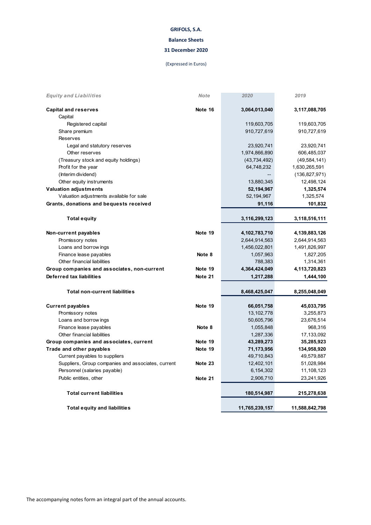#### **Balance Sheets**

#### **31 December 2020**

#### (Expressed in Euros)

| <b>Equity and Liabilities</b>                      | <b>Note</b> | 2020           | 2019            |
|----------------------------------------------------|-------------|----------------|-----------------|
| <b>Capital and reserves</b>                        | Note 16     | 3,064,013,040  | 3,117,088,705   |
| Capital                                            |             |                |                 |
| Registered capital                                 |             | 119,603,705    | 119,603,705     |
| Share premium                                      |             | 910,727,619    | 910,727,619     |
| Reserves                                           |             |                |                 |
| Legal and statutory reserves                       |             | 23,920,741     | 23,920,741      |
| Other reserves                                     |             | 1,974,866,890  | 606,485,037     |
| (Treasury stock and equity holdings)               |             | (43, 734, 492) | (49, 584, 141)  |
| Profit for the year                                |             | 64,748,232     | 1,630,265,591   |
| (Interim dividend)                                 |             |                | (136, 827, 971) |
| Other equity instruments                           |             | 13,880,345     | 12,498,124      |
| <b>Valuation adjustments</b>                       |             | 52,194,967     | 1,325,574       |
| Valuation adjustments available for sale           |             | 52,194,967     | 1,325,574       |
| Grants, donations and bequests received            |             | 91,116         | 101,832         |
|                                                    |             |                |                 |
| <b>Total equity</b>                                |             | 3,116,299,123  | 3,118,516,111   |
| Non-current payables                               | Note 19     | 4,102,783,710  | 4,139,883,126   |
| Promissory notes                                   |             | 2,644,914,563  | 2,644,914,563   |
| Loans and borrow ings                              |             | 1,456,022,801  | 1,491,826,997   |
| Finance lease payables                             | Note 8      | 1,057,963      | 1,827,205       |
| Other financial liabilities                        |             | 788,383        | 1,314,361       |
| Group companies and associates, non-current        | Note 19     | 4,364,424,049  | 4,113,720,823   |
| Deferred tax liabilities                           | Note 21     | 1,217,288      | 1,444,100       |
| <b>Total non-current liabilities</b>               |             | 8,468,425,047  | 8,255,048,049   |
| <b>Current payables</b>                            | Note 19     | 66,051,758     | 45,033,795      |
| Promissory notes                                   |             | 13,102,778     | 3,255,873       |
| Loans and borrow ings                              |             | 50,605,796     | 23,676,514      |
| Finance lease payables                             | Note 8      | 1,055,848      | 968,316         |
| Other financial liabilities                        |             | 1,287,336      | 17,133,092      |
| Group companies and associates, current            | Note 19     | 43,289,273     | 35,285,923      |
| Trade and other payables                           | Note 19     | 71,173,956     | 134,958,920     |
| Current payables to suppliers                      |             | 49,710,843     | 49,579,887      |
| Suppliers, Group companies and associates, current | Note 23     | 12,402,101     | 51,028,984      |
| Personnel (salaries payable)                       |             | 6,154,302      | 11,108,123      |
| Public entities, other                             | Note 21     | 2,906,710      | 23,241,926      |
| <b>Total current liabilities</b>                   |             | 180,514,987    | 215,278,638     |
| <b>Total equity and liabilities</b>                |             | 11,765,239,157 | 11,588,842,798  |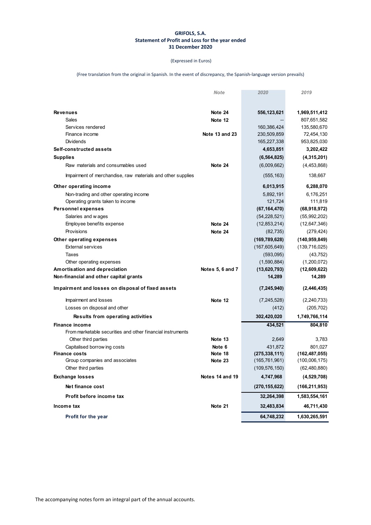#### **GRIFOLS, S.A. Statement of Profit and Loss for the year ended 31 December 2020**

#### (Expressed in Euros)

|                                                             | Note             | 2020            | 2019            |
|-------------------------------------------------------------|------------------|-----------------|-----------------|
|                                                             |                  |                 |                 |
| <b>Revenues</b>                                             | Note 24          | 556,123,621     | 1,969,511,412   |
| Sales                                                       | Note 12          |                 | 807,651,582     |
| Services rendered                                           |                  | 160,386,424     | 135,580,670     |
| Finance income                                              | Note 13 and 23   | 230,509,859     | 72,454,130      |
| <b>Dividends</b>                                            |                  | 165,227,338     | 953,825,030     |
| Self-constructed assets                                     |                  | 4,653,851       | 3,202,422       |
| <b>Supplies</b>                                             |                  | (6, 564, 825)   | (4,315,201)     |
| Raw materials and consumables used                          | Note 24          | (6,009,662)     | (4,453,868)     |
| Impairment of merchandise, raw materials and other supplies |                  | (555, 163)      | 138,667         |
| Other operating income                                      |                  | 6,013,915       | 6,288,070       |
| Non-trading and other operating income                      |                  | 5,892,191       | 6,176,251       |
| Operating grants taken to income                            |                  | 121,724         | 111,819         |
| <b>Personnel expenses</b>                                   |                  | (67, 164, 470)  | (68,918,972)    |
| Salaries and wages                                          |                  | (54, 228, 521)  | (55,992,202)    |
| Employee benefits expense                                   | Note 24          | (12, 853, 214)  | (12,647,346)    |
| Provisions                                                  | Note 24          | (82, 735)       | (279, 424)      |
| Other operating expenses                                    |                  | (169, 789, 628) | (140, 959, 849) |
| <b>External services</b>                                    |                  | (167, 605, 649) | (139,716,025)   |
| Taxes                                                       |                  | (593,095)       | (43, 752)       |
| Other operating expenses                                    |                  | (1,590,884)     | (1,200,072)     |
| Amortisation and depreciation                               | Notes 5, 6 and 7 | (13,620,793)    | (12,609,622)    |
| Non-financial and other capital grants                      |                  | 14,289          | 14,289          |
| Impairment and losses on disposal of fixed assets           |                  | (7, 245, 940)   | (2,446,435)     |
| Impairment and losses                                       | Note 12          | (7, 245, 528)   | (2,240,733)     |
| Losses on disposal and other                                |                  | (412)           | (205, 702)      |
| Results from operating activities                           |                  | 302,420,020     | 1,749,766,114   |
| Finance income                                              |                  | 434,521         | 804,810         |
| From marketable securities and other financial instruments  |                  |                 |                 |
| Other third parties                                         | Note 13          | 2,649           | 3,783           |
| Capitalised borrow ing costs                                | Note 6           | 431,872         | 801,027         |
| <b>Finance costs</b><br>Group companies and associates      | Note 18          | (275, 338, 111) | (162, 487, 055) |
|                                                             | Note 23          | (165, 761, 961) | (100,006,175)   |
| Other third parties                                         |                  | (109, 576, 150) | (62, 480, 880)  |
| <b>Exchange losses</b>                                      | Notes 14 and 19  | 4,747,968       | (4,529,708)     |
| Net finance cost                                            |                  | (270, 155, 622) | (166, 211, 953) |
| Profit before income tax                                    |                  | 32,264,398      | 1,583,554,161   |
| Income tax                                                  | Note 21          | 32,483,834      | 46,711,430      |
| Profit for the year                                         |                  | 64,748,232      | 1,630,265,591   |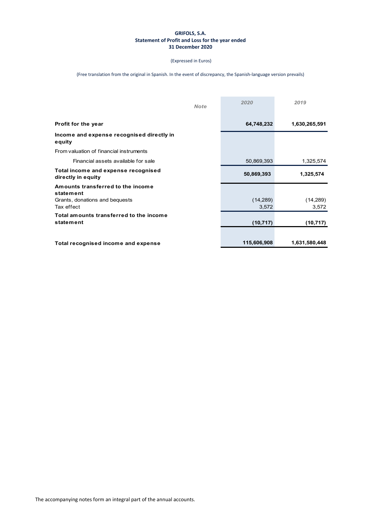#### **GRIFOLS, S.A. Statement of Profit and Loss for the year ended 31 December 2020**

(Expressed in Euros)

| <b>Note</b>                                               | 2020               | 2019               |
|-----------------------------------------------------------|--------------------|--------------------|
| Profit for the year                                       | 64,748,232         | 1,630,265,591      |
| Income and expense recognised directly in<br>equity       |                    |                    |
| From valuation of financial instruments                   |                    |                    |
| Financial assets available for sale                       | 50,869,393         | 1,325,574          |
| Total income and expense recognised<br>directly in equity | 50,869,393         | 1,325,574          |
| Amounts transferred to the income<br>statement            |                    |                    |
| Grants, donations and bequests<br>Tax effect              | (14, 289)<br>3,572 | (14, 289)<br>3,572 |
| Total amounts transferred to the income<br>statement      | (10, 717)          | (10, 717)          |
| Total recognised income and expense                       | 115,606,908        | 1,631,580,448      |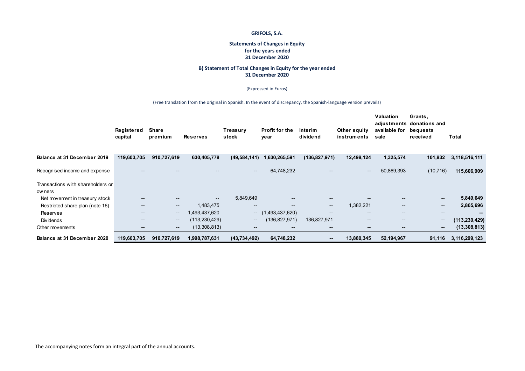#### **Statements of Changes in Equity for the years ended 31 December 2020**

#### **B) Statement of Total Changes in Equity for the year ended 31 December 2020**

#### (Expressed in Euros)

|                                              | Registered<br>capital | Share<br>premium         | <b>Reserves</b>          | Treasury<br>stock        | <b>Profit for the</b><br>year | Interim<br>dividend      | Other equity<br>instruments | Valuation<br>adjustments<br>available for<br>sale                                                 | Grants,<br>donations and<br>bequests<br>received | Total           |
|----------------------------------------------|-----------------------|--------------------------|--------------------------|--------------------------|-------------------------------|--------------------------|-----------------------------|---------------------------------------------------------------------------------------------------|--------------------------------------------------|-----------------|
| Balance at 31 December 2019                  | 119,603,705           | 910,727,619              | 630,405,778              | (49, 584, 141)           | 1,630,265,591                 | (136, 827, 971)          | 12,498,124                  | 1,325,574                                                                                         | 101,832                                          | 3,118,516,111   |
| Recognised income and expense                |                       | $- -$                    | $- -$                    | $-$                      | 64,748,232                    | $- -$                    | $\sim$                      | 50,869,393                                                                                        | (10, 716)                                        | 115,606,909     |
| Transactions with shareholders or<br>ow ners |                       |                          |                          |                          |                               |                          |                             |                                                                                                   |                                                  |                 |
| Net movement in treasury stock               | $- -$                 | $\overline{\phantom{m}}$ | $\overline{\phantom{a}}$ | 5,849,649                | $- -$                         | $\overline{\phantom{a}}$ | $\qquad \qquad -$           | $\overline{\phantom{a}}$                                                                          | $\overline{\phantom{a}}$                         | 5,849,649       |
| Restricted share plan (note 16)              | $- -$                 | $\overline{\phantom{m}}$ | 1,483,475                | $\overline{\phantom{a}}$ | $- -$                         | $\overline{\phantom{a}}$ | 1,382,221                   | $\overline{\phantom{a}}$                                                                          | $\overline{\phantom{a}}$                         | 2,865,696       |
| Reserves                                     | $- -$                 | $\overline{\phantom{a}}$ | 1,493,437,620            |                          | $- (1,493,437,620)$           | $\overline{\phantom{m}}$ | $\qquad \qquad -$           | $\overline{\phantom{a}}$                                                                          | $\overline{\phantom{m}}$                         |                 |
| <b>Dividends</b>                             | $- -$                 | $\overline{\phantom{m}}$ | (113, 230, 429)          | $\overline{\phantom{a}}$ | (136, 827, 971)               | 136,827,971              | $\overline{\phantom{a}}$    | $\hspace{0.05cm} \hspace{0.02cm} \hspace{0.02cm} \hspace{0.02cm} \hspace{0.02cm} \hspace{0.02cm}$ | $\overline{\phantom{a}}$                         | (113, 230, 429) |
| Other movements                              | $- -$                 | $\overline{\phantom{m}}$ | (13,308,813)             | $\overline{\phantom{m}}$ | $- -$                         | $- -$                    | $\overline{\phantom{a}}$    | $\overline{\phantom{a}}$                                                                          | $\overline{\phantom{a}}$                         | (13, 308, 813)  |
| Balance at 31 December 2020                  | 119,603,705           | 910,727,619              | 1,998,787,631            | (43, 734, 492)           | 64,748,232                    | $\sim$                   | 13,880,345                  | 52,194,967                                                                                        | 91,116                                           | 3,116,299,123   |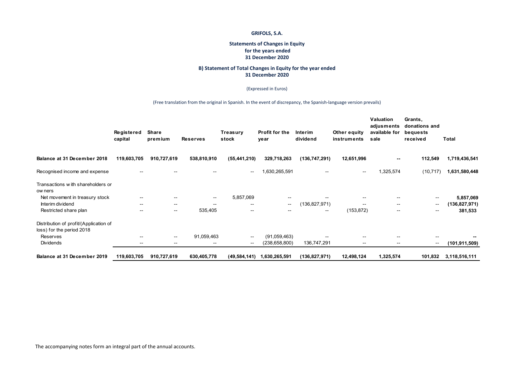#### **Statements of Changes in Equity for the years ended 31 December 2020**

#### **B) Statement of Total Changes in Equity for the year ended 31 December 2020**

#### (Expressed in Euros)

|                                                                     | Registered<br>capital    | <b>Share</b><br>premium  | <b>Reserves</b>          | Treasury<br>stock        | Profit for the<br>year   | Interim<br>dividend | Other equity<br>instruments | Valuation<br>adjusments<br>available for<br>sale | Grants,<br>donations and<br>bequests<br>received | Total           |
|---------------------------------------------------------------------|--------------------------|--------------------------|--------------------------|--------------------------|--------------------------|---------------------|-----------------------------|--------------------------------------------------|--------------------------------------------------|-----------------|
| Balance at 31 December 2018                                         | 119,603,705              | 910,727,619              | 538,810,910              | (55, 441, 210)           | 329,718,263              | (136, 747, 291)     | 12,651,996                  | $\overline{\phantom{m}}$                         | 112,549                                          | 1,719,436,541   |
| Recognised income and expense                                       | $- -$                    |                          |                          | $\overline{\phantom{a}}$ | 1,630,265,591            |                     | $\overline{\phantom{m}}$    | 1,325,574                                        | (10, 717)                                        | 1,631,580,448   |
| Transactions with shareholders or<br>ow ners                        |                          |                          |                          |                          |                          |                     |                             |                                                  |                                                  |                 |
| Net movement in treasury stock                                      |                          |                          | $\overline{\phantom{a}}$ | 5,857,069                |                          |                     |                             |                                                  | --                                               | 5,857,069       |
| Interim dividend                                                    | $- -$                    | $\overline{\phantom{a}}$ | $- -$                    | $\overline{\phantom{a}}$ | $\overline{\phantom{a}}$ | (136,827,971)       | $\overline{\phantom{a}}$    | $\qquad \qquad -$                                | --                                               | (136, 827, 971) |
| Restricted share plan                                               | $- -$                    | $\overline{\phantom{a}}$ | 535,405                  | $\overline{\phantom{m}}$ | --                       | $- -$               | (153, 872)                  | $\overline{\phantom{m}}$                         | --                                               | 381,533         |
| Distribution of profit/(Application of<br>loss) for the period 2018 |                          |                          |                          |                          |                          |                     |                             |                                                  |                                                  |                 |
| Reserves                                                            | $\overline{\phantom{m}}$ | $\overline{\phantom{a}}$ | 91,059,463               | $\overline{\phantom{m}}$ | (91,059,463)             |                     | $\overline{\phantom{m}}$    | $\overline{\phantom{m}}$                         | --                                               |                 |
| Dividends                                                           | --                       | $\overline{\phantom{m}}$ | $\overline{\phantom{m}}$ | $\overline{\phantom{a}}$ | (238, 658, 800)          | 136,747,291         | $\overline{\phantom{a}}$    | $\overline{\phantom{m}}$                         | $\overline{\phantom{a}}$                         | (101, 911, 509) |
| Balance at 31 December 2019                                         | 119,603,705              | 910,727,619              | 630,405,778              | (49, 584, 141)           | 1,630,265,591            | (136, 827, 971)     | 12,498,124                  | 1,325,574                                        | 101,832                                          | 3,118,516,111   |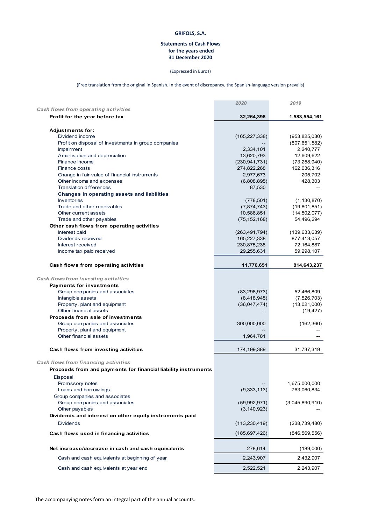#### **Statements of Cash Flows for the years ended 31 December 2020**

#### (Expressed in Euros)

(Free translation from the original in Spanish. In the event of discrepancy, the Spanish‐language version prevails)

|                                                                | 2020            | 2019                         |
|----------------------------------------------------------------|-----------------|------------------------------|
| Cash flows from operating activities                           |                 |                              |
| Profit for the year before tax                                 | 32,264,398      | 1,583,554,161                |
| <b>Adjustments for:</b>                                        |                 |                              |
| Dividend income                                                | (165, 227, 338) | (953, 825, 030)              |
| Profit on disposal of investments in group companies           |                 | (807, 651, 582)              |
| Impairment                                                     | 2,334,101       | 2,240,777                    |
| Amortisation and depreciation                                  | 13,620,793      | 12,609,622                   |
| Finance income                                                 | (230, 941, 731) | (73, 258, 940)               |
| Finance costs                                                  | 274,822,268     | 162,036,316                  |
| Change in fair value of financial instruments                  | 2,977,673       | 205,702                      |
| Other income and expenses                                      | (6,808,895)     | 428,303                      |
| <b>Translation differences</b>                                 | 87,530          |                              |
| Changes in operating assets and liabilities                    |                 |                              |
| <b>Inventories</b><br>Trade and other receivables              | (778, 501)      | (1, 130, 870)                |
| Other current assets                                           | (7,874,743)     | (19,801,851)                 |
| Trade and other payables                                       | 10,586,851      | (14, 502, 077)<br>54,496,294 |
| Other cash flows from operating activities                     | (75, 152, 168)  |                              |
| Interest paid                                                  | (263, 491, 794) | (139, 633, 639)              |
| Dividends received                                             | 165,227,338     | 877,413,057                  |
| Interest received                                              | 230,875,238     | 72,164,887                   |
| Income tax paid received                                       | 29,255,631      | 59,298,107                   |
|                                                                |                 |                              |
| Cash flows from operating activities                           | 11,776,651      | 814,643,237                  |
| Cash flows from investing activities                           |                 |                              |
| <b>Payments for investments</b>                                |                 |                              |
| Group companies and associates                                 | (83, 298, 973)  | 52,466,809                   |
| Intangible assets                                              | (8,418,945)     | (7,526,703)                  |
| Property, plant and equipment                                  | (36,047,474)    | (13,021,000)                 |
| Other financial assets                                         |                 | (19, 427)                    |
| Proceeds from sale of investments                              |                 |                              |
| Group companies and associates                                 | 300,000,000     | (162, 360)                   |
| Property, plant and equipment                                  |                 |                              |
| Other financial assets                                         | 1,964,781       |                              |
| Cash flows from investing activities                           | 174, 199, 389   | 31,737,319                   |
|                                                                |                 |                              |
| Cash flows from financing activities                           |                 |                              |
| Proceeds from and payments for financial liability instruments |                 |                              |
| Disposal                                                       |                 |                              |
| Promissory notes                                               |                 | 1,675,000,000                |
| Loans and borrow ings<br>Group companies and associates        | (9, 333, 113)   | 763,060,834                  |
|                                                                | (59,992,971)    |                              |
| Group companies and associates<br>Other payables               | (3, 140, 923)   | (3,045,890,910)              |
| Dividends and interest on other equity instruments paid        |                 |                              |
| <b>Dividends</b>                                               | (113, 230, 419) | (238, 739, 480)              |
|                                                                |                 |                              |
| Cash flows used in financing activities                        | (185, 697, 426) | (846, 569, 556)              |
| Net increase/decrease in cash and cash equivalents             | 278,614         | (189,000)                    |
| Cash and cash equivalents at beginning of year                 | 2,243,907       | 2,432,907                    |
| Cash and cash equivalents at year end                          | 2,522,521       | 2,243,907                    |
|                                                                |                 |                              |

The accompanying notes form an integral part of the annual accounts.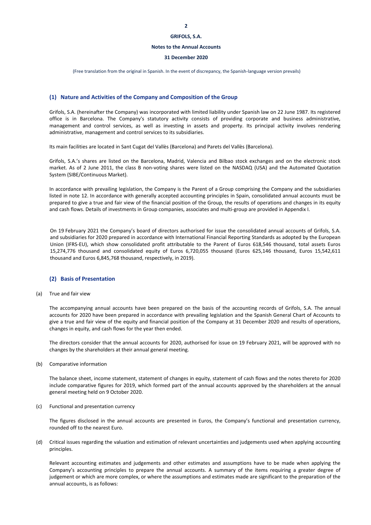#### **Notes to the Annual Accounts**

#### **31 December 2020**

(Free translation from the original in Spanish. In the event of discrepancy, the Spanish‐language version prevails)

#### **(1) Nature and Activities of the Company and Composition of the Group**

Grifols, S.A. (hereinafter the Company) was incorporated with limited liability under Spanish law on 22 June 1987. Its registered office is in Barcelona. The Company's statutory activity consists of providing corporate and business administrative, management and control services, as well as investing in assets and property. Its principal activity involves rendering administrative, management and control services to its subsidiaries.

Its main facilities are located in Sant Cugat del Vallès (Barcelona) and Parets del Vallès (Barcelona).

Grifols, S.A.'s shares are listed on the Barcelona, Madrid, Valencia and Bilbao stock exchanges and on the electronic stock market. As of 2 June 2011, the class B non-voting shares were listed on the NASDAQ (USA) and the Automated Quotation System (SIBE/Continuous Market).

In accordance with prevailing legislation, the Company is the Parent of a Group comprising the Company and the subsidiaries listed in note 12. In accordance with generally accepted accounting principles in Spain, consolidated annual accounts must be prepared to give a true and fair view of the financial position of the Group, the results of operations and changes in its equity and cash flows. Details of investments in Group companies, associates and multi‐group are provided in Appendix I.

On 19 February 2021 the Company's board of directors authorised for issue the consolidated annual accounts of Grifols, S.A. and subsidiaries for 2020 prepared in accordance with International Financial Reporting Standards as adopted by the European Union (IFRS‐EU), which show consolidated profit attributable to the Parent of Euros 618,546 thousand, total assets Euros 15,274,776 thousand and consolidated equity of Euros 6,720,055 thousand (Euros 625,146 thousand, Euros 15,542,611 thousand and Euros 6,845,768 thousand, respectively, in 2019).

#### **(2) Basis of Presentation**

(a) True and fair view

The accompanying annual accounts have been prepared on the basis of the accounting records of Grifols, S.A. The annual accounts for 2020 have been prepared in accordance with prevailing legislation and the Spanish General Chart of Accounts to give a true and fair view of the equity and financial position of the Company at 31 December 2020 and results of operations, changes in equity, and cash flows for the year then ended.

The directors consider that the annual accounts for 2020, authorised for issue on 19 February 2021, will be approved with no changes by the shareholders at their annual general meeting.

(b) Comparative information

The balance sheet, income statement, statement of changes in equity, statement of cash flows and the notes thereto for 2020 include comparative figures for 2019, which formed part of the annual accounts approved by the shareholders at the annual general meeting held on 9 October 2020.

(c) Functional and presentation currency

The figures disclosed in the annual accounts are presented in Euros, the Company's functional and presentation currency, rounded off to the nearest Euro.

(d) Critical issues regarding the valuation and estimation of relevant uncertainties and judgements used when applying accounting principles.

Relevant accounting estimates and judgements and other estimates and assumptions have to be made when applying the Company's accounting principles to prepare the annual accounts. A summary of the items requiring a greater degree of judgement or which are more complex, or where the assumptions and estimates made are significant to the preparation of the annual accounts, is as follows: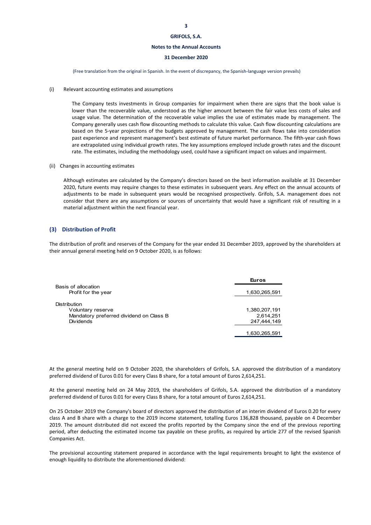#### **Notes to the Annual Accounts**

#### **31 December 2020**

(Free translation from the original in Spanish. In the event of discrepancy, the Spanish‐language version prevails)

(i) Relevant accounting estimates and assumptions

The Company tests investments in Group companies for impairment when there are signs that the book value is lower than the recoverable value, understood as the higher amount between the fair value less costs of sales and usage value. The determination of the recoverable value implies the use of estimates made by management. The Company generally uses cash flow discounting methods to calculate this value. Cash flow discounting calculations are based on the 5‐year projections of the budgets approved by management. The cash flows take into consideration past experience and represent management's best estimate of future market performance. The fifth-year cash flows are extrapolated using individual growth rates. The key assumptions employed include growth rates and the discount rate. The estimates, including the methodology used, could have a significant impact on values and impairment.

(ii) Changes in accounting estimates

Although estimates are calculated by the Company's directors based on the best information available at 31 December 2020, future events may require changes to these estimates in subsequent years. Any effect on the annual accounts of adjustments to be made in subsequent years would be recognised prospectively. Grifols, S.A. management does not consider that there are any assumptions or sources of uncertainty that would have a significant risk of resulting in a material adjustment within the next financial year.

#### **(3) Distribution of Profit**

The distribution of profit and reserves of the Company for the year ended 31 December 2019, approved by the shareholders at their annual general meeting held on 9 October 2020, is as follows:

|                                                                                                         | <b>Euros</b>                              |
|---------------------------------------------------------------------------------------------------------|-------------------------------------------|
| Basis of allocation<br>Profit for the year                                                              | 1,630,265,591                             |
| <b>Distribution</b><br>Voluntary reserve<br>Mandatory preferred dividend on Class B<br><b>Dividends</b> | 1,380,207,191<br>2.614.251<br>247,444,149 |
|                                                                                                         | 1,630,265,591                             |

At the general meeting held on 9 October 2020, the shareholders of Grifols, S.A. approved the distribution of a mandatory preferred dividend of Euros 0.01 for every Class B share, for a total amount of Euros 2,614,251.

At the general meeting held on 24 May 2019, the shareholders of Grifols, S.A. approved the distribution of a mandatory preferred dividend of Euros 0.01 for every Class B share, for a total amount of Euros 2,614,251.

On 25 October 2019 the Company's board of directors approved the distribution of an interim dividend of Euros 0.20 for every class A and B share with a charge to the 2019 income statement, totalling Euros 136,828 thousand, payable on 4 December 2019. The amount distributed did not exceed the profits reported by the Company since the end of the previous reporting period, after deducting the estimated income tax payable on these profits, as required by article 277 of the revised Spanish Companies Act.

The provisional accounting statement prepared in accordance with the legal requirements brought to light the existence of enough liquidity to distribute the aforementioned dividend: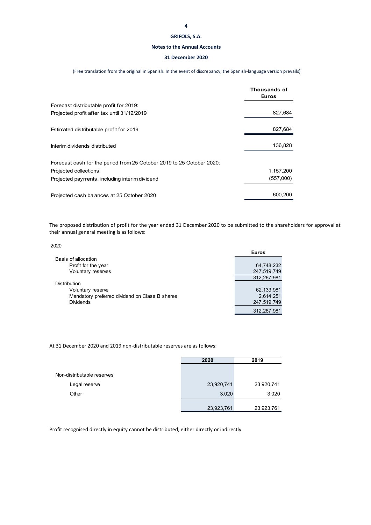#### **Notes to the Annual Accounts**

#### **31 December 2020**

(Free translation from the original in Spanish. In the event of discrepancy, the Spanish‐language version prevails)

|                                                                       | Thousands of<br>Euros |
|-----------------------------------------------------------------------|-----------------------|
| Forecast distributable profit for 2019:                               |                       |
| Projected profit after tax until 31/12/2019                           | 827,684               |
| Estimated distributable profit for 2019                               | 827,684               |
| Interim dividends distributed                                         | 136,828               |
| Forecast cash for the period from 25 October 2019 to 25 October 2020: |                       |
| Projected collections                                                 | 1,157,200             |
| Projected payments, including interim dividend                        | (557,000)             |
| Projected cash balances at 25 October 2020                            | 600,200               |

The proposed distribution of profit for the year ended 31 December 2020 to be submitted to the shareholders for approval at their annual general meeting is as follows:

2020

|                                                | <b>Euros</b> |
|------------------------------------------------|--------------|
| Basis of allocation                            |              |
| Profit for the year                            | 64,748,232   |
| Voluntary reserves                             | 247,519,749  |
|                                                | 312,267,981  |
| <b>Distribution</b>                            |              |
| Voluntary reserve                              | 62, 133, 981 |
| Mandatory preferred dividend on Class B shares | 2,614,251    |
| <b>Dividends</b>                               | 247,519,749  |
|                                                | 312.267.981  |

At 31 December 2020 and 2019 non‐distributable reserves are as follows:

|                            | 2020       | 2019       |
|----------------------------|------------|------------|
|                            |            |            |
| Non-distributable reserves |            |            |
| Legal reserve              | 23,920,741 | 23,920,741 |
| Other                      | 3,020      | 3,020      |
|                            | 23,923,761 | 23,923,761 |

Profit recognised directly in equity cannot be distributed, either directly or indirectly.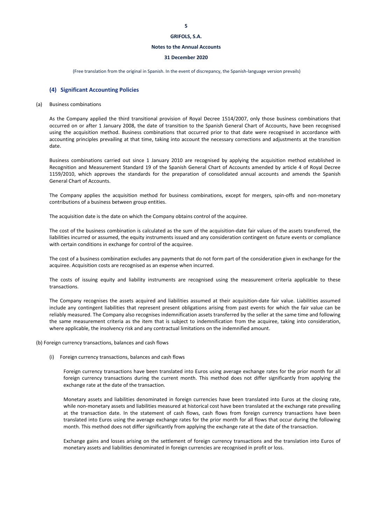#### **Notes to the Annual Accounts**

#### **31 December 2020**

(Free translation from the original in Spanish. In the event of discrepancy, the Spanish‐language version prevails)

#### **(4) Significant Accounting Policies**

#### (a) Business combinations

As the Company applied the third transitional provision of Royal Decree 1514/2007, only those business combinations that occurred on or after 1 January 2008, the date of transition to the Spanish General Chart of Accounts, have been recognised using the acquisition method. Business combinations that occurred prior to that date were recognised in accordance with accounting principles prevailing at that time, taking into account the necessary corrections and adjustments at the transition date.

Business combinations carried out since 1 January 2010 are recognised by applying the acquisition method established in Recognition and Measurement Standard 19 of the Spanish General Chart of Accounts amended by article 4 of Royal Decree 1159/2010, which approves the standards for the preparation of consolidated annual accounts and amends the Spanish General Chart of Accounts.

The Company applies the acquisition method for business combinations, except for mergers, spin-offs and non-monetary contributions of a business between group entities.

The acquisition date is the date on which the Company obtains control of the acquiree.

The cost of the business combination is calculated as the sum of the acquisition-date fair values of the assets transferred, the liabilities incurred or assumed, the equity instruments issued and any consideration contingent on future events or compliance with certain conditions in exchange for control of the acquiree.

The cost of a business combination excludes any payments that do not form part of the consideration given in exchange for the acquiree. Acquisition costs are recognised as an expense when incurred.

The costs of issuing equity and liability instruments are recognised using the measurement criteria applicable to these transactions.

The Company recognises the assets acquired and liabilities assumed at their acquisition-date fair value. Liabilities assumed include any contingent liabilities that represent present obligations arising from past events for which the fair value can be reliably measured. The Company also recognises indemnification assets transferred by the seller at the same time and following the same measurement criteria as the item that is subject to indemnification from the acquiree, taking into consideration, where applicable, the insolvency risk and any contractual limitations on the indemnified amount.

(b) Foreign currency transactions, balances and cash flows

(i) Foreign currency transactions, balances and cash flows

Foreign currency transactions have been translated into Euros using average exchange rates for the prior month for all foreign currency transactions during the current month. This method does not differ significantly from applying the exchange rate at the date of the transaction.

Monetary assets and liabilities denominated in foreign currencies have been translated into Euros at the closing rate, while non-monetary assets and liabilities measured at historical cost have been translated at the exchange rate prevailing at the transaction date. In the statement of cash flows, cash flows from foreign currency transactions have been translated into Euros using the average exchange rates for the prior month for all flows that occur during the following month. This method does not differ significantly from applying the exchange rate at the date of the transaction.

Exchange gains and losses arising on the settlement of foreign currency transactions and the translation into Euros of monetary assets and liabilities denominated in foreign currencies are recognised in profit or loss.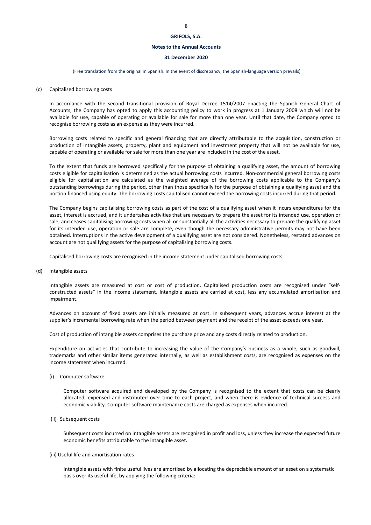#### **Notes to the Annual Accounts**

#### **31 December 2020**

(Free translation from the original in Spanish. In the event of discrepancy, the Spanish‐language version prevails)

#### (c) Capitalised borrowing costs

In accordance with the second transitional provision of Royal Decree 1514/2007 enacting the Spanish General Chart of Accounts, the Company has opted to apply this accounting policy to work in progress at 1 January 2008 which will not be available for use, capable of operating or available for sale for more than one year. Until that date, the Company opted to recognise borrowing costs as an expense as they were incurred.

Borrowing costs related to specific and general financing that are directly attributable to the acquisition, construction or production of intangible assets, property, plant and equipment and investment property that will not be available for use, capable of operating or available for sale for more than one year are included in the cost of the asset.

To the extent that funds are borrowed specifically for the purpose of obtaining a qualifying asset, the amount of borrowing costs eligible for capitalisation is determined as the actual borrowing costs incurred. Non‐commercial general borrowing costs eligible for capitalisation are calculated as the weighted average of the borrowing costs applicable to the Company's outstanding borrowings during the period, other than those specifically for the purpose of obtaining a qualifying asset and the portion financed using equity. The borrowing costs capitalised cannot exceed the borrowing costs incurred during that period.

The Company begins capitalising borrowing costs as part of the cost of a qualifying asset when it incurs expenditures for the asset, interest is accrued, and it undertakes activities that are necessary to prepare the asset for its intended use, operation or sale, and ceases capitalising borrowing costs when all or substantially all the activities necessary to prepare the qualifying asset for its intended use, operation or sale are complete, even though the necessary administrative permits may not have been obtained. Interruptions in the active development of a qualifying asset are not considered. Nonetheless, restated advances on account are not qualifying assets for the purpose of capitalising borrowing costs.

Capitalised borrowing costs are recognised in the income statement under capitalised borrowing costs.

(d) Intangible assets

Intangible assets are measured at cost or cost of production. Capitalised production costs are recognised under "self‐ constructed assets" in the income statement. Intangible assets are carried at cost, less any accumulated amortisation and impairment.

Advances on account of fixed assets are initially measured at cost. In subsequent years, advances accrue interest at the supplier's incremental borrowing rate when the period between payment and the receipt of the asset exceeds one year.

Cost of production of intangible assets comprises the purchase price and any costs directly related to production.

Expenditure on activities that contribute to increasing the value of the Company's business as a whole, such as goodwill, trademarks and other similar items generated internally, as well as establishment costs, are recognised as expenses on the income statement when incurred.

(i) Computer software

Computer software acquired and developed by the Company is recognised to the extent that costs can be clearly allocated, expensed and distributed over time to each project, and when there is evidence of technical success and economic viability. Computer software maintenance costs are charged as expenses when incurred.

(ii) Subsequent costs

Subsequent costs incurred on intangible assets are recognised in profit and loss, unless they increase the expected future economic benefits attributable to the intangible asset.

#### (iii) Useful life and amortisation rates

Intangible assets with finite useful lives are amortised by allocating the depreciable amount of an asset on a systematic basis over its useful life, by applying the following criteria: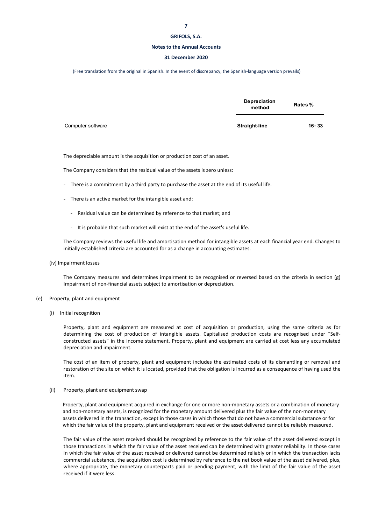#### **Notes to the Annual Accounts**

#### **31 December 2020**

(Free translation from the original in Spanish. In the event of discrepancy, the Spanish‐language version prevails)

|                   | Depreciation<br>method | Rates %   |
|-------------------|------------------------|-----------|
| Computer software | Straight-line          | $16 - 33$ |

The depreciable amount is the acquisition or production cost of an asset.

The Company considers that the residual value of the assets is zero unless:

- There is a commitment by a third party to purchase the asset at the end of its useful life.
- There is an active market for the intangible asset and:
	- Residual value can be determined by reference to that market; and
	- It is probable that such market will exist at the end of the asset's useful life.

The Company reviews the useful life and amortisation method for intangible assets at each financial year end. Changes to initially established criteria are accounted for as a change in accounting estimates.

(iv) Impairment losses

The Company measures and determines impairment to be recognised or reversed based on the criteria in section (g) Impairment of non‐financial assets subject to amortisation or depreciation.

#### (e) Property, plant and equipment

(i) Initial recognition

Property, plant and equipment are measured at cost of acquisition or production, using the same criteria as for determining the cost of production of intangible assets. Capitalised production costs are recognised under "Selfconstructed assets" in the income statement. Property, plant and equipment are carried at cost less any accumulated depreciation and impairment.

The cost of an item of property, plant and equipment includes the estimated costs of its dismantling or removal and restoration of the site on which it is located, provided that the obligation is incurred as a consequence of having used the item.

(ii) Property, plant and equipment swap

Property, plant and equipment acquired in exchange for one or more non-monetary assets or a combination of monetary and non-monetary assets, is recognized for the monetary amount delivered plus the fair value of the non-monetary assets delivered in the transaction, except in those cases in which those that do not have a commercial substance or for which the fair value of the property, plant and equipment received or the asset delivered cannot be reliably measured.

The fair value of the asset received should be recognized by reference to the fair value of the asset delivered except in those transactions in which the fair value of the asset received can be determined with greater reliability. In those cases in which the fair value of the asset received or delivered cannot be determined reliably or in which the transaction lacks commercial substance, the acquisition cost is determined by reference to the net book value of the asset delivered, plus, where appropriate, the monetary counterparts paid or pending payment, with the limit of the fair value of the asset received if it were less.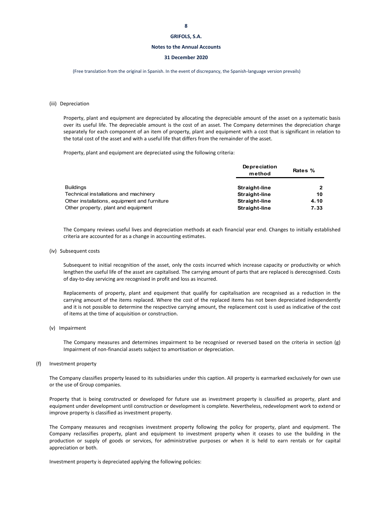#### **Notes to the Annual Accounts**

#### **31 December 2020**

(Free translation from the original in Spanish. In the event of discrepancy, the Spanish‐language version prevails)

#### (iii) Depreciation

Property, plant and equipment are depreciated by allocating the depreciable amount of the asset on a systematic basis over its useful life. The depreciable amount is the cost of an asset. The Company determines the depreciation charge separately for each component of an item of property, plant and equipment with a cost that is significant in relation to the total cost of the asset and with a useful life that differs from the remainder of the asset.

Property, plant and equipment are depreciated using the following criteria:

|                                              | Depreciation<br>method | Rates %  |  |
|----------------------------------------------|------------------------|----------|--|
| <b>Buildings</b>                             | Straight-line          | 2        |  |
| Technical installations and machinery        | <b>Straight-line</b>   | 10       |  |
| Other installations, equipment and furniture | <b>Straight-line</b>   | 4.10     |  |
| Other property, plant and equipment          | <b>Straight-line</b>   | $7 - 33$ |  |

The Company reviews useful lives and depreciation methods at each financial year end. Changes to initially established criteria are accounted for as a change in accounting estimates.

#### (iv) Subsequent costs

Subsequent to initial recognition of the asset, only the costs incurred which increase capacity or productivity or which lengthen the useful life of the asset are capitalised. The carrying amount of parts that are replaced is derecognised. Costs of day‐to‐day servicing are recognised in profit and loss as incurred.

Replacements of property, plant and equipment that qualify for capitalisation are recognised as a reduction in the carrying amount of the items replaced. Where the cost of the replaced items has not been depreciated independently and it is not possible to determine the respective carrying amount, the replacement cost is used as indicative of the cost of items at the time of acquisition or construction.

(v) Impairment

The Company measures and determines impairment to be recognised or reversed based on the criteria in section (g) Impairment of non-financial assets subject to amortisation or depreciation.

#### (f) Investment property

The Company classifies property leased to its subsidiaries under this caption. All property is earmarked exclusively for own use or the use of Group companies.

Property that is being constructed or developed for future use as investment property is classified as property, plant and equipment under development until construction or development is complete. Nevertheless, redevelopment work to extend or improve property is classified as investment property.

The Company measures and recognises investment property following the policy for property, plant and equipment. The Company reclassifies property, plant and equipment to investment property when it ceases to use the building in the production or supply of goods or services, for administrative purposes or when it is held to earn rentals or for capital appreciation or both.

Investment property is depreciated applying the following policies: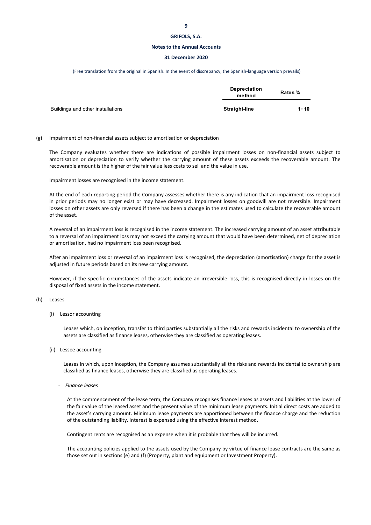#### **Notes to the Annual Accounts**

#### **31 December 2020**

(Free translation from the original in Spanish. In the event of discrepancy, the Spanish‐language version prevails)

|                                   | Depreciation<br>method | Rates %  |  |
|-----------------------------------|------------------------|----------|--|
| Buildings and other installations | <b>Straight-line</b>   | $1 - 10$ |  |

(g) Impairment of non‐financial assets subject to amortisation or depreciation

The Company evaluates whether there are indications of possible impairment losses on non‐financial assets subject to amortisation or depreciation to verify whether the carrying amount of these assets exceeds the recoverable amount. The recoverable amount is the higher of the fair value less costs to sell and the value in use.

Impairment losses are recognised in the income statement.

At the end of each reporting period the Company assesses whether there is any indication that an impairment loss recognised in prior periods may no longer exist or may have decreased. Impairment losses on goodwill are not reversible. Impairment losses on other assets are only reversed if there has been a change in the estimates used to calculate the recoverable amount of the asset.

A reversal of an impairment loss is recognised in the income statement. The increased carrying amount of an asset attributable to a reversal of an impairment loss may not exceed the carrying amount that would have been determined, net of depreciation or amortisation, had no impairment loss been recognised.

After an impairment loss or reversal of an impairment loss is recognised, the depreciation (amortisation) charge for the asset is adjusted in future periods based on its new carrying amount.

However, if the specific circumstances of the assets indicate an irreversible loss, this is recognised directly in losses on the disposal of fixed assets in the income statement.

#### (h) Leases

(i) Lessor accounting

Leases which, on inception, transfer to third parties substantially all the risks and rewards incidental to ownership of the assets are classified as finance leases, otherwise they are classified as operating leases.

(ii) Lessee accounting

Leases in which, upon inception, the Company assumes substantially all the risks and rewards incidental to ownership are classified as finance leases, otherwise they are classified as operating leases.

- *Finance leases*

At the commencement of the lease term, the Company recognises finance leases as assets and liabilities at the lower of the fair value of the leased asset and the present value of the minimum lease payments. Initial direct costs are added to the asset's carrying amount. Minimum lease payments are apportioned between the finance charge and the reduction of the outstanding liability. Interest is expensed using the effective interest method.

Contingent rents are recognised as an expense when it is probable that they will be incurred.

The accounting policies applied to the assets used by the Company by virtue of finance lease contracts are the same as those set out in sections (e) and (f) (Property, plant and equipment or Investment Property).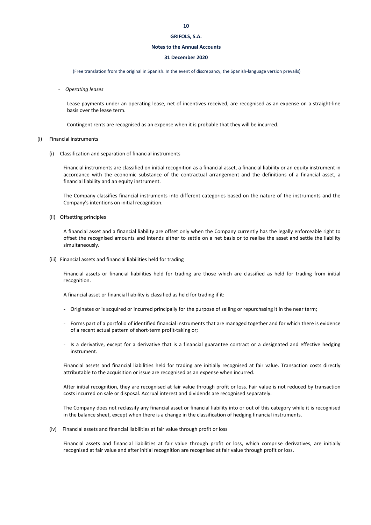#### **Notes to the Annual Accounts**

#### **31 December 2020**

(Free translation from the original in Spanish. In the event of discrepancy, the Spanish‐language version prevails)

- *Operating leases*

Lease payments under an operating lease, net of incentives received, are recognised as an expense on a straight‐line basis over the lease term.

Contingent rents are recognised as an expense when it is probable that they will be incurred.

#### (i) Financial instruments

(i) Classification and separation of financial instruments

Financial instruments are classified on initial recognition as a financial asset, a financial liability or an equity instrument in accordance with the economic substance of the contractual arrangement and the definitions of a financial asset, a financial liability and an equity instrument.

The Company classifies financial instruments into different categories based on the nature of the instruments and the Company's intentions on initial recognition.

(ii) Offsetting principles

A financial asset and a financial liability are offset only when the Company currently has the legally enforceable right to offset the recognised amounts and intends either to settle on a net basis or to realise the asset and settle the liability simultaneously.

(iii) Financial assets and financial liabilities held for trading

Financial assets or financial liabilities held for trading are those which are classified as held for trading from initial recognition.

A financial asset or financial liability is classified as held for trading if it:

- Originates or is acquired or incurred principally for the purpose of selling or repurchasing it in the near term;
- Forms part of a portfolio of identified financial instruments that are managed together and for which there is evidence of a recent actual pattern of short-term profit-taking or;
- Is a derivative, except for a derivative that is a financial guarantee contract or a designated and effective hedging instrument.

Financial assets and financial liabilities held for trading are initially recognised at fair value. Transaction costs directly attributable to the acquisition or issue are recognised as an expense when incurred.

After initial recognition, they are recognised at fair value through profit or loss. Fair value is not reduced by transaction costs incurred on sale or disposal. Accrual interest and dividends are recognised separately.

The Company does not reclassify any financial asset or financial liability into or out of this category while it is recognised in the balance sheet, except when there is a change in the classification of hedging financial instruments.

(iv) Financial assets and financial liabilities at fair value through profit or loss

Financial assets and financial liabilities at fair value through profit or loss, which comprise derivatives, are initially recognised at fair value and after initial recognition are recognised at fair value through profit or loss.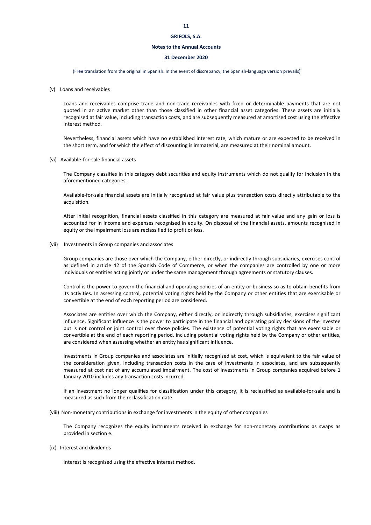#### **Notes to the Annual Accounts**

#### **31 December 2020**

(Free translation from the original in Spanish. In the event of discrepancy, the Spanish‐language version prevails)

(v) Loans and receivables

Loans and receivables comprise trade and non-trade receivables with fixed or determinable payments that are not quoted in an active market other than those classified in other financial asset categories. These assets are initially recognised at fair value, including transaction costs, and are subsequently measured at amortised cost using the effective interest method.

Nevertheless, financial assets which have no established interest rate, which mature or are expected to be received in the short term, and for which the effect of discounting is immaterial, are measured at their nominal amount.

(vi) Available‐for‐sale financial assets

The Company classifies in this category debt securities and equity instruments which do not qualify for inclusion in the aforementioned categories.

Available‐for‐sale financial assets are initially recognised at fair value plus transaction costs directly attributable to the acquisition.

After initial recognition, financial assets classified in this category are measured at fair value and any gain or loss is accounted for in income and expenses recognised in equity. On disposal of the financial assets, amounts recognised in equity or the impairment loss are reclassified to profit or loss.

(vii) Investments in Group companies and associates

Group companies are those over which the Company, either directly, or indirectly through subsidiaries, exercises control as defined in article 42 of the Spanish Code of Commerce, or when the companies are controlled by one or more individuals or entities acting jointly or under the same management through agreements or statutory clauses.

Control is the power to govern the financial and operating policies of an entity or business so as to obtain benefits from its activities. In assessing control, potential voting rights held by the Company or other entities that are exercisable or convertible at the end of each reporting period are considered.

Associates are entities over which the Company, either directly, or indirectly through subsidiaries, exercises significant influence. Significant influence is the power to participate in the financial and operating policy decisions of the investee but is not control or joint control over those policies. The existence of potential voting rights that are exercisable or convertible at the end of each reporting period, including potential voting rights held by the Company or other entities, are considered when assessing whether an entity has significant influence.

Investments in Group companies and associates are initially recognised at cost, which is equivalent to the fair value of the consideration given, including transaction costs in the case of investments in associates, and are subsequently measured at cost net of any accumulated impairment. The cost of investments in Group companies acquired before 1 January 2010 includes any transaction costs incurred.

If an investment no longer qualifies for classification under this category, it is reclassified as available-for-sale and is measured as such from the reclassification date.

(viii) Non‐monetary contributions in exchange for investments in the equity of other companies

The Company recognizes the equity instruments received in exchange for non-monetary contributions as swaps as provided in section e.

(ix) Interest and dividends

Interest is recognised using the effective interest method.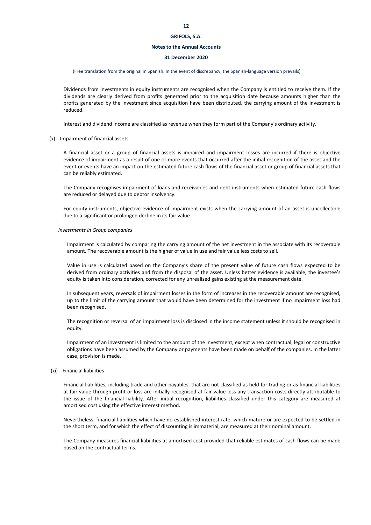#### **Notes to the Annual Accounts**

#### **31 December 2020**

#### (Free translation from the original in Spanish. In the event of discrepancy, the Spanish‐language version prevails)

Dividends from investments in equity instruments are recognised when the Company is entitled to receive them. If the dividends are clearly derived from profits generated prior to the acquisition date because amounts higher than the profits generated by the investment since acquisition have been distributed, the carrying amount of the investment is reduced.

Interest and dividend income are classified as revenue when they form part of the Company's ordinary activity.

#### (x) Impairment of financial assets

A financial asset or a group of financial assets is impaired and impairment losses are incurred if there is objective evidence of impairment as a result of one or more events that occurred after the initial recognition of the asset and the event or events have an impact on the estimated future cash flows of the financial asset or group of financial assets that can be reliably estimated.

The Company recognises impairment of loans and receivables and debt instruments when estimated future cash flows are reduced or delayed due to debtor insolvency.

For equity instruments, objective evidence of impairment exists when the carrying amount of an asset is uncollectible due to a significant or prolonged decline in its fair value.

#### *Investments in Group companies*

Impairment is calculated by comparing the carrying amount of the net investment in the associate with its recoverable amount. The recoverable amount is the higher of value in use and fair value less costs to sell.

Value in use is calculated based on the Company's share of the present value of future cash flows expected to be derived from ordinary activities and from the disposal of the asset. Unless better evidence is available, the investee's equity is taken into consideration, corrected for any unrealised gains existing at the measurement date.

In subsequent years, reversals of impairment losses in the form of increases in the recoverable amount are recognised, up to the limit of the carrying amount that would have been determined for the investment if no impairment loss had been recognised.

The recognition or reversal of an impairment loss is disclosed in the income statement unless it should be recognised in equity.

Impairment of an investment is limited to the amount of the investment, except when contractual, legal or constructive obligations have been assumed by the Company or payments have been made on behalf of the companies. In the latter case, provision is made.

#### (xi) Financial liabilities

Financial liabilities, including trade and other payables, that are not classified as held for trading or as financial liabilities at fair value through profit or loss are initially recognised at fair value less any transaction costs directly attributable to the issue of the financial liability. After initial recognition, liabilities classified under this category are measured at amortised cost using the effective interest method.

Nevertheless, financial liabilities which have no established interest rate, which mature or are expected to be settled in the short term, and for which the effect of discounting is immaterial, are measured at their nominal amount.

The Company measures financial liabilities at amortised cost provided that reliable estimates of cash flows can be made based on the contractual terms.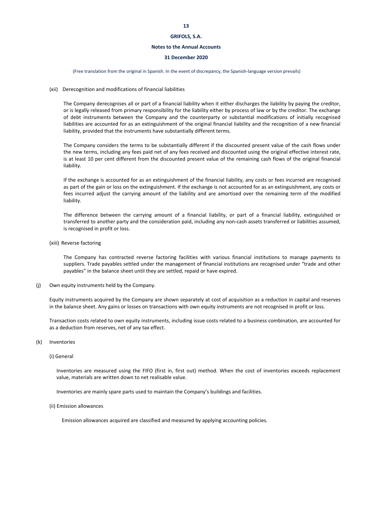#### **Notes to the Annual Accounts**

#### **31 December 2020**

(Free translation from the original in Spanish. In the event of discrepancy, the Spanish‐language version prevails)

#### (xii) Derecognition and modifications of financial liabilities

The Company derecognises all or part of a financial liability when it either discharges the liability by paying the creditor, or is legally released from primary responsibility for the liability either by process of law or by the creditor. The exchange of debt instruments between the Company and the counterparty or substantial modifications of initially recognised liabilities are accounted for as an extinguishment of the original financial liability and the recognition of a new financial liability, provided that the instruments have substantially different terms.

The Company considers the terms to be substantially different if the discounted present value of the cash flows under the new terms, including any fees paid net of any fees received and discounted using the original effective interest rate, is at least 10 per cent different from the discounted present value of the remaining cash flows of the original financial liability.

If the exchange is accounted for as an extinguishment of the financial liability, any costs or fees incurred are recognised as part of the gain or loss on the extinguishment. If the exchange is not accounted for as an extinguishment, any costs or fees incurred adjust the carrying amount of the liability and are amortised over the remaining term of the modified liability.

The difference between the carrying amount of a financial liability, or part of a financial liability, extinguished or transferred to another party and the consideration paid, including any non‐cash assets transferred or liabilities assumed, is recognised in profit or loss.

(xiii) Reverse factoring

The Company has contracted reverse factoring facilities with various financial institutions to manage payments to suppliers. Trade payables settled under the management of financial institutions are recognised under "trade and other payables" in the balance sheet until they are settled, repaid or have expired.

(j) Own equity instruments held by the Company.

Equity instruments acquired by the Company are shown separately at cost of acquisition as a reduction in capital and reserves in the balance sheet. Any gains or losses on transactions with own equity instruments are not recognised in profit or loss.

Transaction costs related to own equity instruments, including issue costs related to a business combination, are accounted for as a deduction from reserves, net of any tax effect.

#### (k) Inventories

#### (i) General

Inventories are measured using the FIFO (first in, first out) method. When the cost of inventories exceeds replacement value, materials are written down to net realisable value.

Inventories are mainly spare parts used to maintain the Company's buildings and facilities.

#### (ii) Emission allowances

Emission allowances acquired are classified and measured by applying accounting policies.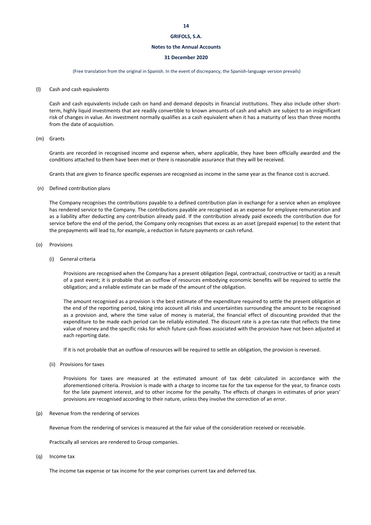#### **Notes to the Annual Accounts**

#### **31 December 2020**

(Free translation from the original in Spanish. In the event of discrepancy, the Spanish‐language version prevails)

(l) Cash and cash equivalents

Cash and cash equivalents include cash on hand and demand deposits in financial institutions. They also include other short‐ term, highly liquid investments that are readily convertible to known amounts of cash and which are subject to an insignificant risk of changes in value. An investment normally qualifies as a cash equivalent when it has a maturity of less than three months from the date of acquisition.

#### (m) Grants

Grants are recorded in recognised income and expense when, where applicable, they have been officially awarded and the conditions attached to them have been met or there is reasonable assurance that they will be received.

Grants that are given to finance specific expenses are recognised as income in the same year as the finance cost is accrued.

(n) Defined contribution plans

The Company recognises the contributions payable to a defined contribution plan in exchange for a service when an employee has rendered service to the Company. The contributions payable are recognised as an expense for employee remuneration and as a liability after deducting any contribution already paid. If the contribution already paid exceeds the contribution due for service before the end of the period, the Company only recognises that excess as an asset (prepaid expense) to the extent that the prepayments will lead to, for example, a reduction in future payments or cash refund.

#### (o) Provisions

(i) General criteria

Provisions are recognised when the Company has a present obligation (legal, contractual, constructive or tacit) as a result of a past event; it is probable that an outflow of resources embodying economic benefits will be required to settle the obligation; and a reliable estimate can be made of the amount of the obligation.

The amount recognised as a provision is the best estimate of the expenditure required to settle the present obligation at the end of the reporting period, taking into account all risks and uncertainties surrounding the amount to be recognised as a provision and, where the time value of money is material, the financial effect of discounting provided that the expenditure to be made each period can be reliably estimated. The discount rate is a pre-tax rate that reflects the time value of money and the specific risks for which future cash flows associated with the provision have not been adjusted at each reporting date.

If it is not probable that an outflow of resources will be required to settle an obligation, the provision is reversed.

(ii) Provisions for taxes

Provisions for taxes are measured at the estimated amount of tax debt calculated in accordance with the aforementioned criteria. Provision is made with a charge to income tax for the tax expense for the year, to finance costs for the late payment interest, and to other income for the penalty. The effects of changes in estimates of prior years' provisions are recognised according to their nature, unless they involve the correction of an error.

(p) Revenue from the rendering of services

Revenue from the rendering of services is measured at the fair value of the consideration received or receivable.

Practically all services are rendered to Group companies.

(q) Income tax

The income tax expense or tax income for the year comprises current tax and deferred tax.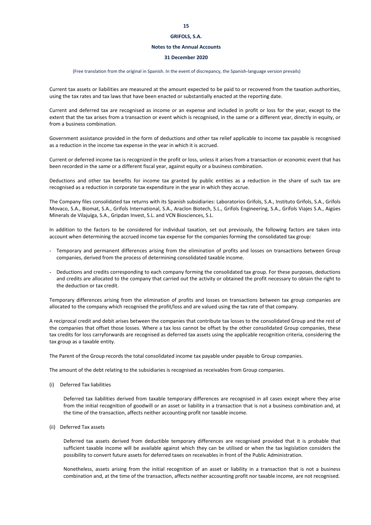#### **Notes to the Annual Accounts**

#### **31 December 2020**

#### (Free translation from the original in Spanish. In the event of discrepancy, the Spanish‐language version prevails)

Current tax assets or liabilities are measured at the amount expected to be paid to or recovered from the taxation authorities, using the tax rates and tax laws that have been enacted or substantially enacted at the reporting date.

Current and deferred tax are recognised as income or an expense and included in profit or loss for the year, except to the extent that the tax arises from a transaction or event which is recognised, in the same or a different year, directly in equity, or from a business combination.

Government assistance provided in the form of deductions and other tax relief applicable to income tax payable is recognised as a reduction in the income tax expense in the year in which it is accrued.

Current or deferred income tax is recognized in the profit or loss, unless it arises from a transaction or economic event that has been recorded in the same or a different fiscal year, against equity or a business combination.

Deductions and other tax benefits for income tax granted by public entities as a reduction in the share of such tax are recognised as a reduction in corporate tax expenditure in the year in which they accrue.

The Company files consolidated tax returns with its Spanish subsidiaries: Laboratorios Grifols, S.A., Instituto Grifols, S.A., Grifols Movaco, S.A., Biomat, S.A., Grifols International, S.A., Araclon Biotech, S.L., Grifols Engineering, S.A., Grifols Viajes S.A., Aigües Minerals de Vilajuïga, S.A., Gripdan Invest, S.L. and VCN Biosciences, S.L.

In addition to the factors to be considered for individual taxation, set out previously, the following factors are taken into account when determining the accrued income tax expense for the companies forming the consolidated tax group:

- Temporary and permanent differences arising from the elimination of profits and losses on transactions between Group companies, derived from the process of determining consolidated taxable income.
- Deductions and credits corresponding to each company forming the consolidated tax group. For these purposes, deductions and credits are allocated to the company that carried out the activity or obtained the profit necessary to obtain the right to the deduction or tax credit.

Temporary differences arising from the elimination of profits and losses on transactions between tax group companies are allocated to the company which recognised the profit/loss and are valued using the tax rate of that company.

A reciprocal credit and debit arises between the companies that contribute tax losses to the consolidated Group and the rest of the companies that offset those losses. Where a tax loss cannot be offset by the other consolidated Group companies, these tax credits for loss carryforwards are recognised as deferred tax assets using the applicable recognition criteria, considering the tax group as a taxable entity.

The Parent of the Group records the total consolidated income tax payable under payable to Group companies.

The amount of the debt relating to the subsidiaries is recognised as receivables from Group companies.

(i) Deferred Tax liabilities

Deferred tax liabilities derived from taxable temporary differences are recognised in all cases except where they arise from the initial recognition of goodwill or an asset or liability in a transaction that is not a business combination and, at the time of the transaction, affects neither accounting profit nor taxable income.

(ii) Deferred Tax assets

Deferred tax assets derived from deductible temporary differences are recognised provided that it is probable that sufficient taxable income will be available against which they can be utilised or when the tax legislation considers the possibility to convert future assets for deferred taxes on receivables in front of the Public Administration.

Nonetheless, assets arising from the initial recognition of an asset or liability in a transaction that is not a business combination and, at the time of the transaction, affects neither accounting profit nor taxable income, are not recognised.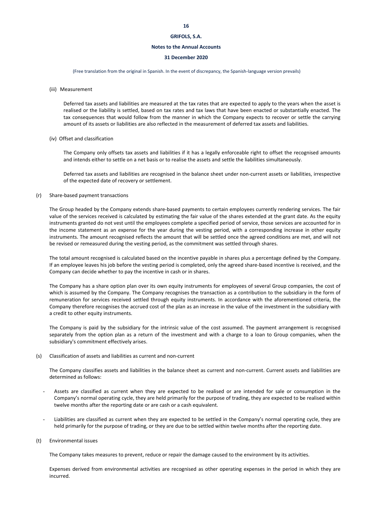#### **Notes to the Annual Accounts**

#### **31 December 2020**

(Free translation from the original in Spanish. In the event of discrepancy, the Spanish‐language version prevails)

(iii) Measurement

Deferred tax assets and liabilities are measured at the tax rates that are expected to apply to the years when the asset is realised or the liability is settled, based on tax rates and tax laws that have been enacted or substantially enacted. The tax consequences that would follow from the manner in which the Company expects to recover or settle the carrying amount of its assets or liabilities are also reflected in the measurement of deferred tax assets and liabilities.

#### (iv) Offset and classification

The Company only offsets tax assets and liabilities if it has a legally enforceable right to offset the recognised amounts and intends either to settle on a net basis or to realise the assets and settle the liabilities simultaneously.

Deferred tax assets and liabilities are recognised in the balance sheet under non-current assets or liabilities, irrespective of the expected date of recovery or settlement.

#### (r) Share‐based payment transactions

The Group headed by the Company extends share‐based payments to certain employees currently rendering services. The fair value of the services received is calculated by estimating the fair value of the shares extended at the grant date. As the equity instruments granted do not vest until the employees complete a specified period of service, those services are accounted for in the income statement as an expense for the year during the vesting period, with a corresponding increase in other equity instruments. The amount recognised reflects the amount that will be settled once the agreed conditions are met, and will not be revised or remeasured during the vesting period, as the commitment was settled through shares.

The total amount recognised is calculated based on the incentive payable in shares plus a percentage defined by the Company. If an employee leaves his job before the vesting period is completed, only the agreed share-based incentive is received, and the Company can decide whether to pay the incentive in cash or in shares.

The Company has a share option plan over its own equity instruments for employees of several Group companies, the cost of which is assumed by the Company. The Company recognises the transaction as a contribution to the subsidiary in the form of remuneration for services received settled through equity instruments. In accordance with the aforementioned criteria, the Company therefore recognises the accrued cost of the plan as an increase in the value of the investment in the subsidiary with a credit to other equity instruments.

The Company is paid by the subsidiary for the intrinsic value of the cost assumed. The payment arrangement is recognised separately from the option plan as a return of the investment and with a charge to a loan to Group companies, when the subsidiary's commitment effectively arises.

#### (s) Classification of assets and liabilities as current and non‐current

The Company classifies assets and liabilities in the balance sheet as current and non-current. Current assets and liabilities are determined as follows:

- Assets are classified as current when they are expected to be realised or are intended for sale or consumption in the Company's normal operating cycle, they are held primarily for the purpose of trading, they are expected to be realised within twelve months after the reporting date or are cash or a cash equivalent.
- Liabilities are classified as current when they are expected to be settled in the Company's normal operating cycle, they are held primarily for the purpose of trading, or they are due to be settled within twelve months after the reporting date.
- (t) Environmental issues

The Company takes measures to prevent, reduce or repair the damage caused to the environment by its activities.

Expenses derived from environmental activities are recognised as other operating expenses in the period in which they are incurred.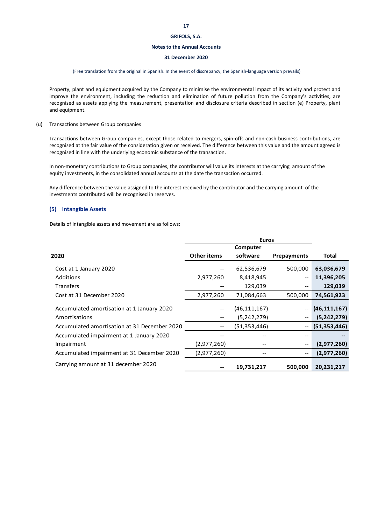#### **Notes to the Annual Accounts**

#### **31 December 2020**

#### (Free translation from the original in Spanish. In the event of discrepancy, the Spanish‐language version prevails)

Property, plant and equipment acquired by the Company to minimise the environmental impact of its activity and protect and improve the environment, including the reduction and elimination of future pollution from the Company's activities, are recognised as assets applying the measurement, presentation and disclosure criteria described in section (e) Property, plant and equipment.

#### (u) Transactions between Group companies

Transactions between Group companies, except those related to mergers, spin‐offs and non‐cash business contributions, are recognised at the fair value of the consideration given or received. The difference between this value and the amount agreed is recognised in line with the underlying economic substance of the transaction.

In non-monetary contributions to Group companies, the contributor will value its interests at the carrying amount of the equity investments, in the consolidated annual accounts at the date the transaction occurred.

Any difference between the value assigned to the interest received by the contributor and the carrying amount of the investments contributed will be recognised in reserves.

#### **(5) Intangible Assets**

Details of intangible assets and movement are as follows:

|                                                             | <b>Euros</b>       |                               |                                       |                               |
|-------------------------------------------------------------|--------------------|-------------------------------|---------------------------------------|-------------------------------|
|                                                             |                    | Computer                      |                                       |                               |
| 2020                                                        | <b>Other items</b> | software                      | <b>Prepayments</b>                    | Total                         |
| Cost at 1 January 2020                                      |                    | 62,536,679                    | 500,000                               | 63,036,679                    |
| <b>Additions</b>                                            | 2,977,260          | 8,418,945                     | $\hspace{0.05cm}$ – $\hspace{0.05cm}$ | 11,396,205                    |
| <b>Transfers</b>                                            |                    | 129,039                       |                                       | 129,039                       |
| Cost at 31 December 2020                                    | 2,977,260          | 71,084,663                    | 500,000                               | 74,561,923                    |
| Accumulated amortisation at 1 January 2020<br>Amortisations |                    | (46, 111, 167)                |                                       | (46, 111, 167)                |
| Accumulated amortisation at 31 December 2020                |                    | (5,242,279)<br>(51, 353, 446) |                                       | (5,242,279)<br>(51, 353, 446) |
| Accumulated impairment at 1 January 2020                    |                    |                               |                                       |                               |
| Impairment                                                  | (2,977,260)        |                               | $\hspace{0.05cm}$ $\hspace{0.05cm}$   | (2,977,260)                   |
| Accumulated impairment at 31 December 2020                  | (2,977,260)        |                               |                                       | (2,977,260)                   |
| Carrying amount at 31 december 2020                         |                    | 19,731,217                    | 500,000                               | 20,231,217                    |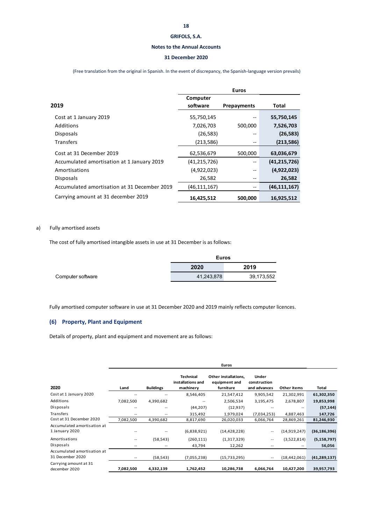#### **Notes to the Annual Accounts**

#### **31 December 2020**

(Free translation from the original in Spanish. In the event of discrepancy, the Spanish‐language version prevails)

|                                              | <b>Euros</b>         |             |                |
|----------------------------------------------|----------------------|-------------|----------------|
| 2019                                         | Computer<br>software | Prepayments | Total          |
| Cost at 1 January 2019                       | 55,750,145           |             | 55,750,145     |
| Additions                                    | 7,026,703            | 500,000     | 7,526,703      |
| <b>Disposals</b>                             | (26, 583)            | --          | (26, 583)      |
| <b>Transfers</b>                             | (213, 586)           |             | (213,586)      |
| Cost at 31 December 2019                     | 62,536,679           | 500,000     | 63,036,679     |
| Accumulated amortisation at 1 January 2019   | (41, 215, 726)       | --          | (41, 215, 726) |
| Amortisations                                | (4,922,023)          | --          | (4,922,023)    |
| <b>Disposals</b>                             | 26,582               |             | 26,582         |
| Accumulated amortisation at 31 December 2019 | (46,111,167)         |             | (46, 111, 167) |
| Carrying amount at 31 december 2019          | 16,425,512           | 500,000     | 16,925,512     |

#### a) Fully amortised assets

The cost of fully amortised intangible assets in use at 31 December is as follows:

|                   | <b>Euros</b> |            |  |
|-------------------|--------------|------------|--|
|                   | 2020<br>2019 |            |  |
| Computer software | 41,243,878   | 39,173,552 |  |

Fully amortised computer software in use at 31 December 2020 and 2019 mainly reflects computer licences.

### **(6) Property, Plant and Equipment**

Details of property, plant and equipment and movement are as follows:

|                                                 |                          |                  |                                                    | Euros                                              |                                              |                |                |
|-------------------------------------------------|--------------------------|------------------|----------------------------------------------------|----------------------------------------------------|----------------------------------------------|----------------|----------------|
| 2020                                            | Land                     | <b>Buildings</b> | <b>Technical</b><br>installations and<br>machinery | Other installations,<br>equipment and<br>furniture | <b>Under</b><br>construction<br>and advances | Other items    | Total          |
| Cost at 1 January 2020                          |                          |                  | 8,546,405                                          | 21,547,412                                         | 9,905,542                                    | 21,302,991     | 61,302,350     |
| Additions                                       | 7,082,500                | 4,390,682        |                                                    | 2,506,534                                          | 3,195,475                                    | 2,678,807      | 19,853,998     |
| Disposals                                       |                          | $- -$            | (44, 207)                                          | (12, 937)                                          |                                              |                | (57, 144)      |
| Transfers                                       | --                       | $-$              | 315,492                                            | 1,979,024                                          | (7,034,253)                                  | 4,887,463      | 147,726        |
| Cost at 31 December 2020                        | 7,082,500                | 4,390,682        | 8,817,690                                          | 26,020,033                                         | 6,066,764                                    | 28,869,261     | 81,246,930     |
| Accumulated amortisation at<br>1 January 2020   |                          |                  | (6,838,921)                                        | (14, 428, 228)                                     | --                                           | (14,919,247)   | (36, 186, 396) |
| Amortisations                                   | $\qquad \qquad \cdots$   | (58, 543)        | (260, 111)                                         | (1,317,329)                                        | $\overline{\phantom{a}}$                     | (3,522,814)    | (5, 158, 797)  |
| Disposals                                       | --                       | $- -$            | 43,794                                             | 12,262                                             | --                                           |                | 56,056         |
| Accumulated amortisation at<br>31 December 2020 | $\hspace{0.05cm} \bar{}$ | (58, 543)        | (7,055,238)                                        | (15, 733, 295)                                     | $\overline{\phantom{a}}$                     | (18, 442, 061) | (41, 289, 137) |
| Carrying amount at 31<br>december 2020          | 7,082,500                | 4,332,139        | 1,762,452                                          | 10,286,738                                         | 6,066,764                                    | 10,427,200     | 39,957,793     |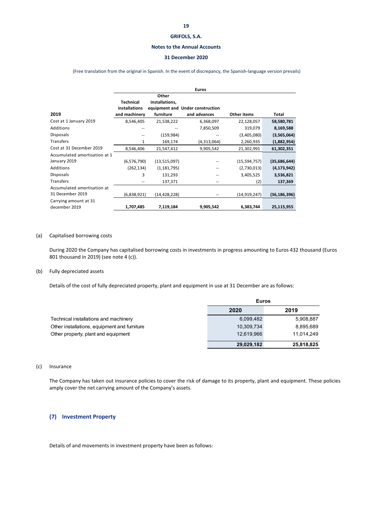#### **Notes to the Annual Accounts**

#### **31 December 2020**

#### (Free translation from the original in Spanish. In the event of discrepancy, the Spanish‐language version prevails)

|                               |                  |                | <b>Euros</b>                     |                |                |
|-------------------------------|------------------|----------------|----------------------------------|----------------|----------------|
|                               |                  | Other          |                                  |                |                |
|                               | <b>Technical</b> | installations, |                                  |                |                |
|                               | installations    |                | equipment and Under construction |                |                |
| 2019                          | and machinery    | furniture      | and advances                     | Other items    | Total          |
| Cost at 1 January 2019        | 8,546,405        | 21,538,222     | 6,368,097                        | 22,128,057     | 58,580,781     |
| Additions                     |                  |                | 7,850,509                        | 319,079        | 8,169,588      |
| <b>Disposals</b>              |                  | (159, 984)     |                                  | (3,405,080)    | (3,565,064)    |
| Transfers                     | 1                | 169,174        | (4,313,064)                      | 2,260,935      | (1,882,954)    |
| Cost at 31 December 2019      | 8,546,406        | 21,547,412     | 9,905,542                        | 21,302,991     | 61,302,351     |
| Accumulated amortisation at 1 |                  |                |                                  |                |                |
| January 2019                  | (6, 576, 790)    | (13,515,097)   |                                  | (15, 594, 757) | (35,686,644)   |
| Additions                     | (262, 134)       | (1, 181, 795)  |                                  | (2,730,013)    | (4, 173, 942)  |
| <b>Disposals</b>              | 3                | 131,293        |                                  | 3,405,525      | 3,536,821      |
| Transfers                     |                  | 137,371        | --                               | (2)            | 137,369        |
| Accumulated amortisation at   |                  |                |                                  |                |                |
| 31 December 2019              | (6,838,921)      | (14, 428, 228) |                                  | (14, 919, 247) | (36, 186, 396) |
| Carrying amount at 31         |                  |                |                                  |                |                |
| december 2019                 | 1,707,485        | 7,119,184      | 9,905,542                        | 6,383,744      | 25,115,955     |

#### (a) Capitalised borrowing costs

During 2020 the Company has capitalised borrowing costs in investments in progress amounting to Euros 432 thousand (Euros 801 thousand in 2019) (see note 4 (c)).

#### (b) Fully depreciated assets

Details of the cost of fully depreciated property, plant and equipment in use at 31 December are as follows:

|                                              |            | <b>Euros</b> |  |  |
|----------------------------------------------|------------|--------------|--|--|
|                                              | 2020       | 2019         |  |  |
| Technical installations and machinery        | 6,099,482  | 5,908,887    |  |  |
| Other installations, equipment and furniture | 10,309,734 | 8,895,689    |  |  |
| Other property, plant and equipment          | 12,619,966 | 11.014.249   |  |  |
|                                              | 29,029,182 | 25,818,825   |  |  |

#### (c) Insurance

The Company has taken out insurance policies to cover the risk of damage to its property, plant and equipment. These policies amply cover the net carrying amount of the Company's assets.

### **(7) Investment Property**

Details of and movements in investment property have been as follows: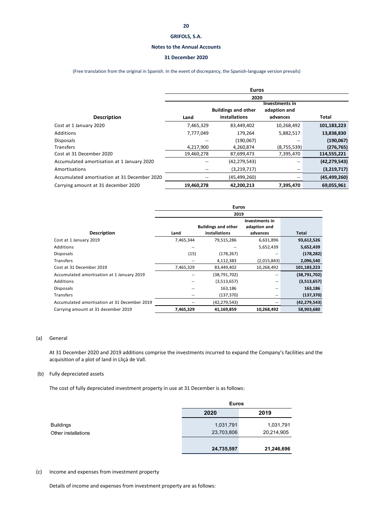#### **Notes to the Annual Accounts**

#### **31 December 2020**

(Free translation from the original in Spanish. In the event of discrepancy, the Spanish‐language version prevails)

|                                              | <b>Euros</b> |                            |                |                |
|----------------------------------------------|--------------|----------------------------|----------------|----------------|
|                                              |              | 2020                       |                |                |
|                                              |              |                            | Investments in |                |
|                                              |              | <b>Buildings and other</b> | adaption and   |                |
| <b>Description</b>                           | Land         | installations              | advances       | Total          |
| Cost at 1 January 2020                       | 7,465,329    | 83,449,402                 | 10,268,492     | 101,183,223    |
| <b>Additions</b>                             | 7,777,049    | 179.264                    | 5,882,517      | 13,838,830     |
| <b>Disposals</b>                             | --           | (190,067)                  | --             | (190,067)      |
| Transfers                                    | 4,217,900    | 4,260,874                  | (8,755,539)    | (276, 765)     |
| Cost at 31 December 2020                     | 19,460,278   | 87,699,473                 | 7,395,470      | 114,555,221    |
| Accumulated amortisation at 1 January 2020   |              | (42, 279, 543)             | --             | (42, 279, 543) |
| Amortisations                                |              | (3,219,717)                | --             | (3,219,717)    |
| Accumulated amortisation at 31 December 2020 |              | (45, 499, 260)             | --             | (45, 499, 260) |
| Carrying amount at 31 december 2020          | 19,460,278   | 42,200,213                 | 7,395,470      | 69,055,961     |

|                                              | <b>Euros</b> |                            |                |                |  |
|----------------------------------------------|--------------|----------------------------|----------------|----------------|--|
|                                              | 2019         |                            |                |                |  |
|                                              |              |                            | Investments in |                |  |
|                                              |              | <b>Buildings and other</b> | adaption and   |                |  |
| <b>Description</b>                           | Land         | installations              | advances       | Total          |  |
| Cost at 1 January 2019                       | 7,465,344    | 79,515,286                 | 6,631,896      | 93,612,526     |  |
| Additions                                    |              |                            | 5,652,439      | 5,652,439      |  |
| <b>Disposals</b>                             | (15)         | (178, 267)                 |                | (178, 282)     |  |
| <b>Transfers</b>                             |              | 4,112,383                  | (2,015,843)    | 2,096,540      |  |
| Cost at 31 December 2019                     | 7,465,329    | 83,449,402                 | 10,268,492     | 101,183,223    |  |
| Accumulated amortisation at 1 January 2019   |              | (38, 791, 702)             |                | (38,791,702)   |  |
| Additions                                    | --           | (3,513,657)                | --             | (3,513,657)    |  |
| <b>Disposals</b>                             | --           | 163,186                    |                | 163,186        |  |
| <b>Transfers</b>                             | --           | (137, 370)                 | $- -$          | (137, 370)     |  |
| Accumulated amortisation at 31 December 2019 |              | (42, 279, 543)             |                | (42, 279, 543) |  |
| Carrying amount at 31 december 2019          | 7,465,329    | 41,169,859                 | 10,268,492     | 58,903,680     |  |

#### (a) General

At 31 December 2020 and 2019 additions comprise the investments incurred to expand the Company's facilities and the acquisition of a plot of land in Lliçà de Vall.

#### (b) Fully depreciated assets

The cost of fully depreciated investment property in use at 31 December is as follows:

|                     |            | <b>Euros</b> |  |  |
|---------------------|------------|--------------|--|--|
|                     | 2020       | 2019         |  |  |
| <b>Buildings</b>    | 1,031,791  | 1,031,791    |  |  |
| Other installations | 23,703,806 | 20,214,905   |  |  |
|                     | 24,735,597 | 21,246,696   |  |  |

#### (c) Income and expenses from investment property

Details of income and expenses from investment property are as follows: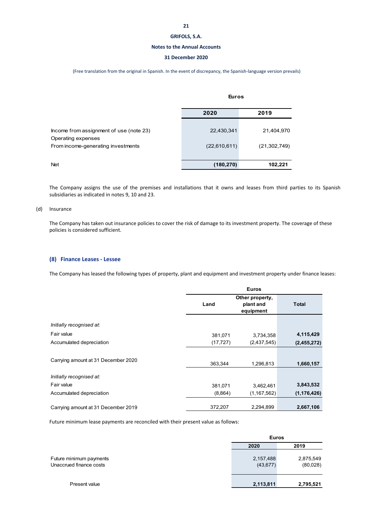#### **Notes to the Annual Accounts**

#### **31 December 2020**

(Free translation from the original in Spanish. In the event of discrepancy, the Spanish‐language version prevails)

|                                                               | <b>Euros</b> |                |  |
|---------------------------------------------------------------|--------------|----------------|--|
|                                                               | 2020         | 2019           |  |
| Income from assignment of use (note 23)<br>Operating expenses | 22,430,341   | 21,404,970     |  |
| From income-generating investments                            | (22,610,611) | (21, 302, 749) |  |
| <b>Net</b>                                                    | (180, 270)   | 102,221        |  |

The Company assigns the use of the premises and installations that it owns and leases from third parties to its Spanish subsidiaries as indicated in notes 9, 10 and 23.

#### (d) Insurance

The Company has taken out insurance policies to cover the risk of damage to its investment property. The coverage of these policies is considered sufficient.

#### **(8) Finance Leases ‐ Lessee**

The Company has leased the following types of property, plant and equipment and investment property under finance leases:

|                                     | <b>Euros</b> |                                           |               |
|-------------------------------------|--------------|-------------------------------------------|---------------|
|                                     | Land         | Other property,<br>plant and<br>equipment | Total         |
| Initially recognised at:            |              |                                           |               |
| Fair value                          | 381,071      | 3,734,358                                 | 4,115,429     |
| Accumulated depreciation            | (17, 727)    | (2,437,545)                               | (2,455,272)   |
| Carrying amount at 31 December 2020 | 363,344      | 1,296,813                                 | 1,660,157     |
| Initially recognised at:            |              |                                           |               |
| Fair value                          | 381,071      | 3,462,461                                 | 3,843,532     |
| Accumulated depreciation            | (8,864)      | (1, 167, 562)                             | (1, 176, 426) |
| Carrying amount at 31 December 2019 | 372,207      | 2,294,899                                 | 2,667,106     |

Future minimum lease payments are reconciled with their present value as follows:

|                                                    |      | <b>Euros</b>                                    |  |
|----------------------------------------------------|------|-------------------------------------------------|--|
|                                                    | 2020 | 2019                                            |  |
| Future minimum payments<br>Unaccrued finance costs |      | 2,157,488<br>2,875,549<br>(43, 677)<br>(80,028) |  |
| Present value                                      |      | 2,113,811<br>2,795,521                          |  |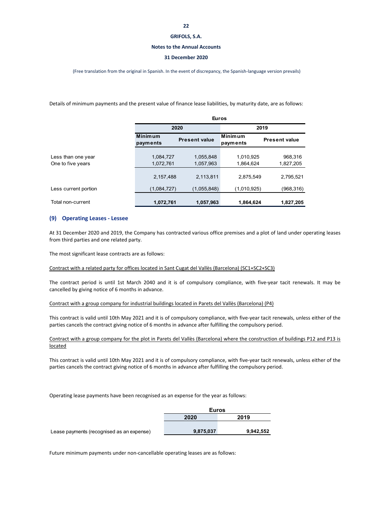#### **Notes to the Annual Accounts**

#### **31 December 2020**

(Free translation from the original in Spanish. In the event of discrepancy, the Spanish‐language version prevails)

Details of minimum payments and the present value of finance lease liabilities, by maturity date, are as follows:

|                                         | <b>Euros</b>               |                        |                            |                      |
|-----------------------------------------|----------------------------|------------------------|----------------------------|----------------------|
|                                         | 2020                       |                        | 2019                       |                      |
|                                         | <b>Minimum</b><br>payments | <b>Present value</b>   | <b>Minimum</b><br>payments | <b>Present value</b> |
| Less than one year<br>One to five years | 1,084,727<br>1,072,761     | 1,055,848<br>1,057,963 | 1,010,925<br>1,864,624     | 968,316<br>1,827,205 |
|                                         | 2,157,488                  | 2,113,811              | 2,875,549                  | 2,795,521            |
| Less current portion                    | (1,084,727)                | (1,055,848)            | (1,010,925)                | (968,316)            |
| Total non-current                       | 1,072,761                  | 1,057,963              | 1,864,624                  | 1,827,205            |

#### **(9) Operating Leases ‐ Lessee**

At 31 December 2020 and 2019, the Company has contracted various office premises and a plot of land under operating leases from third parties and one related party.

The most significant lease contracts are as follows:

Contract with a related party for offices located in Sant Cugat del Vallès (Barcelona) (SC1+SC2+SC3)

The contract period is until 1st March 2040 and it is of compulsory compliance, with five-year tacit renewals. It may be cancelled by giving notice of 6 months in advance.

Contract with a group company for industrial buildings located in Parets del Vallès (Barcelona) (P4)

This contract is valid until 10th May 2021 and it is of compulsory compliance, with five‐year tacit renewals, unless either of the parties cancels the contract giving notice of 6 months in advance after fulfilling the compulsory period.

Contract with a group company for the plot in Parets del Vallès (Barcelona) where the construction of buildings P12 and P13 is located

This contract is valid until 10th May 2021 and it is of compulsory compliance, with five‐year tacit renewals, unless either of the parties cancels the contract giving notice of 6 months in advance after fulfilling the compulsory period.

Operating lease payments have been recognised as an expense for the year as follows:

| <b>Euros</b> |           |  |
|--------------|-----------|--|
| 2020         | 2019      |  |
|              |           |  |
| 9,875,037    | 9,942,552 |  |

Lease payments (recognised as an expense)

Future minimum payments under non‐cancellable operating leases are as follows: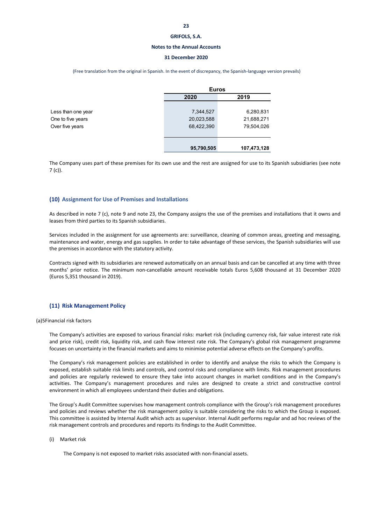#### **Notes to the Annual Accounts**

#### **31 December 2020**

(Free translation from the original in Spanish. In the event of discrepancy, the Spanish‐language version prevails)

|                    |            | <b>Euros</b> |  |  |
|--------------------|------------|--------------|--|--|
|                    | 2020       | 2019         |  |  |
| Less than one year | 7,344,527  | 6,280,831    |  |  |
| One to five years  | 20,023,588 | 21,688,271   |  |  |
| Over five years    | 68,422,390 | 79,504,026   |  |  |
|                    |            |              |  |  |
|                    | 95,790,505 | 107,473,128  |  |  |

The Company uses part of these premises for its own use and the rest are assigned for use to its Spanish subsidiaries (see note 7 (c)).

#### **(10) Assignment for Use of Premises and Installations**

As described in note 7 (c), note 9 and note 23, the Company assigns the use of the premises and installations that it owns and leases from third parties to its Spanish subsidiaries.

Services included in the assignment for use agreements are: surveillance, cleaning of common areas, greeting and messaging, maintenance and water, energy and gas supplies. In order to take advantage of these services, the Spanish subsidiaries will use the premises in accordance with the statutory activity.

Contracts signed with its subsidiaries are renewed automatically on an annual basis and can be cancelled at any time with three months' prior notice. The minimum non‐cancellable amount receivable totals Euros 5,608 thousand at 31 December 2020 (Euros 5,351 thousand in 2019).

#### **(11) Risk Management Policy**

(a)5Financial risk factors

The Company's activities are exposed to various financial risks: market risk (including currency risk, fair value interest rate risk and price risk), credit risk, liquidity risk, and cash flow interest rate risk. The Company's global risk management programme focuses on uncertainty in the financial markets and aims to minimise potential adverse effects on the Company's profits.

The Company's risk management policies are established in order to identify and analyse the risks to which the Company is exposed, establish suitable risk limits and controls, and control risks and compliance with limits. Risk management procedures and policies are regularly reviewed to ensure they take into account changes in market conditions and in the Company's activities. The Company's management procedures and rules are designed to create a strict and constructive control environment in which all employees understand their duties and obligations.

The Group's Audit Committee supervises how management controls compliance with the Group's risk management procedures and policies and reviews whether the risk management policy is suitable considering the risks to which the Group is exposed. This committee is assisted by Internal Audit which acts as supervisor. Internal Audit performs regular and ad hoc reviews of the risk management controls and procedures and reports its findings to the Audit Committee.

(i) Market risk

The Company is not exposed to market risks associated with non-financial assets.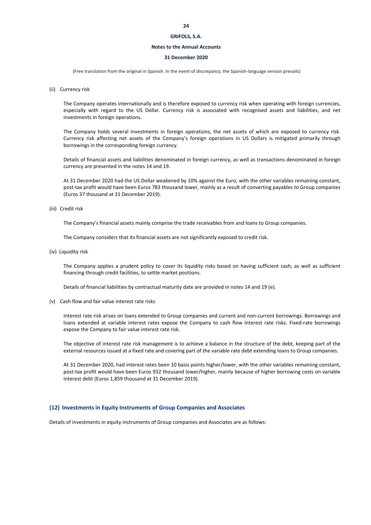#### **Notes to the Annual Accounts**

#### **31 December 2020**

(Free translation from the original in Spanish. In the event of discrepancy, the Spanish‐language version prevails)

(ii) Currency risk

The Company operates internationally and is therefore exposed to currency risk when operating with foreign currencies, especially with regard to the US Dollar. Currency risk is associated with recognised assets and liabilities, and net investments in foreign operations.

The Company holds several investments in foreign operations, the net assets of which are exposed to currency risk. Currency risk affecting net assets of the Company's foreign operations in US Dollars is mitigated primarily through borrowings in the corresponding foreign currency.

Details of financial assets and liabilities denominated in foreign currency, as well as transactions denominated in foreign currency are presented in the notes 14 and 19.

At 31 December 2020 had the US Dollar weakened by 10% against the Euro, with the other variables remaining constant, post-tax profit would have been Euros 783 thousand lower, mainly as a result of converting payables to Group companies (Euros 37 thousand at 31 December 2019).

#### (iii) Credit risk

The Company's financial assets mainly comprise the trade receivables from and loans to Group companies.

The Company considers that its financial assets are not significantly exposed to credit risk.

(iv) Liquidity risk

The Company applies a prudent policy to cover its liquidity risks based on having sufficient cash, as well as sufficient financing through credit facilities, to settle market positions.

Details of financial liabilities by contractual maturity date are provided in notes 14 and 19 (e).

(v) Cash flow and fair value interest rate risks

Interest rate risk arises on loans extended to Group companies and current and non-current borrowings. Borrowings and loans extended at variable interest rates expose the Company to cash flow interest rate risks. Fixed-rate borrowings expose the Company to fair value interest rate risk.

The objective of interest rate risk management is to achieve a balance in the structure of the debt, keeping part of the external resources issued at a fixed rate and covering part of the variable rate debt extending loans to Group companies.

At 31 December 2020, had interest rates been 10 basis points higher/lower, with the other variables remaining constant, post-tax profit would have been Euros 932 thousand lower/higher, mainly because of higher borrowing costs on variable interest debt (Euros 1,859 thousand at 31 December 2019).

#### **(12) Investments in Equity Instruments of Group Companies and Associates**

Details of investments in equity instruments of Group companies and Associates are as follows: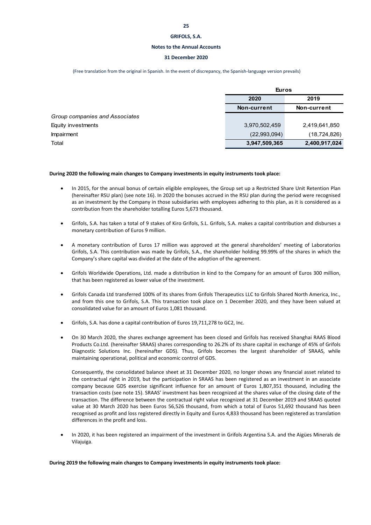#### **Notes to the Annual Accounts**

#### **31 December 2020**

(Free translation from the original in Spanish. In the event of discrepancy, the Spanish‐language version prevails)

|                                | <b>Euros</b>  |                |  |
|--------------------------------|---------------|----------------|--|
|                                | 2020<br>2019  |                |  |
|                                | Non-current   | Non-current    |  |
| Group companies and Associates |               |                |  |
| Equity investments             | 3,970,502,459 | 2,419,641,850  |  |
| Impairment                     | (22,993,094)  | (18, 724, 826) |  |
| Total                          | 3,947,509,365 | 2,400,917,024  |  |

#### **During 2020 the following main changes to Company investments in equity instruments took place:**

- In 2015, for the annual bonus of certain eligible employees, the Group set up a Restricted Share Unit Retention Plan (hereinafter RSU plan) (see note 16). In 2020 the bonuses accrued in the RSU plan during the period were recognised as an investment by the Company in those subsidiaries with employees adhering to this plan, as it is considered as a contribution from the shareholder totalling Euros 5,673 thousand.
- Grifols, S.A. has taken a total of 9 stakes of Kiro Grifols, S.L. Grifols, S.A. makes a capital contribution and disburses a monetary contribution of Euros 9 million.
- A monetary contribution of Euros 17 million was approved at the general shareholders' meeting of Laboratorios Grifols, S.A. This contribution was made by Grifols, S.A., the shareholder holding 99.99% of the shares in which the Company's share capital was divided at the date of the adoption of the agreement.
- Grifols Worldwide Operations, Ltd. made a distribution in kind to the Company for an amount of Euros 300 million, that has been registered as lower value of the investment.
- Grifols Canada Ltd transferred 100% of its shares from Grifols Therapeutics LLC to Grifols Shared North America, Inc., and from this one to Grifols, S.A. This transaction took place on 1 December 2020, and they have been valued at consolidated value for an amount of Euros 1,081 thousand.
- Grifols, S.A. has done a capital contribution of Euros 19,711,278 to GC2, Inc.
- On 30 March 2020, the shares exchange agreement has been closed and Grifols has received Shanghai RAAS Blood Products Co.Ltd. (hereinafter SRAAS) shares corresponding to 26.2% of its share capital in exchange of 45% of Grifols Diagnostic Solutions Inc. (hereinafter GDS). Thus, Grifols becomes the largest shareholder of SRAAS, while maintaining operational, political and economic control of GDS.

Consequently, the consolidated balance sheet at 31 December 2020, no longer shows any financial asset related to the contractual right in 2019, but the participation in SRAAS has been registered as an investment in an associate company because GDS exercise significant influence for an amount of Euros 1,807,351 thousand, including the transaction costs (see note 15). SRAAS' investment has been recognized at the shares value of the closing date of the transaction. The difference between the contractual right value recognized at 31 December 2019 and SRAAS quoted value at 30 March 2020 has been Euros 56,526 thousand, from which a total of Euros 51,692 thousand has been recognised as profit and loss registered directly in Equity and Euros 4,833 thousand has been registered as translation differences in the profit and loss.

 In 2020, it has been registered an impairment of the investment in Grifols Argentina S.A. and the Aigües Minerals de Vilajuïga.

**During 2019 the following main changes to Company investments in equity instruments took place:**

**25**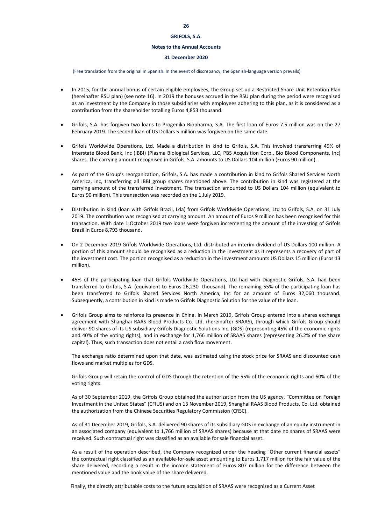### **Notes to the Annual Accounts**

### **31 December 2020**

(Free translation from the original in Spanish. In the event of discrepancy, the Spanish‐language version prevails)

- In 2015, for the annual bonus of certain eligible employees, the Group set up a Restricted Share Unit Retention Plan (hereinafter RSU plan) (see note 16). In 2019 the bonuses accrued in the RSU plan during the period were recognised as an investment by the Company in those subsidiaries with employees adhering to this plan, as it is considered as a contribution from the shareholder totalling Euros 4,853 thousand.
- Grifols, S.A. has forgiven two loans to Progenika Biopharma, S.A. The first loan of Euros 7.5 million was on the 27 February 2019. The second loan of US Dollars 5 million was forgiven on the same date.
- Grifols Worldwide Operations, Ltd. Made a distribution in kind to Grifols, S.A. This involved transferring 49% of Interstate Blood Bank, Inc (IBBI) (Plasma Biological Services, LLC, PBS Acquisition Corp., Bio Blood Components, Inc) shares. The carrying amount recognised in Grifols, S.A. amounts to US Dollars 104 million (Euros 90 million).
- As part of the Group's reorganization, Grifols, S.A. has made a contribution in kind to Grifols Shared Services North America, Inc, transferring all IBBI group shares mentioned above. The contribution in kind was registered at the carrying amount of the transferred investment. The transaction amounted to US Dollars 104 million (equivalent to Euros 90 million). This transaction was recorded on the 1 July 2019.
- Distribution in kind (loan with Grifols Brazil, Lda) from Grifols Worldwide Operations, Ltd to Grifols, S.A. on 31 July 2019. The contribution was recognised at carrying amount. An amount of Euros 9 million has been recognised for this transaction. With date 1 October 2019 two loans were forgiven incrementing the amount of the investing of Grifols Brazil in Euros 8,793 thousand.
- On 2 December 2019 Grifols Worldwide Operations, Ltd. distributed an interim dividend of US Dollars 100 million. A portion of this amount should be recognised as a reduction in the investment as it represents a recovery of part of the investment cost. The portion recognised as a reduction in the investment amounts US Dollars 15 million (Euros 13 million).
- 45% of the participating loan that Grifols Worldwide Operations, Ltd had with Diagnostic Grifols, S.A. had been transferred to Grifols, S.A. (equivalent to Euros 26,230 thousand). The remaining 55% of the participating loan has been transferred to Grifols Shared Services North America, Inc for an amount of Euros 32,060 thousand. Subsequently, a contribution in kind is made to Grifols Diagnostic Solution for the value of the loan.
- Grifols Group aims to reinforce its presence in China. In March 2019, Grifols Group entered into a shares exchange agreement with Shanghai RAAS Blood Products Co. Ltd. (hereinafter SRAAS), through which Grifols Group should deliver 90 shares of its US subsidiary Grifols Diagnostic Solutions Inc. (GDS) (representing 45% of the economic rights and 40% of the voting rights), and in exchange for 1,766 million of SRAAS shares (representing 26.2% of the share capital). Thus, such transaction does not entail a cash flow movement.

The exchange ratio determined upon that date, was estimated using the stock price for SRAAS and discounted cash flows and market multiples for GDS.

Grifols Group will retain the control of GDS through the retention of the 55% of the economic rights and 60% of the voting rights.

As of 30 September 2019, the Grifols Group obtained the authorization from the US agency, "Committee on Foreign Investment in the United States" (CFIUS) and on 13 November 2019, Shanghai RAAS Blood Products, Co. Ltd. obtained the authorization from the Chinese Securities Regulatory Commission (CRSC).

As of 31 December 2019, Grifols, S.A. delivered 90 shares of its subsidiary GDS in exchange of an equity instrument in an associated company (equivalent to 1,766 million of SRAAS shares) because at that date no shares of SRAAS were received. Such contractual right was classified as an available for sale financial asset.

As a result of the operation described, the Company recognized under the heading "Other current financial assets" the contractual right classified as an available‐for‐sale asset amounting to Euros 1,717 million for the fair value of the share delivered, recording a result in the income statement of Euros 807 million for the difference between the mentioned value and the book value of the share delivered.

Finally, the directly attributable costs to the future acquisition of SRAAS were recognized as a Current Asset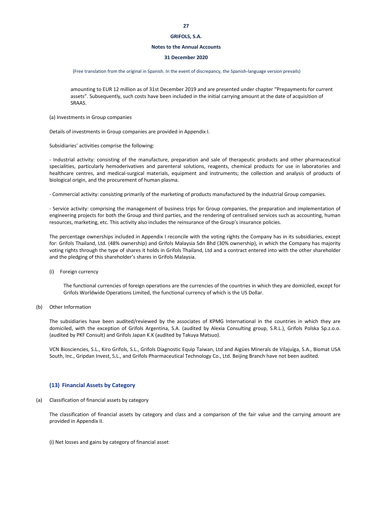#### **Notes to the Annual Accounts**

#### **31 December 2020**

(Free translation from the original in Spanish. In the event of discrepancy, the Spanish‐language version prevails)

amounting to EUR 12 million as of 31st December 2019 and are presented under chapter "Prepayments for current assets". Subsequently, such costs have been included in the initial carrying amount at the date of acquisition of SRAAS.

(a) Investments in Group companies

Details of investments in Group companies are provided in Appendix I.

Subsidiaries' activities comprise the following:

‐ Industrial activity: consisting of the manufacture, preparation and sale of therapeutic products and other pharmaceutical specialities, particularly hemoderivatives and parenteral solutions, reagents, chemical products for use in laboratories and healthcare centres, and medical‐surgical materials, equipment and instruments; the collection and analysis of products of biological origin, and the procurement of human plasma.

‐ Commercial activity: consisting primarily of the marketing of products manufactured by the industrial Group companies.

‐ Service activity: comprising the management of business trips for Group companies, the preparation and implementation of engineering projects for both the Group and third parties, and the rendering of centralised services such as accounting, human resources, marketing, etc. This activity also includes the reinsurance of the Group's insurance policies.

The percentage ownerships included in Appendix I reconcile with the voting rights the Company has in its subsidiaries, except for: Grifols Thailand, Ltd. (48% ownership) and Grifols Malaysia Sdn Bhd (30% ownership), in which the Company has majority voting rights through the type of shares it holds in Grifols Thailand, Ltd and a contract entered into with the other shareholder and the pledging of this shareholder's shares in Grifols Malaysia.

(i) Foreign currency

The functional currencies of foreign operations are the currencies of the countries in which they are domiciled, except for Grifols Worldwide Operations Limited, the functional currency of which is the US Dollar.

(b) Other Information

The subsidiaries have been audited/reviewed by the associates of KPMG International in the countries in which they are domiciled, with the exception of Grifols Argentina, S.A. (audited by Alexia Consulting group, S.R.L.), Grifols Polska Sp.z.o.o. (audited by PKF Consult) and Grifols Japan K.K (audited by Takuya Matsuo).

VCN Biosciencies, S.L., Kiro Grifols, S.L., Grifols Diagnostic Equip Taiwan, Ltd and Aigües Minerals de Vilajuïga, S.A., Biomat USA South, Inc., Gripdan Invest, S.L., and Grifols Pharmaceutical Technology Co., Ltd. Beijing Branch have not been audited.

#### **(13) Financial Assets by Category**

(a) Classification of financial assets by category

The classification of financial assets by category and class and a comparison of the fair value and the carrying amount are provided in Appendix II.

(i) Net losses and gains by category of financial asset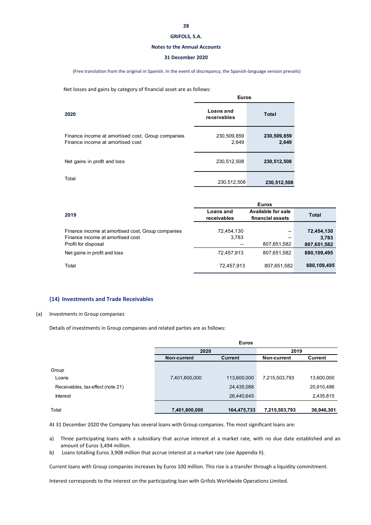#### **Notes to the Annual Accounts**

#### **31 December 2020**

(Free translation from the original in Spanish. In the event of discrepancy, the Spanish‐language version prevails)

Net losses and gains by category of financial asset are as follows:

|                                                                                       | <b>Euros</b>             |                      |  |
|---------------------------------------------------------------------------------------|--------------------------|----------------------|--|
| 2020                                                                                  | Loans and<br>receivables | Total                |  |
| Finance income at amortised cost, Group companies<br>Finance income at amortised cost | 230,509,859<br>2,649     | 230,509,859<br>2,649 |  |
| Net gains in profit and loss                                                          | 230,512,508              | 230,512,508          |  |
| Total                                                                                 | 230,512,508              | 230,512,508          |  |

|                                                   |                                 | <b>Euros</b>                                  |             |
|---------------------------------------------------|---------------------------------|-----------------------------------------------|-------------|
| 2019                                              | <b>Loans</b> and<br>receivables | <b>Available for sale</b><br>financial assets | Total       |
|                                                   |                                 |                                               |             |
| Finance income at amortised cost, Group companies | 72,454,130                      | --                                            | 72,454,130  |
| Finance income at amortised cost                  | 3,783                           | --                                            | 3,783       |
| Profit for disposal                               |                                 | 807,651,582                                   | 807,651,582 |
| Net gains in profit and loss                      | 72,457,913                      | 807,651,582                                   | 880,109,495 |
| Total                                             | 72,457,913                      | 807,651,582                                   | 880,109,495 |

#### **(14) Investments and Trade Receivables**

#### (a) Investments in Group companies

Details of investments in Group companies and related parties are as follows:

|                                   |               | <b>Euros</b> |               |            |
|-----------------------------------|---------------|--------------|---------------|------------|
|                                   | 2020          |              | 2019          |            |
|                                   | Non-current   | Current      | Non-current   | Current    |
| Group                             |               |              |               |            |
| Loans                             | 7,401,800,000 | 113,600,000  | 7,215,503,793 | 13,600,000 |
| Receivables, tax effect (note 21) |               | 24,435,088   |               | 20,910,486 |
| <b>Interest</b>                   |               | 26,440,645   |               | 2,435,815  |
| Total                             | 7,401,800,000 | 164,475,733  | 7,215,503,793 | 36,946,301 |

At 31 December 2020 the Company has several loans with Group companies. The most significant loans are:

a) Three participating loans with a subsidiary that accrue interest at a market rate, with no due date established and an amount of Euros 3,494 million.

b) Loans totalling Euros 3,908 million that accrue interest at a market rate (see Appendix II).

Current loans with Group companies increases by Euros 100 million. This rise is a transfer through a liquidity commitment.

Interest corresponds to the interest on the participating loan with Grifols Worldwide Operations Limited.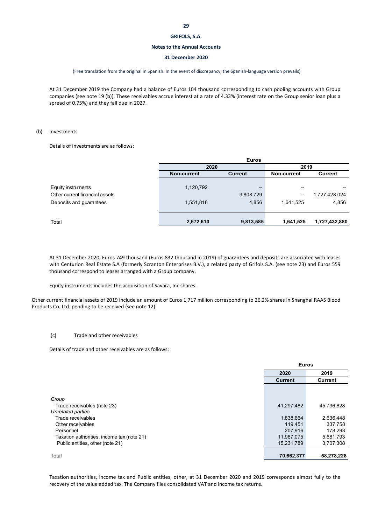#### **Notes to the Annual Accounts**

#### **31 December 2020**

#### (Free translation from the original in Spanish. In the event of discrepancy, the Spanish‐language version prevails)

At 31 December 2019 the Company had a balance of Euros 104 thousand corresponding to cash pooling accounts with Group companies (see note 19 (b)). These receivables accrue interest at a rate of 4.33% (interest rate on the Group senior loan plus a spread of 0.75%) and they fall due in 2027.

### (b) Investments

Details of investments are as follows:

| <b>Euros</b> |           |             |               |
|--------------|-----------|-------------|---------------|
|              |           |             |               |
| Non-current  | Current   | Non-current | Current       |
|              |           |             |               |
| 1,120,792    | --        | --          |               |
|              | 9,808,729 | --          | 1,727,428,024 |
| 1,551,818    | 4,856     | 1,641,525   | 4,856         |
|              |           |             |               |
| 2,672,610    | 9,813,585 | 1,641,525   | 1,727,432,880 |
|              |           | 2020        | 2019          |

At 31 December 2020, Euros 749 thousand (Euros 832 thousand in 2019) of guarantees and deposits are associated with leases with Centurion Real Estate S.A (formerly Scranton Enterprises B.V.), a related party of Grifols S.A. (see note 23) and Euros 559 thousand correspond to leases arranged with a Group company.

Equity instruments includes the acquisition of Savara, Inc shares.

Other current financial assets of 2019 include an amount of Euros 1,717 million corresponding to 26.2% shares in Shanghai RAAS Blood Products Co. Ltd. pending to be received (see note 12).

#### (c) Trade and other receivables

Details of trade and other receivables are as follows:

|                                            | <b>Euros</b>   |                |
|--------------------------------------------|----------------|----------------|
|                                            | 2020           | 2019           |
|                                            | <b>Current</b> | <b>Current</b> |
|                                            |                |                |
| Group                                      |                |                |
| Trade receivables (note 23)                | 41,297,482     | 45,736,628     |
| Unrelated parties                          |                |                |
| Trade receivables                          | 1,838,664      | 2,636,448      |
| Other receivables                          | 119,451        | 337,758        |
| Personnel                                  | 207,916        | 178,293        |
| Taxation authorities, income tax (note 21) | 11,967,075     | 5,681,793      |
| Public entities, other (note 21)           | 15,231,789     | 3,707,308      |
|                                            |                |                |
| Total                                      | 70,662,377     | 58,278,228     |

Taxation authorities, income tax and Public entities, other, at 31 December 2020 and 2019 corresponds almost fully to the recovery of the value added tax. The Company files consolidated VAT and income tax returns.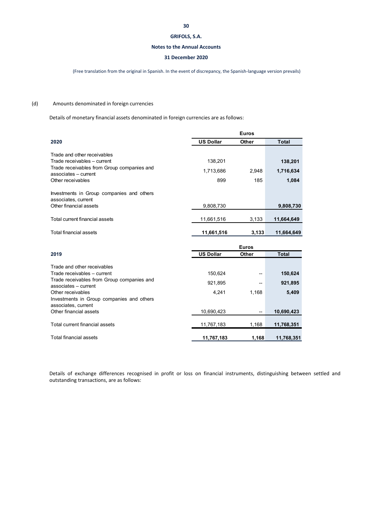#### **Notes to the Annual Accounts**

### **31 December 2020**

(Free translation from the original in Spanish. In the event of discrepancy, the Spanish‐language version prevails)

### (d) Amounts denominated in foreign currencies

Details of monetary financial assets denominated in foreign currencies are as follows:

|                                                                    | <b>Euros</b>     |       |              |
|--------------------------------------------------------------------|------------------|-------|--------------|
| 2020                                                               | <b>US Dollar</b> | Other | <b>Total</b> |
| Trade and other receivables                                        |                  |       |              |
| Trade receivables - current                                        | 138.201          |       | 138,201      |
| Trade receivables from Group companies and<br>associates – current | 1,713,686        | 2.948 | 1,716,634    |
| Other receivables                                                  | 899              | 185   | 1,084        |
| Investments in Group companies and others                          |                  |       |              |
| associates, current                                                |                  |       |              |
| Other financial assets                                             | 9,808,730        |       | 9,808,730    |
| Total current financial assets                                     | 11,661,516       | 3,133 | 11,664,649   |
| Total financial assets                                             | 11,661,516       | 3.133 | 11.664.649   |

|                                                                                                                                                                                                    | <b>Euros</b>                |                   |                             |
|----------------------------------------------------------------------------------------------------------------------------------------------------------------------------------------------------|-----------------------------|-------------------|-----------------------------|
| 2019                                                                                                                                                                                               | <b>US Dollar</b>            | Other             | <b>Total</b>                |
| Trade and other receivables<br>Trade receivables - current<br>Trade receivables from Group companies and<br>associates - current<br>Other receivables<br>Investments in Group companies and others | 150.624<br>921,895<br>4.241 | --<br>--<br>1.168 | 150,624<br>921,895<br>5,409 |
| associates, current<br>Other financial assets<br>Total current financial assets                                                                                                                    | 10,690,423<br>11,767,183    | --<br>1,168       | 10,690,423<br>11,768,351    |
| Total financial assets                                                                                                                                                                             | 11,767,183                  | 1.168             | 11,768,351                  |

Details of exchange differences recognised in profit or loss on financial instruments, distinguishing between settled and outstanding transactions, are as follows: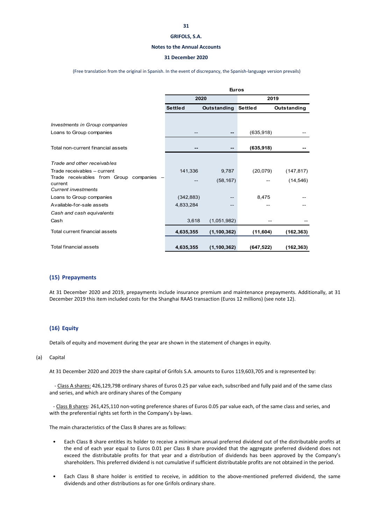#### **Notes to the Annual Accounts**

#### **31 December 2020**

(Free translation from the original in Spanish. In the event of discrepancy, the Spanish‐language version prevails)

|                                                                                 | <b>Euros</b>   |                            |            |             |
|---------------------------------------------------------------------------------|----------------|----------------------------|------------|-------------|
|                                                                                 |                | 2020                       |            | 2019        |
|                                                                                 | <b>Settled</b> | <b>Outstanding Settled</b> |            | Outstanding |
| Investments in Group companies<br>Loans to Group companies                      |                | $- -$                      | (635, 918) |             |
| Total non-current financial assets                                              |                | $- -$                      | (635, 918) |             |
| Trade and other receivables                                                     |                |                            |            |             |
| Trade receivables - current                                                     | 141,336        | 9,787                      | (20,079)   | (147, 817)  |
| Trade receivables from Group companies<br>current<br><b>Current investments</b> |                | (58, 167)                  |            | (14, 546)   |
| Loans to Group companies                                                        | (342, 883)     |                            | 8,475      |             |
| Available-for-sale assets                                                       | 4,833,284      | --                         |            |             |
| Cash and cash equivalents                                                       |                |                            |            |             |
| Cash                                                                            | 3,618          | (1,051,982)                |            |             |
| Total current financial assets                                                  | 4,635,355      | (1, 100, 362)              | (11,604)   | (162, 363)  |
| Total financial assets                                                          | 4,635,355      | (1, 100, 362)              | (647, 522) | (162, 363)  |

#### **(15) Prepayments**

At 31 December 2020 and 2019, prepayments include insurance premium and maintenance prepayments. Additionally, at 31 December 2019 this item included costs for the Shanghai RAAS transaction (Euros 12 millions) (see note 12).

#### **(16) Equity**

Details of equity and movement during the year are shown in the statement of changes in equity.

#### (a) Capital

At 31 December 2020 and 2019 the share capital of Grifols S.A. amounts to Euros 119,603,705 and is represented by:

 ‐ Class A shares: 426,129,798 ordinary shares of Euros 0.25 par value each, subscribed and fully paid and of the same class and series, and which are ordinary shares of the Company

 ‐ Class B shares: 261,425,110 non‐voting preference shares of Euros 0.05 par value each, of the same class and series, and with the preferential rights set forth in the Company's by-laws.

The main characteristics of the Class B shares are as follows:

- Each Class B share entitles its holder to receive a minimum annual preferred dividend out of the distributable profits at the end of each year equal to Euros 0.01 per Class B share provided that the aggregate preferred dividend does not exceed the distributable profits for that year and a distribution of dividends has been approved by the Company's shareholders. This preferred dividend is not cumulative if sufficient distributable profits are not obtained in the period.
- Each Class B share holder is entitled to receive, in addition to the above-mentioned preferred dividend, the same dividends and other distributions as for one Grifols ordinary share.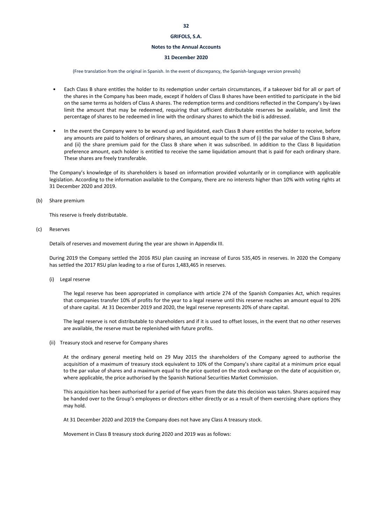#### **Notes to the Annual Accounts**

### **31 December 2020**

(Free translation from the original in Spanish. In the event of discrepancy, the Spanish‐language version prevails)

- Each Class B share entitles the holder to its redemption under certain circumstances, if a takeover bid for all or part of the shares in the Company has been made, except if holders of Class B shares have been entitled to participate in the bid on the same terms as holders of Class A shares. The redemption terms and conditions reflected in the Company's by-laws limit the amount that may be redeemed, requiring that sufficient distributable reserves be available, and limit the percentage of shares to be redeemed in line with the ordinary shares to which the bid is addressed.
- In the event the Company were to be wound up and liquidated, each Class B share entitles the holder to receive, before any amounts are paid to holders of ordinary shares, an amount equal to the sum of (i) the par value of the Class B share, and (ii) the share premium paid for the Class B share when it was subscribed. In addition to the Class B liquidation preference amount, each holder is entitled to receive the same liquidation amount that is paid for each ordinary share. These shares are freely transferable.

The Company's knowledge of its shareholders is based on information provided voluntarily or in compliance with applicable legislation. According to the information available to the Company, there are no interests higher than 10% with voting rights at 31 December 2020 and 2019.

(b) Share premium

This reserve is freely distributable.

(c) Reserves

Details of reserves and movement during the year are shown in Appendix III.

During 2019 the Company settled the 2016 RSU plan causing an increase of Euros 535,405 in reserves. In 2020 the Company has settled the 2017 RSU plan leading to a rise of Euros 1,483,465 in reserves.

(i) Legal reserve

The legal reserve has been appropriated in compliance with article 274 of the Spanish Companies Act, which requires that companies transfer 10% of profits for the year to a legal reserve until this reserve reaches an amount equal to 20% of share capital. At 31 December 2019 and 2020, the legal reserve represents 20% of share capital.

The legal reserve is not distributable to shareholders and if it is used to offset losses, in the event that no other reserves are available, the reserve must be replenished with future profits.

(ii) Treasury stock and reserve for Company shares

At the ordinary general meeting held on 29 May 2015 the shareholders of the Company agreed to authorise the acquisition of a maximum of treasury stock equivalent to 10% of the Company's share capital at a minimum price equal to the par value of shares and a maximum equal to the price quoted on the stock exchange on the date of acquisition or, where applicable, the price authorised by the Spanish National Securities Market Commission.

This acquisition has been authorised for a period of five years from the date this decision was taken. Shares acquired may be handed over to the Group's employees or directors either directly or as a result of them exercising share options they may hold.

At 31 December 2020 and 2019 the Company does not have any Class A treasury stock.

Movement in Class B treasury stock during 2020 and 2019 was as follows: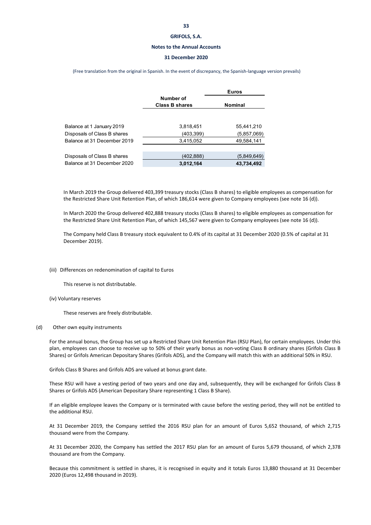#### **Notes to the Annual Accounts**

#### **31 December 2020**

(Free translation from the original in Spanish. In the event of discrepancy, the Spanish‐language version prevails)

|                             |                       | <b>Euros</b>   |
|-----------------------------|-----------------------|----------------|
|                             | Number of             |                |
|                             | <b>Class B shares</b> | <b>Nominal</b> |
|                             |                       |                |
| Balance at 1 January 2019   | 3,818,451             | 55,441,210     |
| Disposals of Class B shares | (403,399)             | (5,857,069)    |
| Balance at 31 December 2019 | 3,415,052             | 49,584,141     |
|                             |                       |                |
| Disposals of Class B shares | (402,888)             | (5,849,649)    |
| Balance at 31 December 2020 | 3,012,164             | 43,734,492     |

In March 2019 the Group delivered 403,399 treasury stocks (Class B shares) to eligible employees as compensation for the Restricted Share Unit Retention Plan, of which 186,614 were given to Company employees (see note 16 (d)).

In March 2020 the Group delivered 402,888 treasury stocks (Class B shares) to eligible employees as compensation for the Restricted Share Unit Retention Plan, of which 145,567 were given to Company employees (see note 16 (d)).

The Company held Class B treasury stock equivalent to 0.4% of its capital at 31 December 2020 (0.5% of capital at 31 December 2019).

#### (iii) Differences on redenomination of capital to Euros

This reserve is not distributable.

(iv) Voluntary reserves

These reserves are freely distributable.

#### (d) Other own equity instruments

For the annual bonus, the Group has set up a Restricted Share Unit Retention Plan (RSU Plan), for certain employees. Under this plan, employees can choose to receive up to 50% of their yearly bonus as non-voting Class B ordinary shares (Grifols Class B Shares) or Grifols American Depositary Shares (Grifols ADS), and the Company will match this with an additional 50% in RSU.

Grifols Class B Shares and Grifols ADS are valued at bonus grant date.

These RSU will have a vesting period of two years and one day and, subsequently, they will be exchanged for Grifols Class B Shares or Grifols ADS (American Depositary Share representing 1 Class B Share).

If an eligible employee leaves the Company or is terminated with cause before the vesting period, they will not be entitled to the additional RSU.

At 31 December 2019, the Company settled the 2016 RSU plan for an amount of Euros 5,652 thousand, of which 2,715 thousand were from the Company.

At 31 December 2020, the Company has settled the 2017 RSU plan for an amount of Euros 5,679 thousand, of which 2,378 thousand are from the Company.

Because this commitment is settled in shares, it is recognised in equity and it totals Euros 13,880 thousand at 31 December 2020 (Euros 12,498 thousand in 2019).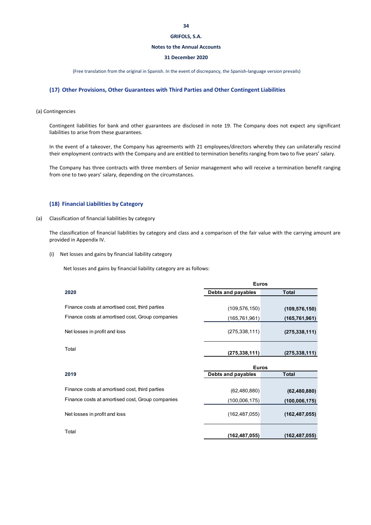#### **Notes to the Annual Accounts**

#### **31 December 2020**

(Free translation from the original in Spanish. In the event of discrepancy, the Spanish‐language version prevails)

### **(17) Other Provisions, Other Guarantees with Third Parties and Other Contingent Liabilities**

#### (a) Contingencies

Contingent liabilities for bank and other guarantees are disclosed in note 19. The Company does not expect any significant liabilities to arise from these guarantees.

In the event of a takeover, the Company has agreements with 21 employees/directors whereby they can unilaterally rescind their employment contracts with the Company and are entitled to termination benefits ranging from two to five years' salary.

The Company has three contracts with three members of Senior management who will receive a termination benefit ranging from one to two years' salary, depending on the circumstances.

### **(18) Financial Liabilities by Category**

#### (a) Classification of financial liabilities by category

The classification of financial liabilities by category and class and a comparison of the fair value with the carrying amount are provided in Appendix IV.

(i) Net losses and gains by financial liability category

Net losses and gains by financial liability category are as follows:

|                                                  | <b>Euros</b>       |                 |
|--------------------------------------------------|--------------------|-----------------|
| 2020                                             | Debts and payables | <b>Total</b>    |
|                                                  |                    |                 |
| Finance costs at amortised cost, third parties   | (109, 576, 150)    | (109, 576, 150) |
| Finance costs at amortised cost, Group companies | (165,761,961)      | (165, 761, 961) |
| Net losses in profit and loss                    | (275, 338, 111)    | (275, 338, 111) |
| Total                                            | (275, 338, 111)    | (275, 338, 111) |

|                                                  | ----               |                 |  |  |
|--------------------------------------------------|--------------------|-----------------|--|--|
| 2019                                             | Debts and payables | <b>Total</b>    |  |  |
|                                                  |                    |                 |  |  |
| Finance costs at amortised cost, third parties   | (62,480,880)       | (62, 480, 880)  |  |  |
| Finance costs at amortised cost, Group companies | (100,006,175)      | (100, 006, 175) |  |  |
| Net losses in profit and loss                    | (162, 487, 055)    | (162, 487, 055) |  |  |
| Total                                            | (162,487,055)      | (162, 487, 055) |  |  |

**Euros**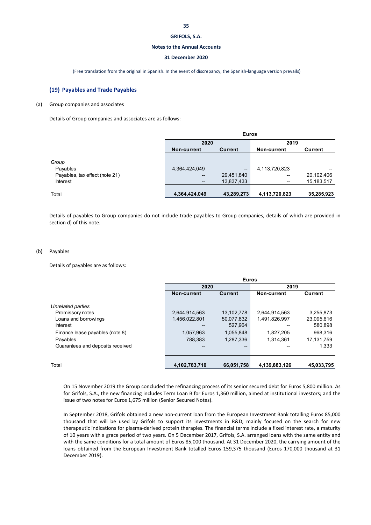#### **Notes to the Annual Accounts**

#### **31 December 2020**

(Free translation from the original in Spanish. In the event of discrepancy, the Spanish‐language version prevails)

#### **(19) Payables and Trade Payables**

#### (a) Group companies and associates

Details of Group companies and associates are as follows:

|                                | <b>Euros</b>             |                   |               |            |
|--------------------------------|--------------------------|-------------------|---------------|------------|
|                                | 2020                     |                   | 2019          |            |
|                                | Non-current              | Current           | Non-current   | Current    |
| Group                          |                          |                   |               |            |
| Payables                       | 4,364,424,049            | $\hspace{0.05cm}$ | 4,113,720,823 | --         |
| Payables, tax effect (note 21) | $\overline{\phantom{a}}$ | 29,451,840        | --            | 20,102,406 |
| <b>Interest</b>                | --                       | 13,837,433        | --            | 15,183,517 |
| Total                          | 4,364,424,049            | 43,289,273        | 4,113,720,823 | 35,285,923 |

Details of payables to Group companies do not include trade payables to Group companies, details of which are provided in section d) of this note.

#### (b) Payables

Details of payables are as follows:

|                                  | <b>Euros</b>       |            |               |            |
|----------------------------------|--------------------|------------|---------------|------------|
|                                  | 2020               |            | 2019          |            |
|                                  | <b>Non-current</b> | Current    | Non-current   | Current    |
| Unrelated parties                |                    |            |               |            |
| Promissory notes                 | 2,644,914,563      | 13,102,778 | 2,644,914,563 | 3,255,873  |
| Loans and borrowings             | 1,456,022,801      | 50,077,832 | 1,491,826,997 | 23,095,616 |
| <b>Interest</b>                  |                    | 527,964    |               | 580,898    |
| Finance lease payables (note 8)  | 1,057,963          | 1,055,848  | 1,827,205     | 968,316    |
| Payables                         | 788.383            | 1,287,336  | 1.314.361     | 17,131,759 |
| Guarantees and deposits received |                    |            |               | 1,333      |
|                                  |                    |            |               |            |
| Total                            | 4,102,783,710      | 66,051,758 | 4,139,883,126 | 45,033,795 |

On 15 November 2019 the Group concluded the refinancing process of its senior secured debt for Euros 5,800 million. As for Grifols, S.A., the new financing includes Term Loan B for Euros 1,360 million, aimed at institutional investors; and the issue of two notes for Euros 1,675 million (Senior Secured Notes).

In September 2018, Grifols obtained a new non-current loan from the European Investment Bank totalling Euros 85,000 thousand that will be used by Grifols to support its investments in R&D, mainly focused on the search for new therapeutic indications for plasma‐derived protein therapies. The financial terms include a fixed interest rate, a maturity of 10 years with a grace period of two years. On 5 December 2017, Grifols, S.A. arranged loans with the same entity and with the same conditions for a total amount of Euros 85,000 thousand. At 31 December 2020, the carrying amount of the loans obtained from the European Investment Bank totalled Euros 159,375 thousand (Euros 170,000 thousand at 31 December 2019).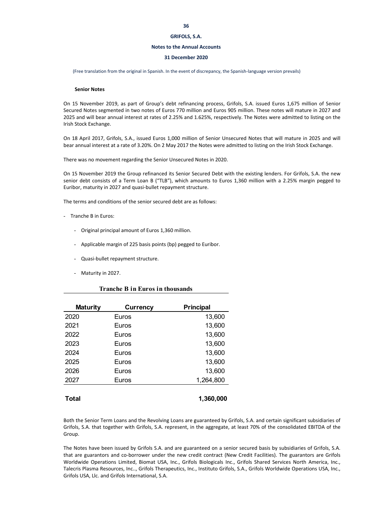#### **Notes to the Annual Accounts**

#### **31 December 2020**

(Free translation from the original in Spanish. In the event of discrepancy, the Spanish‐language version prevails)

#### **Senior Notes**

On 15 November 2019, as part of Group's debt refinancing process, Grifols, S.A. issued Euros 1,675 million of Senior Secured Notes segmented in two notes of Euros 770 million and Euros 905 million. These notes will mature in 2027 and 2025 and will bear annual interest at rates of 2.25% and 1.625%, respectively. The Notes were admitted to listing on the Irish Stock Exchange.

On 18 April 2017, Grifols, S.A., issued Euros 1,000 million of Senior Unsecured Notes that will mature in 2025 and will bear annual interest at a rate of 3.20%. On 2 May 2017 the Notes were admitted to listing on the Irish Stock Exchange.

There was no movement regarding the Senior Unsecured Notes in 2020.

On 15 November 2019 the Group refinanced its Senior Secured Debt with the existing lenders. For Grifols, S.A. the new senior debt consists of a Term Loan B ("TLB"), which amounts to Euros 1,360 million with a 2.25% margin pegged to Euribor, maturity in 2027 and quasi‐bullet repayment structure.

The terms and conditions of the senior secured debt are as follows:

- Tranche B in Euros:
	- Original principal amount of Euros 1,360 million.
	- Applicable margin of 225 basis points (bp) pegged to Euribor.
	- Quasi‐bullet repayment structure.
	- Maturity in 2027.

#### **Tranche B in Euros in thousands**

| <b>Currency</b> | Principal |
|-----------------|-----------|
| Euros           | 13,600    |
| Euros           | 13,600    |
| Euros           | 13,600    |
| Euros           | 13,600    |
| Euros           | 13,600    |
| Euros           | 13,600    |
| Euros           | 13,600    |
| Euros           | 1,264,800 |
|                 | 1,360,000 |
|                 |           |

Both the Senior Term Loans and the Revolving Loans are guaranteed by Grifols, S.A. and certain significant subsidiaries of Grifols, S.A. that together with Grifols, S.A. represent, in the aggregate, at least 70% of the consolidated EBITDA of the Group.

The Notes have been issued by Grifols S.A. and are guaranteed on a senior secured basis by subsidiaries of Grifols, S.A. that are guarantors and co‐borrower under the new credit contract (New Credit Facilities). The guarantors are Grifols Worldwide Operations Limited, Biomat USA, Inc., Grifols Biologicals Inc., Grifols Shared Services North America, Inc., Talecris Plasma Resources, Inc.., Grifols Therapeutics, Inc., Instituto Grifols, S.A., Grifols Worldwide Operations USA, Inc., Grifols USA, Llc. and Grifols International, S.A.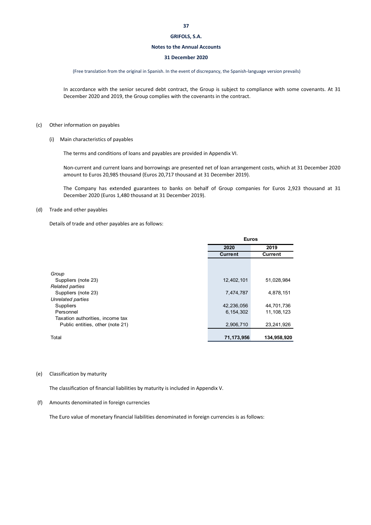#### **Notes to the Annual Accounts**

#### **31 December 2020**

(Free translation from the original in Spanish. In the event of discrepancy, the Spanish‐language version prevails)

In accordance with the senior secured debt contract, the Group is subject to compliance with some covenants. At 31 December 2020 and 2019, the Group complies with the covenants in the contract.

#### (c) Other information on payables

(i) Main characteristics of payables

The terms and conditions of loans and payables are provided in Appendix VI.

Non‐current and current loans and borrowings are presented net of loan arrangement costs, which at 31 December 2020 amount to Euros 20,985 thousand (Euros 20,717 thousand at 31 December 2019).

The Company has extended guarantees to banks on behalf of Group companies for Euros 2,923 thousand at 31 December 2020 (Euros 1,480 thousand at 31 December 2019).

#### (d) Trade and other payables

Details of trade and other payables are as follows:

|                                  | <b>Euros</b>   |              |  |
|----------------------------------|----------------|--------------|--|
|                                  | 2020           | 2019         |  |
|                                  | <b>Current</b> | Current      |  |
|                                  |                |              |  |
|                                  |                |              |  |
| Group                            |                |              |  |
| Suppliers (note 23)              | 12,402,101     | 51,028,984   |  |
| <b>Related parties</b>           |                |              |  |
| Suppliers (note 23)              | 7,474,787      | 4,878,151    |  |
| Unrelated parties                |                |              |  |
| Suppliers                        | 42,236,056     | 44,701,736   |  |
| Personnel                        | 6, 154, 302    | 11, 108, 123 |  |
| Taxation authorities, income tax |                |              |  |
| Public entities, other (note 21) | 2,906,710      | 23,241,926   |  |
|                                  |                |              |  |
| Total                            | 71,173,956     | 134,958,920  |  |

### (e) Classification by maturity

The classification of financial liabilities by maturity is included in Appendix V.

(f) Amounts denominated in foreign currencies

The Euro value of monetary financial liabilities denominated in foreign currencies is as follows: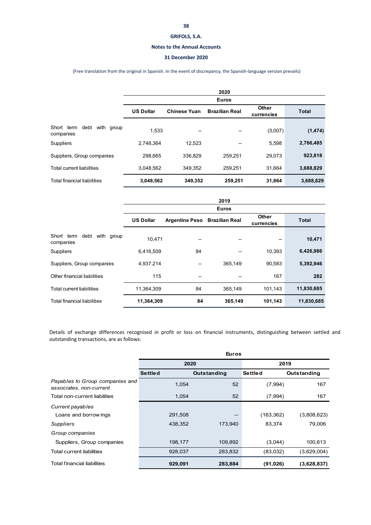#### **Notes to the Annual Accounts**

### **31 December 2020**

### (Free translation from the original in Spanish. In the event of discrepancy, the Spanish‐language version prevails)

|                                               |                  |                     | 2020                  |                     |              |
|-----------------------------------------------|------------------|---------------------|-----------------------|---------------------|--------------|
|                                               |                  |                     | <b>Euros</b>          |                     |              |
|                                               | <b>US Dollar</b> | <b>Chinese Yuan</b> | <b>Brazilian Real</b> | Other<br>currencies | <b>Total</b> |
| Short term<br>debt<br>with group<br>companies | 1.533            | --                  | --                    | (3,007)             | (1, 474)     |
| <b>Suppliers</b>                              | 2.748.364        | 12.523              | --                    | 5,598               | 2,766,485    |
| Suppliers, Group companies                    | 298.665          | 336.829             | 259.251               | 29,073              | 923,818      |
| <b>Total current liabilities</b>              | 3.048.562        | 349.352             | 259.251               | 31.664              | 3,688,829    |
| <b>Total financial liabilities</b>            | 3,048,562        | 349,352             | 259,251               | 31,664              | 3,688,829    |

|                                            |                  |                       | 2019                  |                     |              |
|--------------------------------------------|------------------|-----------------------|-----------------------|---------------------|--------------|
|                                            |                  |                       | <b>Euros</b>          |                     |              |
|                                            | <b>US Dollar</b> | <b>Argentine Peso</b> | <b>Brazilian Real</b> | Other<br>currencies | <b>Total</b> |
| Short term debt<br>with group<br>companies | 10.471           | --                    | --                    | --                  | 10,471       |
| Suppliers                                  | 6,416,509        | 84                    |                       | 10.393              | 6,426,986    |
| Suppliers, Group companies                 | 4,937,214        | --                    | 365,149               | 90,583              | 5,392,946    |
| Other financial liabilities                | 115              | --                    |                       | 167                 | 282          |
| <b>Total current liabilities</b>           | 11,364,309       | 84                    | 365,149               | 101,143             | 11,830,685   |
| Total financial liabilities                | 11,364,309       | 84                    | 365,149               | 101,143             | 11,830,685   |

Details of exchange differences recognised in profit or loss on financial instruments, distinguishing between settled and outstanding transactions, are as follows:

|                                                            |                | <b>Euros</b> |                |             |
|------------------------------------------------------------|----------------|--------------|----------------|-------------|
|                                                            | 2020           |              | 2019           |             |
|                                                            | <b>Settled</b> | Outstanding  | <b>Settled</b> | Outstanding |
| Payables to Group companies and<br>associates, non-current | 1.054          | 52           | (7,994)        | 167         |
| Total non-current liabilities                              | 1.054          | 52           | (7,994)        | 167         |
| Current payables                                           |                |              |                |             |
| Loans and borrow ings                                      | 291,508        | $- -$        | (163, 362)     | (3,808,623) |
| Suppliers                                                  | 438,352        | 173.940      | 83,374         | 79.006      |
| Group companies                                            |                |              |                |             |
| Suppliers, Group companies                                 | 198,177        | 109,892      | (3,044)        | 100,613     |
| <b>Total current liabilities</b>                           | 928,037        | 283,832      | (83,032)       | (3,629,004) |
| <b>Total financial liabilities</b>                         | 929,091        | 283,884      | (91, 026)      | (3,628,837) |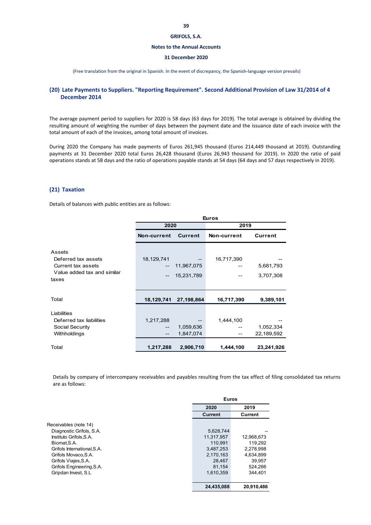#### **Notes to the Annual Accounts**

#### **31 December 2020**

(Free translation from the original in Spanish. In the event of discrepancy, the Spanish‐language version prevails)

### **(20) Late Payments to Suppliers. "Reporting Requirement". Second Additional Provision of Law 31/2014 of 4 December 2014**

The average payment period to suppliers for 2020 is 58 days (63 days for 2019). The total average is obtained by dividing the resulting amount of weighting the number of days between the payment date and the issuance date of each invoice with the total amount of each of the invoices, among total amount of invoices.

During 2020 the Company has made payments of Euros 261,945 thousand (Euros 214,449 thousand at 2019). Outstanding payments at 31 December 2020 total Euros 26,428 thousand (Euros 26,943 thousand for 2019). In 2020 the ratio of paid operations stands at 58 days and the ratio of operations payable stands at 54 days (64 days and 57 days respectively in 2019).

### **(21) Taxation**

Details of balances with public entities are as follows:

|                                      | <b>Euros</b> |            |             |            |
|--------------------------------------|--------------|------------|-------------|------------|
|                                      | 2020         |            | 2019        |            |
|                                      | Non-current  | Current    | Non-current | Current    |
| Assets<br>Deferred tax assets        | 18,129,741   |            | 16,717,390  |            |
| Current tax assets                   |              | 11,967,075 |             | 5,681,793  |
| Value added tax and similar<br>taxes | --           | 15,231,789 |             | 3,707,308  |
| Total                                | 18,129,741   | 27,198,864 | 16,717,390  | 9,389,101  |
| Liabilities                          |              |            |             |            |
| Deferred tax liabilities             | 1,217,288    |            | 1,444,100   |            |
| Social Security                      | --           | 1,059,636  |             | 1,052,334  |
| Withholdings                         | $- -$        | 1,847,074  | --          | 22,189,592 |
| Total                                | 1,217,288    | 2,906,710  | 1,444,100   | 23,241,926 |

Details by company of intercompany receivables and payables resulting from the tax effect of filing consolidated tax returns are as follows:

|                             | <b>Euros</b>   |            |
|-----------------------------|----------------|------------|
|                             | 2020           | 2019       |
|                             | <b>Current</b> | Current    |
| Receivables (note 14)       |                |            |
| Diagnostic Grifols, S.A.    | 5,628,744      |            |
| Instituto Grifols.S.A.      | 11.317.957     | 12,968,673 |
| Biomat.S.A.                 | 110.991        | 119.292    |
| Grifols International, S.A. | 3,487,253      | 2,278,998  |
| Grifols Movaco, S.A.        | 2,170,163      | 4.634.899  |
| Grifols Viajes, S.A.        | 28.467         | 39.957     |
| Grifols Engineering, S.A.   | 81,154         | 524.266    |
| Gripdan Invest, S.L.        | 1,610,359      | 344.401    |
|                             | 24,435,088     | 20,910,486 |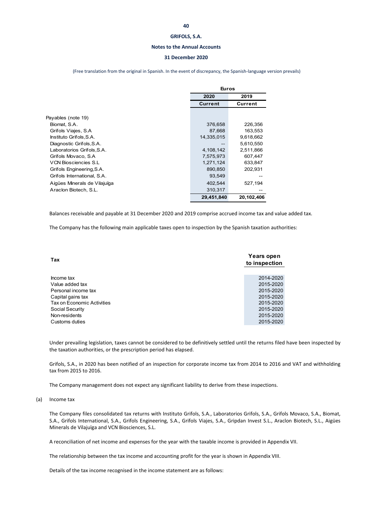#### **Notes to the Annual Accounts**

#### **31 December 2020**

(Free translation from the original in Spanish. In the event of discrepancy, the Spanish‐language version prevails)

|                              | <b>Euros</b> |            |  |
|------------------------------|--------------|------------|--|
|                              | 2020         | 2019       |  |
|                              | Current      | Current    |  |
|                              |              |            |  |
| Payables (note 19)           |              |            |  |
| Biomat, S.A.                 | 376,658      | 226,356    |  |
| Grifols Viajes, S.A          | 87,668       | 163,553    |  |
| Instituto Grifols, S.A.      | 14,335,015   | 9,618,662  |  |
| Diagnostic Grifols, S.A.     | --           | 5,610,550  |  |
| Laboratorios Grifols.S.A.    | 4,108,142    | 2,511,866  |  |
| Grifols Movaco, S.A.         | 7,575,973    | 607,447    |  |
| <b>VCN Biosciencies S.L.</b> | 1,271,124    | 633,847    |  |
| Grifols Engineering, S.A.    | 890,850      | 202,931    |  |
| Grifols International, S.A.  | 93,549       |            |  |
| Aigües Minerals de Vilajuïga | 402,544      | 527,194    |  |
| Araclon Biotech, S.L.        | 310,317      |            |  |
|                              | 29,451,840   | 20,102,406 |  |

Balances receivable and payable at 31 December 2020 and 2019 comprise accrued income tax and value added tax.

The Company has the following main applicable taxes open to inspection by the Spanish taxation authorities:

| Tax                        | Years open<br>to inspection |
|----------------------------|-----------------------------|
|                            |                             |
| Income tax                 | 2014-2020                   |
| Value added tax            | 2015-2020                   |
| Personal income tax        | 2015-2020                   |
| Capital gains tax          | 2015-2020                   |
| Tax on Economic Activities | 2015-2020                   |
| Social Security            | 2015-2020                   |
| Non-residents              | 2015-2020                   |
| Customs duties             | 2015-2020                   |

Under prevailing legislation, taxes cannot be considered to be definitively settled until the returns filed have been inspected by the taxation authorities, or the prescription period has elapsed.

Grifols, S.A., in 2020 has been notified of an inspection for corporate income tax from 2014 to 2016 and VAT and withholding tax from 2015 to 2016.

The Company management does not expect any significant liability to derive from these inspections.

#### (a) Income tax

The Company files consolidated tax returns with Instituto Grifols, S.A., Laboratorios Grifols, S.A., Grifols Movaco, S.A., Biomat, S.A., Grifols International, S.A., Grifols Engineering, S.A., Grifols Viajes, S.A., Gripdan Invest S.L., Araclon Biotech, S.L., Aigües Minerals de Vilajuïga and VCN Biosciences, S.L.

A reconciliation of net income and expenses for the year with the taxable income is provided in Appendix VII.

The relationship between the tax income and accounting profit for the year is shown in Appendix VIII.

Details of the tax income recognised in the income statement are as follows: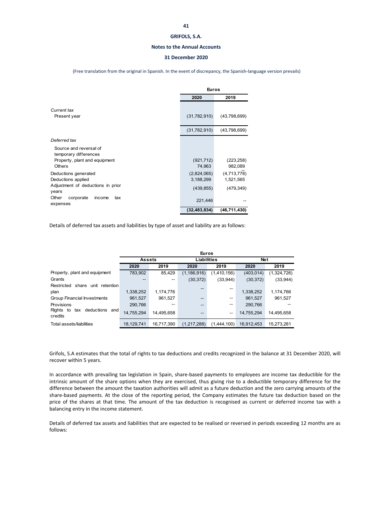#### **Notes to the Annual Accounts**

#### **31 December 2020**

(Free translation from the original in Spanish. In the event of discrepancy, the Spanish‐language version prevails)

|                                                                                            | <b>Euros</b>                           |                                        |
|--------------------------------------------------------------------------------------------|----------------------------------------|----------------------------------------|
|                                                                                            | 2020                                   | 2019                                   |
| Current tax<br>Present year                                                                | (31,782,910)                           | (43,798,699)                           |
|                                                                                            | (31,782,910)                           | (43,798,699)                           |
| Deferred tax                                                                               |                                        |                                        |
| Source and reversal of<br>temporary differences<br>Property, plant and equipment<br>Others | (921, 712)<br>74,963                   | (223, 258)<br>982,089                  |
| Deductions generated<br>Deductions applied<br>Adjustment of deductions in prior            | (2,824,065)<br>3,188,299<br>(439, 855) | (4,713,778)<br>1,521,565<br>(479, 349) |
| years<br>Other<br>corporate<br>income<br>tax<br>expenses                                   | 221,446                                |                                        |
|                                                                                            | (32, 483, 834)                         | (46, 711, 430)                         |

Details of deferred tax assets and liabilities by type of asset and liability are as follows:

|                                               |               | <b>Euros</b> |                    |             |            |             |  |  |  |
|-----------------------------------------------|---------------|--------------|--------------------|-------------|------------|-------------|--|--|--|
|                                               | <b>Assets</b> |              | <b>Liabilities</b> |             | <b>Net</b> |             |  |  |  |
|                                               | 2020          | 2019         | 2020               | 2019        | 2020       | 2019        |  |  |  |
| Property, plant and equipment                 | 783,902       | 85.429       | (1,186,916)        | (1,410,156) | (403, 014) | (1,324,726) |  |  |  |
| Grants                                        | $-$           | --           | (30, 372)          | (33,944)    | (30, 372)  | (33,944)    |  |  |  |
| Restricted share unit retention               |               |              | --                 | --          |            |             |  |  |  |
| plan                                          | 1,338,252     | 1,174,776    |                    |             | 1,338,252  | 1,174,766   |  |  |  |
| Group Financial Investments                   | 961,527       | 961.527      | --                 | $- -$       | 961,527    | 961,527     |  |  |  |
| Provisions                                    | 290,766       |              | --                 | --          | 290,766    |             |  |  |  |
| Rights to<br>deductions and<br>tax<br>credits | 14,755,294    | 14.495.658   | --                 | $- -$       | 14.755.294 | 14,495,658  |  |  |  |
| Total assets/liabilities                      | 18.129.741    | 16.717.390   | (1,217,288)        | (1.444.100) | 16.912.453 | 15,273,281  |  |  |  |

Grifols, S.A estimates that the total of rights to tax deductions and credits recognized in the balance at 31 December 2020, will recover within 5 years.

In accordance with prevailing tax legislation in Spain, share-based payments to employees are income tax deductible for the intrinsic amount of the share options when they are exercised, thus giving rise to a deductible temporary difference for the difference between the amount the taxation authorities will admit as a future deduction and the zero carrying amounts of the share-based payments. At the close of the reporting period, the Company estimates the future tax deduction based on the price of the shares at that time. The amount of the tax deduction is recognised as current or deferred income tax with a balancing entry in the income statement.

Details of deferred tax assets and liabilities that are expected to be realised or reversed in periods exceeding 12 months are as follows: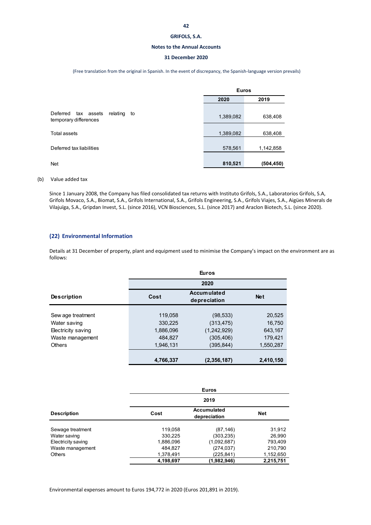### **42**

#### **GRIFOLS, S.A.**

#### **Notes to the Annual Accounts**

### **31 December 2020**

#### (Free translation from the original in Spanish. In the event of discrepancy, the Spanish‐language version prevails)

|                                                                   | <b>Euros</b> |            |
|-------------------------------------------------------------------|--------------|------------|
|                                                                   | 2020         | 2019       |
| Deferred<br>relating<br>tax assets<br>to<br>temporary differences | 1,389,082    | 638,408    |
| Total assets                                                      | 1,389,082    | 638,408    |
| Deferred tax liabilities                                          | 578,561      | 1,142,858  |
| <b>Net</b>                                                        | 810,521      | (504, 450) |

#### (b) Value added tax

Since 1 January 2008, the Company has filed consolidated tax returns with Instituto Grifols, S.A., Laboratorios Grifols, S.A, Grifols Movaco, S.A., Biomat, S.A., Grifols International, S.A., Grifols Engineering, S.A., Grifols Viajes, S.A., Aigües Minerals de Vilajuïga, S.A., Gripdan Invest, S.L. (since 2016), VCN Biosciences, S.L. (since 2017) and Araclon Biotech, S.L. (since 2020).

### **(22) Environmental Information**

Details at 31 December of property, plant and equipment used to minimise the Company's impact on the environment are as follows:

|                    | <b>Euros</b> |                                    |            |  |  |  |  |
|--------------------|--------------|------------------------------------|------------|--|--|--|--|
|                    |              | 2020                               |            |  |  |  |  |
| <b>Description</b> | Cost         | <b>Accumulated</b><br>depreciation | <b>Net</b> |  |  |  |  |
|                    |              |                                    |            |  |  |  |  |
| Sew age treatment  | 119,058      | (98, 533)                          | 20,525     |  |  |  |  |
| Water saving       | 330,225      | (313, 475)                         | 16,750     |  |  |  |  |
| Electricity saving | 1,886,096    | (1,242,929)                        | 643.167    |  |  |  |  |
| Waste management   | 484.827      | (305, 406)                         | 179,421    |  |  |  |  |
| <b>Others</b>      | 1,946,131    | (395,844)                          | 1,550,287  |  |  |  |  |
|                    |              |                                    |            |  |  |  |  |
|                    | 4,766,337    | (2,356,187)                        | 2,410,150  |  |  |  |  |

|                    | <b>Euros</b> |                                    |            |  |  |  |  |
|--------------------|--------------|------------------------------------|------------|--|--|--|--|
|                    | 2019         |                                    |            |  |  |  |  |
| <b>Description</b> | Cost         | <b>Accumulated</b><br>depreciation | <b>Net</b> |  |  |  |  |
| Sewage treatment   | 119,058      | (87, 146)                          | 31,912     |  |  |  |  |
| Water saving       | 330.225      | (303, 235)                         | 26,990     |  |  |  |  |
| Electricity saving | 1,886,096    | (1,092,687)                        | 793,409    |  |  |  |  |
| Waste management   | 484,827      | (274, 037)                         | 210,790    |  |  |  |  |
| <b>Others</b>      | 1,378,491    | (225,841)                          | 1,152,650  |  |  |  |  |
|                    | 4,198,697    | (1,982,946)                        | 2,215,751  |  |  |  |  |

Environmental expenses amount to Euros 194,772 in 2020 (Euros 201,891 in 2019).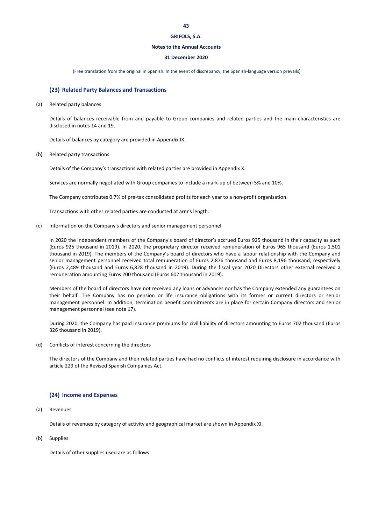#### **Notes to the Annual Accounts**

#### **31 December 2020**

(Free translation from the original in Spanish. In the event of discrepancy, the Spanish‐language version prevails)

#### **(23) Related Party Balances and Transactions**

#### (a) Related party balances

Details of balances receivable from and payable to Group companies and related parties and the main characteristics are disclosed in notes 14 and 19.

Details of balances by category are provided in Appendix IX.

(b) Related party transactions

Details of the Company's transactions with related parties are provided in Appendix X.

Services are normally negotiated with Group companies to include a mark‐up of between 5% and 10%.

The Company contributes 0.7% of pre-tax consolidated profits for each year to a non-profit organisation.

Transactions with other related parties are conducted at arm's length.

(c) Information on the Company's directors and senior management personnel

In 2020 the independent members of the Company's board of director's accrued Euros 925 thousand in their capacity as such (Euros 925 thousand in 2019). In 2020, the proprietary director received remuneration of Euros 965 thousand (Euros 1,501 thousand in 2019). The members of the Company's board of directors who have a labour relationship with the Company and senior management personnel received total remuneration of Euros 2,876 thousand and Euros 8,196 thousand, respectively (Euros 2,489 thousand and Euros 6,828 thousand in 2019). During the fiscal year 2020 Directors other external received a remuneration amounting Euros 200 thousand (Euros 602 thousand in 2019).

Members of the board of directors have not received any loans or advances nor has the Company extended any guarantees on their behalf. The Company has no pension or life insurance obligations with its former or current directors or senior management personnel. In addition, termination benefit commitments are in place for certain Company directors and senior management personnel (see note 17).

During 2020, the Company has paid insurance premiums for civil liability of directors amounting to Euros 702 thousand (Euros 326 thousand in 2019).

(d) Conflicts of interest concerning the directors

The directors of the Company and their related parties have had no conflicts of interest requiring disclosure in accordance with article 229 of the Revised Spanish Companies Act.

### **(24) Income and Expenses**

(a) Revenues

Details of revenues by category of activity and geographical market are shown in Appendix XI.

(b) Supplies

Details of other supplies used are as follows: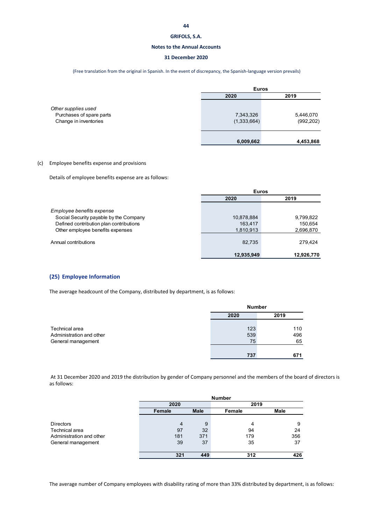#### **Notes to the Annual Accounts**

### **31 December 2020**

(Free translation from the original in Spanish. In the event of discrepancy, the Spanish‐language version prevails)

|                                                                          | <b>Euros</b>             |                         |  |  |
|--------------------------------------------------------------------------|--------------------------|-------------------------|--|--|
|                                                                          | 2020                     | 2019                    |  |  |
| Other supplies used<br>Purchases of spare parts<br>Change in inventories | 7,343,326<br>(1,333,664) | 5,446,070<br>(992, 202) |  |  |
|                                                                          | 6,009,662                | 4,453,868               |  |  |

### (c) Employee benefits expense and provisions

Details of employee benefits expense are as follows:

|                                         | <b>Euros</b> |            |
|-----------------------------------------|--------------|------------|
|                                         | 2020         | 2019       |
| Employee benefits expense               |              |            |
| Social Security payable by the Company  | 10,878,884   | 9,799,822  |
| Defined contribution plan contributions | 163.417      | 150,654    |
| Other employee benefits expenses        | 1,810,913    | 2,696,870  |
| Annual contributions                    | 82,735       | 279.424    |
|                                         | 12,935,949   | 12,926,770 |

### **(25) Employee Information**

The average headcount of the Company, distributed by department, is as follows:

|                                                |      | <b>Number</b> |           |
|------------------------------------------------|------|---------------|-----------|
|                                                | 2020 |               | 2019      |
| Technical area                                 |      | 123           | 110       |
| Administration and other<br>General management |      | 539<br>75     | 496<br>65 |
|                                                |      |               |           |
|                                                |      | 737           | 671       |

At 31 December 2020 and 2019 the distribution by gender of Company personnel and the members of the board of directors is as follows:

|                          |                |             | <b>Number</b> |             |
|--------------------------|----------------|-------------|---------------|-------------|
|                          | 2020           |             | 2019          |             |
|                          | Female         | <b>Male</b> | Female        | <b>Male</b> |
|                          |                |             |               |             |
| <b>Directors</b>         | $\overline{4}$ | 9           | 4             | 9           |
| Technical area           | 97             | 32          | 94            | 24          |
| Administration and other | 181            | 371         | 179           | 356         |
| General management       | 39             | 37          | 35            | 37          |
|                          |                |             |               |             |
|                          | 321            | 449         | 312           | 426         |

The average number of Company employees with disability rating of more than 33% distributed by department, is as follows: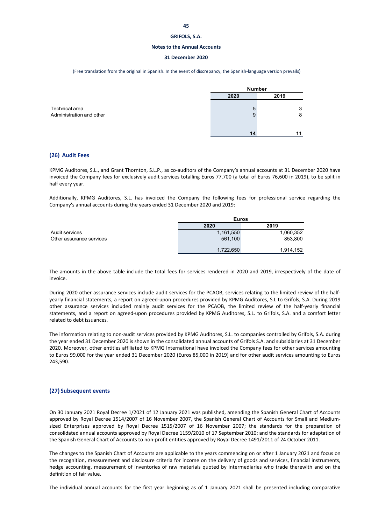#### **Notes to the Annual Accounts**

#### **31 December 2020**

(Free translation from the original in Spanish. In the event of discrepancy, the Spanish‐language version prevails)

|                                            | <b>Number</b> |        |  |  |
|--------------------------------------------|---------------|--------|--|--|
|                                            | 2019<br>2020  |        |  |  |
| Technical area<br>Administration and other | 5<br>9        | 3<br>8 |  |  |
|                                            | 14            |        |  |  |

#### **(26) Audit Fees**

KPMG Auditores, S.L., and Grant Thornton, S.L.P., as co‐auditors of the Company's annual accounts at 31 December 2020 have invoiced the Company fees for exclusively audit services totalling Euros 77,700 (a total of Euros 76,600 in 2019), to be split in half every year.

Additionally, KPMG Auditores, S.L. has invoiced the Company the following fees for professional service regarding the Company's annual accounts during the years ended 31 December 2020 and 2019:

|                          | <b>Euros</b> |           |
|--------------------------|--------------|-----------|
|                          | 2020         | 2019      |
| Audit services           | 1,161,550    | 1,060,352 |
| Other assurance services | 561,100      | 853,800   |
|                          |              |           |
|                          | 1,722,650    | 1,914,152 |

The amounts in the above table include the total fees for services rendered in 2020 and 2019, irrespectively of the date of invoice.

During 2020 other assurance services include audit services for the PCAOB, services relating to the limited review of the half‐ yearly financial statements, a report on agreed‐upon procedures provided by KPMG Auditores, S.L to Grifols, S.A. During 2019 other assurance services included mainly audit services for the PCAOB, the limited review of the half‐yearly financial statements, and a report on agreed‐upon procedures provided by KPMG Auditores, S.L. to Grifols, S.A. and a comfort letter related to debt issuances.

The information relating to non‐audit services provided by KPMG Auditores, S.L. to companies controlled by Grifols, S.A. during the year ended 31 December 2020 is shown in the consolidated annual accounts of Grifols S.A. and subsidiaries at 31 December 2020. Moreover, other entities affiliated to KPMG International have invoiced the Company fees for other services amounting to Euros 99,000 for the year ended 31 December 2020 (Euros 85,000 in 2019) and for other audit services amounting to Euros 243,590.

#### **(27) Subsequent events**

On 30 January 2021 Royal Decree 1/2021 of 12 January 2021 was published, amending the Spanish General Chart of Accounts approved by Royal Decree 1514/2007 of 16 November 2007, the Spanish General Chart of Accounts for Small and Medium‐ sized Enterprises approved by Royal Decree 1515/2007 of 16 November 2007; the standards for the preparation of consolidated annual accounts approved by Royal Decree 1159/2010 of 17 September 2010; and the standards for adaptation of the Spanish General Chart of Accounts to non-profit entities approved by Royal Decree 1491/2011 of 24 October 2011.

The changes to the Spanish Chart of Accounts are applicable to the years commencing on or after 1 January 2021 and focus on the recognition, measurement and disclosure criteria for income on the delivery of goods and services, financial instruments, hedge accounting, measurement of inventories of raw materials quoted by intermediaries who trade therewith and on the definition of fair value.

The individual annual accounts for the first year beginning as of 1 January 2021 shall be presented including comparative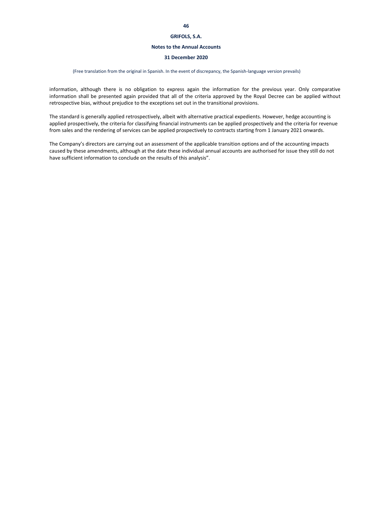#### **Notes to the Annual Accounts**

#### **31 December 2020**

#### (Free translation from the original in Spanish. In the event of discrepancy, the Spanish‐language version prevails)

information, although there is no obligation to express again the information for the previous year. Only comparative information shall be presented again provided that all of the criteria approved by the Royal Decree can be applied without retrospective bias, without prejudice to the exceptions set out in the transitional provisions.

The standard is generally applied retrospectively, albeit with alternative practical expedients. However, hedge accounting is applied prospectively, the criteria for classifying financial instruments can be applied prospectively and the criteria for revenue from sales and the rendering of services can be applied prospectively to contracts starting from 1 January 2021 onwards.

The Company's directors are carrying out an assessment of the applicable transition options and of the accounting impacts caused by these amendments, although at the date these individual annual accounts are authorised for issue they still do not have sufficient information to conclude on the results of this analysis".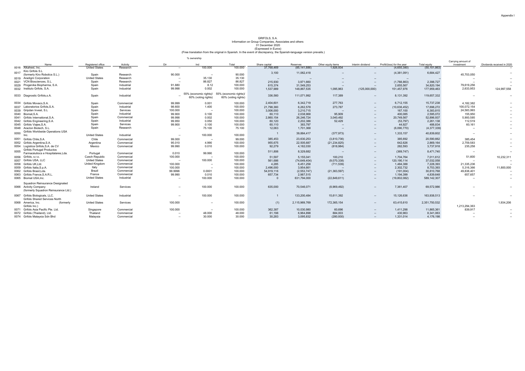# (Free translation from the original in Spanish. In the event of discrepancy, the Spanish-language version prevails.) GRIFOLS, S.A. Information on Group Companies, Associates and others 31 December 2020 (Expressed in Euros)

% ownership

|      |                                      |                       |            |         |                          |                        |               |                |                    |                          |                            |                | Carrying amount of |                            |
|------|--------------------------------------|-----------------------|------------|---------|--------------------------|------------------------|---------------|----------------|--------------------|--------------------------|----------------------------|----------------|--------------------|----------------------------|
|      | Name                                 | Registered office     | Activity   | Dir     | Ind                      | Total                  | Share capital | Reserves       | Other equity items | Interim dividend         | Profit/(loss) for the year | Total equity   | investment         | Dividends received in 2020 |
|      | 0016 Alkahest, Inc.                  | <b>United States</b>  | Research   | $\sim$  | 100,000                  | 100.000                | 37,768,469    | (85, 141, 886) | 1,926,934          | $\overline{\phantom{a}}$ | (4,655,380)                | (50, 101, 863) |                    |                            |
| 0017 | Kiro Grifols S.L                     |                       |            |         |                          |                        | 3,100         | 11,062,418     |                    |                          | (4,381,091)                | 6,684,427      |                    |                            |
|      | (formerly Kiro Robotics S.L.)        | Spain                 | Research   | 90.000  | - 11                     | 90.000                 |               |                | $\sim$             | $\sim$                   |                            |                | 45,703,050         |                            |
|      | 0019 Aradigm Corporation             | <b>United States</b>  | Research   |         | 35.130                   | 35.130                 | --            |                | $\sim$             | $\overline{\phantom{a}}$ | $\sim$                     |                |                    |                            |
|      | 0021 VCN Biosciences, S.L.           | Spain                 | Research   | $\sim$  | 86.827                   | 86.827                 | 215,930       | 3,971,660      |                    | $\sim$                   | (1,788,863)                | 2,398,727      |                    |                            |
|      | 0029 Progenika Biopharma, S.A.       | Spain                 | Industrial | 91.880  | 8.12                     | 100.000                | 615,374       | 31,549,253     | $\sim$             | $\sim$                   | 2,655,567                  | 34,820,194     | 79,619,256         |                            |
|      | 0032 Instituto Grifols, S.A.         | Spain                 | Industrial | 99.998  | 0.002                    | 100,000                | 1,537,989     | 148,867,535    | 1,095,963          | (125,000,000)            | 151,457,976                | 177,959,463    | 2,633,953          | 124,997,558                |
|      |                                      |                       |            |         |                          |                        |               |                |                    |                          |                            |                |                    |                            |
|      | 0033 Diagnostic Grifols, s.A.        | Spain                 | Industrial |         | 55% (economic rights)/   | 55% (economic rights)/ | 336,560       | 111.071.992    | 117,389            | $\overline{\phantom{a}}$ | 8,131,392                  | 119,657,332    | $\sim$             |                            |
|      |                                      |                       |            |         | 60% (voting rights)      | 60% (voting rights)    |               |                |                    |                          |                            |                |                    |                            |
|      |                                      |                       |            |         |                          |                        |               |                |                    |                          |                            |                |                    |                            |
|      | 0034 Grifols Movaco, S.A.            | Spain                 | Commercial | 99.999  | 0.001                    | 100.000                | 2,404,601     | 6,342,719      | 277,763            | $\overline{\phantom{a}}$ | 6,712,155                  | 15,737,238     | 4,182,382          |                            |
|      | 0037 Laboratorios Grifols.S.A.       | Spain                 | Industrial | 98.600  | 1.400                    | 100.000                | 21,798,360    | 6,262,578      | 273,787            | $\sim$                   | (10, 636, 452)             | 17,698,272     | 100,072,154        |                            |
|      | 0039 Gripdan Invest, S.L.            | Spain                 | Services   | 100.000 | $\sim$                   | 100.000                | 3,006,000     | 3,210,715      |                    | $\overline{\phantom{a}}$ | 167,100                    | 6,383,815      | 24,583,993         |                            |
|      | 0040 Biomat.S.A.                     | Spain                 | Industrial | 99.900  | 0.100                    | 100.000                | 60.110        | 2,038,968      | 95.909             | $\overline{\phantom{a}}$ | 400,085                    | 2,595,072      | 155,950            |                            |
|      | 0041 Grifols International, S.A.     | Spain                 | Commercial | 99.998  | 0.002                    | 100.000                | 2,860,154     | 26,246,724     | 3,040,492          | $\overline{\phantom{a}}$ | 20,749,567                 | 52,896,937     | 5,900,585          |                            |
|      | 0042 Grifols Engineering, S.A.       | Spain                 | Industrial | 99.950  | 0.050                    | 100.000                | 60.120        | 2,202,386      | 52,429             | $\sim$                   | (53, 797)                  | 2,261,138      | 112,519            |                            |
|      | 0045 Grifols Viajes, S.A.            | Spain                 | Services   | 99.900  | 0.100                    | 100.000                | 60,110        | 383,797        | $\sim$             | $\sim$                   | 44,927                     | 488,834        | 60,161             |                            |
|      | 0048 Araclon Biotech, S.L.           | Spain                 | Research   |         | 75.100                   | 75.100                 | 12.063        | 1,701,368      |                    | $\overline{\phantom{a}}$ | (6,090,770)                | (4,377,339)    |                    |                            |
|      | Grifols Worldwide Operations USA     |                       |            |         |                          |                        |               |                |                    |                          |                            |                |                    |                            |
| 0050 | Inc.                                 | <b>United States</b>  | Industrial | $\sim$  | 100,000                  | 100.000                |               | 39,884,417     | (377, 973)         | $\overline{\phantom{a}}$ | 1,333,157                  | 40,839,602     |                    |                            |
|      |                                      |                       |            |         |                          |                        |               |                |                    |                          |                            |                |                    |                            |
|      | 0051 Grifols Chile, S.A.             | Chile                 | Commercial | 99.000  | - -                      | 99.000                 | 385,453       | 23,630,253     | (3,810,736)        | $\overline{\phantom{a}}$ | 385,692                    | 20,590,662     | 385,454            |                            |
|      | 0052 Grifols Argentina, S.A.         | Argentina             | Commercial | 95.010  | 4.990                    | 100.000                | 955,675       | 22,505,687     | (21, 234, 825)     | $\sim$                   | 642,626                    | 2,869,164      | 2,759,583          |                            |
|      | 0054 Logística Grifols, S.A. de CV   | Mexico                | Commercial | 99.990  | 0.010                    | 100.000                | 92,279        | 4,182,030      | (818, 984)         | $\overline{\phantom{a}}$ | 282,593                    | 3,737,918      | 235,258            |                            |
| 0055 | <b>Grifols Portugal Productos</b>    |                       |            |         |                          |                        | 511,806       | 8,329,682      |                    | $\overline{\phantom{a}}$ | (369, 747)                 | 8,471,740      | $\sim$             |                            |
|      | Farmacéutiocs e Hospitalares, Lda.   | Portugal              | Commercial | 0.010   | 99.990                   | 100.000                |               |                |                    |                          |                            |                |                    |                            |
|      | 0056 Grifols, s.r.o.                 | Czech Republic        | Commercial | 100.000 | н.                       | 100.000                | 51,597        | 5.155.041      | 100,210            | $\overline{\phantom{a}}$ | 1,704,764                  | 7.011.612      | 51,600             | 10,232,311                 |
|      | 0057 Grifols USA, LLC                | <b>United States</b>  | Commercial | $\sim$  | 100.000                  | 100.000                | 561,686       | (74, 649, 404) | (9,070,338)        | $\sim$                   | 120,190,114                | 37,032,058     | $\sim$             |                            |
|      | 0058 Grifols UK.Ltd.                 | <b>United Kingdom</b> | Commercial | 100.000 |                          | 100.000                | 4,285         | 6,451,258      | (711, 539)         |                          | 1,484,388                  | 7,228,393      | 21,335,236         |                            |
|      | 0059 Grifols Italia, S.p.A.          | Italy                 | Commercial | 100.000 | $\overline{\phantom{a}}$ | 100.000                | 2,496,000     | 3,954,661      |                    | $\sim$                   | 2,302,732                  | 8,753,393      | 5,316,366          | 11,800,000                 |
|      | 0062 Grifols Brasil.Lda.             | Brazil                | Commercial | 99.9996 | 0.0001                   | 100,000                | 54,919,116    | (2,553,747)    | (21, 363, 597)     | $\overline{\phantom{a}}$ | (191,004)                  | 30,810,768     | 49,838,401         |                            |
|      | 0063 Grifols France, S.A.R.L.        | France                | Commercial | 99.990  | 0.010                    | 100.000                | 657,734       | 2,987,515      |                    | $\overline{\phantom{a}}$ | 1,194,399                  | 4,839,648      | 657,657            |                            |
|      | 0065 Biomat USA.Inc.                 | <b>United States</b>  | Industrial | $\sim$  | 100,000                  | 100.000                |               | 631,794,000    | (22, 849, 611)     | $\overline{\phantom{a}}$ | (19,802,082)               | 589,142,307    | $\sim$             |                            |
|      |                                      |                       |            |         |                          |                        |               |                |                    |                          |                            |                |                    |                            |
|      | Squadron Reinsurance Designated      |                       |            |         |                          |                        |               |                |                    |                          |                            |                |                    |                            |
|      | 0066 Activity Company                | Ireland               | Services   | ۰.      | 100.000                  | 100.000                | 635,000       | 70,546,071     | (8,969,492)        | $\overline{\phantom{a}}$ | 7,361,407                  | 69,572,986     |                    |                            |
|      | (formerly Squadron Reinsurance Ltd.) |                       |            |         |                          |                        |               |                |                    |                          |                            |                |                    |                            |
|      |                                      |                       |            |         |                          |                        |               |                |                    |                          |                            |                |                    |                            |
| 0067 | Grifols Biologicals, LLC.            | <b>United States</b>  | Industrial | --      | 100.000                  | 100.000                |               | 133,200,484    | 15,611,392         | $\overline{\phantom{a}}$ | 15,126,636                 | 163,938,513    |                    |                            |
|      | Grifols Shared Services North        |                       |            |         |                          |                        |               |                |                    |                          |                            |                |                    |                            |
|      | 0068 America, Inc.<br>(formerly      | <b>United States</b>  | Services   | 100.000 | $\sim$                   | 100.000                | (1)           | 2,115,969,769  | 172,365,154        | <b>Section</b>           | 63,415,610                 | 2,351,750,532  |                    | 1,934,206                  |
|      | Grifols Inc.)                        |                       |            |         |                          |                        |               |                |                    |                          |                            |                | 1,213,294,363      |                            |
|      | 0071 Grifols Asia Pacific Pte, Ltd.  | Singapore             | Commercial | 100.000 | $\sim$                   | 100.000                | 362,387       | 10,030,980     | 60,696             | $\sim$                   | 1,411,298                  | 11,865,361     | 839,917            |                            |
|      | 0072 Grifols (Thailand), Ltd.        | Thailand              | Commercial |         | 48.000                   | 48,000                 | 61.198        | 6,964,898      | 884,003            | $\sim$                   | 430,963                    | 8,341,063      |                    |                            |
|      | 0074 Grifols Malaysia Sdn Bhd        | Malaysia              | Commercial |         | 30,000                   | 30,000                 | 30.283        | 3,095,832      | (280, 930)         | $\sim$                   | 1,331,014                  | 4,176,198      | $\sim$             |                            |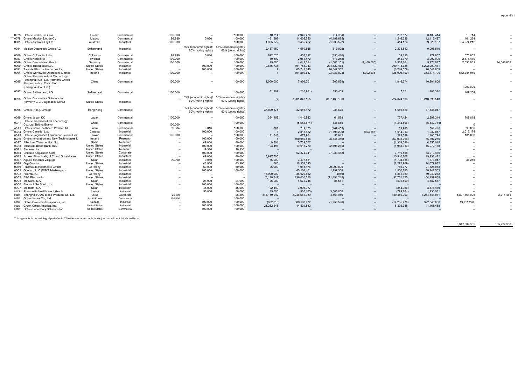| 0075 Grifols Polska, Sp.z.o.o.                                                 | Poland               | Commercial | 100.000 |                                               | 100,000                                       | 10.714        | 2.946.476     | (14, 354)       |                          | 237.577                  | 3,180,414     | 10,714        |            |
|--------------------------------------------------------------------------------|----------------------|------------|---------|-----------------------------------------------|-----------------------------------------------|---------------|---------------|-----------------|--------------------------|--------------------------|---------------|---------------|------------|
| 0078 Grifols México.S.A. de CV                                                 | Mexico               | Commercial | 99.980  | 0.020                                         | 100.000                                       | 461,397       | 14,605,530    | (4, 199, 675)   | $\overline{\phantom{m}}$ | 1,246,235                | 12,113,487    | 461,224       |            |
| 0081 Grifols Australia Ptv Ltd                                                 | Australia            | Industrial | 100.000 |                                               | 100,000                                       | 1,695,072     | 9,455,492     | (1,938,522)     | $\sim$                   | 414,124                  | 9,626,167     | 34,974,212    |            |
| 0084 Medion Diagnostic Grifols AG                                              | Switzerland          | Industrial |         | 55% (economic rights)/                        | 55% (economic rights)/                        | 2.487.150     | 4.559.885     | (319, 028)      | $\overline{\phantom{a}}$ | 2,278,512                | 9.006.519     |               |            |
|                                                                                |                      |            |         | 60% (voting rights)                           | 60% (voting rights)                           |               |               |                 |                          |                          |               |               |            |
| 0086 Grifols Colombia, Ltda.                                                   | Colombia             | Commercial | 99.990  | 0.010                                         | 100,000                                       | 822.620       | 453.617       | (355, 440)      | $\overline{\phantom{a}}$ | 59.110                   | 979,907       | 575.032       |            |
| 0087 Grifols Nordic AB                                                         | Sweden               | Commercial | 100.000 |                                               | 100,000                                       | 10,392        | 2,951,472     | (113, 248)      | $\sim$                   | 244,379                  | 3,092,996     | 2,675,470     |            |
| 0089 Grifols Deutschland, GmbH                                                 | Germany              | Commercial | 100.000 | $\sim$                                        | 100.000                                       | 25,000        | 4,442,034     | (1,001,151)     | (4,400,000)              | 6,908,164                | 5,974,047     | 7,055,931     | 14,048,802 |
| 0090 Grifols Therapeutic LLC.                                                  | <b>United States</b> | Industrial | -       | 100.000                                       | 100.000                                       | (2,885,734)   | 791,753,943   | 204,322,474     |                          | 209,718,788              | 1,202,909,471 |               |            |
| 0091 Talecris Plasma Resources Inc.                                            | <b>United States</b> | Industrial | $\sim$  | 100.000                                       | 100,000                                       |               | 65,743,140    | 10,547,302      |                          | (6, 248, 579)            | 70,041,869    |               |            |
| 0094 Grifols Worldwide Operations Limited<br>Grifols Pharmaceutical Technology | Ireland              | Industrial | 100.000 |                                               | 100.000                                       |               | 391,889,687   | (23,987,904)    | 11,302,205               | (26,029,190)             | 353,174,799   | 512,244,040   |            |
| (Shanghai) Co., Ltd. (formerly Grifols<br>0095<br>Pharmaceutical Consulting    | China                | Commercial | 100,000 | $\sim$                                        | 100,000                                       | 1.000.000     | 7,856,301     | (500, 869)      | $\overline{\phantom{a}}$ | 1,846,374                | 10.201.806    |               |            |
| (Shanghai) Co., Ltd.)                                                          |                      |            |         |                                               |                                               |               |               |                 |                          |                          |               | 1,000,000     |            |
| 0097 Grifols Switzerland, AG                                                   | Switzerland          | Commercial | 100.000 |                                               | 100,000                                       | 81,189        | (235, 931)    | 350,409         | $\overline{\phantom{a}}$ | 7,654                    | 203,320       | 169,208       |            |
| 0096 Grifols Diagnostics Solutions Inc<br>(formerly G-C Diagnostics Corp.)     | <b>United States</b> | Industrial |         | 55% (economic rights)/<br>60% (voting rights) | 55% (economic rights)/<br>60% (voting rights) | (7)           | 3,201,843,155 | (207, 469, 106) | $\overline{\phantom{a}}$ | 224,024,506              | 3,218,398,548 |               |            |
|                                                                                |                      |            |         | 55% (economic rights)/                        | 55% (economic rights)/                        |               |               |                 |                          |                          |               |               |            |
| 0098 Grifols (H.K.), Limited                                                   | Hong Kong            | Commercial |         | 60% (voting rights)                           | 60% (voting rights)                           | 37,899,374    | 32,646,172    | 931,675         | $\sim$                   | 5,656,826                | 77,134,047    |               |            |
| 0099 Grifols Japan KK                                                          | Japan                | Commercial | 100.000 |                                               | 100,000                                       | 354,409       | 1.440.932     | 64,578          | $\overline{\phantom{a}}$ | 737,424                  | 2,597,344     | 708,818       |            |
| Grifols Pharmaceutical Technology<br>00A1<br>Co., Ltd. Beijing Branch          | China                | Commercial | 100.000 | $\sim$                                        | 100.000                                       | $\sim$        | (5,552,574)   | 338,665         | $\sim$                   | (1,318,806)              | (6, 532, 714) | $\Omega$      |            |
| 00A2 Grifols India Healthcare Private Ltd                                      | India                | Commercial | 99.984  | 0.016                                         | 100,000                                       | 1,688         | 719,173       | (169, 405)      | $\sim$                   | 29,983                   | 581,440       | 599,086       |            |
| 00A4 Grifols Canadá, Ltd.                                                      | Canada               | Industrial |         | 100.000                                       | 100.000                                       |               | 2,318,882     | (1,398,200)     | (603, 585)               | 1,614,913                | 1,932,017     | 2,016,174     |            |
| 00A5 Grifols Diagnostics Equipment Taiwan Limit                                | Taiwan               | Commercial | 100.000 | $\overline{\phantom{a}}$                      | 100,000                                       | 181.343       | 677.951       | 53,912          |                          | 272.588                  | 1,185,794     | 181.060       |            |
| 00A6 Grifols Innovation and New Technologies Li                                | Ireland              | Research   |         | 100,000                                       | 100.000                                       |               | 100,950,416   | (8,344,356)     |                          | (57,008,796)             | 35,597,265    |               |            |
| 00A7 AlbaJuna Therapeutics, S.L                                                | Spain                | Research   |         | 49.000                                        | 49.000                                        | 9,804         | 5,709,307     |                 |                          | (1,369,096)              | 4,350,015     |               |            |
| 00A8 Interstate Blood Bank, Inc.                                               | <b>United States</b> | Industrial |         | 100.000                                       | 100,000                                       | 103,496       | 19,618,270    | (2,696,285)     |                          | (1,953,313)              | 15,072,168    |               |            |
| 00B1 Singulex, Inc.                                                            | <b>United States</b> | Research   | $\sim$  | 19.330                                        | 19.330                                        |               |               |                 | $\sim$                   |                          |               |               |            |
| 00B4 Chiquito Acquisition Corp.                                                | <b>United States</b> | Corporate  |         | 100.000                                       | 100.000                                       | $\mathbf{0}$  | 52,374,341    | (7,083,462)     | $\qquad \qquad \cdots$   | 7,719,558                | 53,010,436    | $\sim$        |            |
| 00B5 Access Biologicals, LLC. and Subsidiaries.                                | <b>United States</b> | Industrial |         | 49.000                                        | 49,000                                        | 3,997,705     |               |                 |                          | 15,940,768               | 19,938,472    |               |            |
| 00B7 Aigües Minerals Vilajuïga                                                 | Spain                | Industrial | 99.990  | 0.010                                         | 100.000                                       | 75,000        | 3,407,581     |                 |                          | (1,708,634)              | 1,773,947     | 38,255        |            |
| 00B8 GigaGen Inc.                                                              | <b>United States</b> | Industrial |         | 43.960                                        | 43.960                                        | 866           | 16.952.025    |                 |                          | (2,272,909)              | 14,679,982    |               |            |
| 00B9 Plasmavita Healthcare GmbH                                                | Germany              | Industrial |         | 50.000                                        | 50.000                                        | 25,000        | 1.043.176     | 20.000.000      | $\overline{\phantom{a}}$ | 756,777                  | 21,824,953    |               |            |
| 00C1 Goetech LLC (D/B/A Medkeeper)                                             | <b>United States</b> | Industrial |         | 100.000                                       | 100.000                                       |               | 45,104,461    | 1.237.308       | $\overline{\phantom{a}}$ | 1.900.793                | 48,242,563    |               |            |
| 00C2 Haema AG                                                                  | Germany              | Industrial |         | $\sim$                                        | $\sim$                                        | 15,000,000    | 38,079,862    | (989)           |                          | 6,861,389                | 59,940,262    |               |            |
| 00C3 BPC Plasma, Inc.                                                          | <b>United States</b> | Industrial |         | $\sim$                                        | $\sim$                                        | (3, 130, 842) | 136.030.530   | (11, 491, 245)  | $\sim$                   | 32,751,195               | 154,159,638   |               |            |
| 00C5 Mecwins, S.A.                                                             | Spain                | Industrial |         | 24.990                                        | 24.990                                        | 126,000       | 4,672,745     | 85,581          |                          | (501, 809)               | 4,382,517     |               |            |
| 00C6 Biomat USA South, Inc.                                                    | <b>United States</b> | Industrial | $\sim$  | 100.000                                       | 100,000                                       | $\sim$        |               |                 | $\overline{\phantom{a}}$ | $\overline{\phantom{a}}$ |               |               |            |
| 00C7 Medcom, S.A.                                                              | Spain                | Research   |         | 45.000                                        | 45,000                                        | 122,449       | 3.996.977     |                 |                          | (244, 986)               | 3,874,439     |               |            |
| 00C8 Plasmavita Healthcare II GmbH                                             | Austria              | Industrial |         | 50,000                                        | 50,000                                        | 35,000        | (305, 105)    | 3,000,000       | $\overline{\phantom{a}}$ | (799.864)                | 1,930,031     |               |            |
| 00D1 Shanghai RAAS Blood Products Co. Ltd.                                     | China                | Corporate  | 26.200  |                                               | 26,200                                        | 844.139.042   | 2,246,681,939 | 4.561.950       |                          | 139.459.000              | 3,234,841,931 | 1.807.351.026 | 2,214,461  |
| 00D2 Grifols Korea Co., Ltd                                                    | South Korea          | Commercial | 100.000 |                                               | 100,000                                       |               |               |                 |                          |                          |               |               |            |
| 00D4 Green Cross Biotherapeutics, Inc.                                         | Canada               | Industrial |         | 100.000                                       | 100.000                                       | (982, 816)    | 389,190,972   | (1,956,596)     | $\sim$                   | (14, 205, 479)           | 372,046,080   | 19,711,278    |            |
| 00D5 Green Cross America, Inc.                                                 | <b>United States</b> | Industrial |         | 100.000                                       | 100.000                                       | 21,252,248    | 14,521,832    |                 |                          | 5,392,388                | 41,166,468    |               |            |
| 00D8 Grifols Laboratory Solutions Inc.                                         | <b>United States</b> | Commercial |         | 100,000                                       | 100,000                                       |               |               |                 | $\sim$                   |                          |               |               |            |
|                                                                                |                      |            |         |                                               |                                               |               |               |                 |                          |                          |               |               |            |

This appendix forms an integral part of note 12 to the annual accounts, in conjunction with which it should be re

3,947,509,365 165,227,338

Appendix I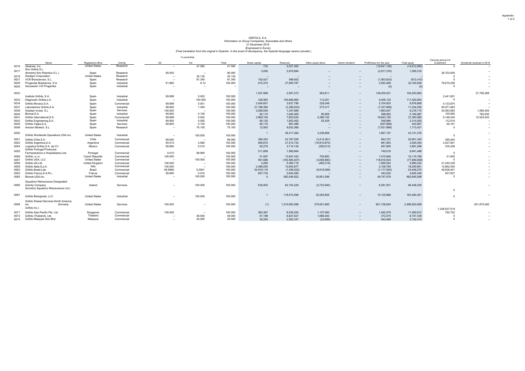#### (Free translation from the original in Spanish. In the event of discrepancy, the Spanish-language version prevails.) GRIFOLS, S.A. Information on Group Companies, Associates and others 31 December 2019 (Expressed in Euros)

|      |                                                                   |                       |            |                          | % ownership |         |               |                 |                    |                  |                                           |                |                                  |                            |
|------|-------------------------------------------------------------------|-----------------------|------------|--------------------------|-------------|---------|---------------|-----------------|--------------------|------------------|-------------------------------------------|----------------|----------------------------------|----------------------------|
|      | Name                                                              | Registered office     | Activity   | Dir                      | Ind         | Total   | Share capital | Reserves        | Other equity items | Interim dividend | Profit/(loss) for the year                | Total equity   | Carrying amount of<br>investment | Dividends received in 2019 |
| 0016 | Alkahest, Inc.                                                    | <b>United States</b>  | Research   |                          | 47.580      | 47.580  | 732           | 5.027.483       |                    |                  | (19, 841, 106)                            | (14, 812, 890) |                                  |                            |
|      | Kiro Grifols S.L.                                                 |                       |            |                          |             |         |               | 3,979,894       |                    |                  | (2,917,376)                               |                |                                  |                            |
| 0017 | (formerly Kiro Robotics S.L.)                                     | Spain                 | Research   | 90.000                   | -           | 90.000  | 3,000         |                 | $\sim$             | $\sim$           |                                           | 1,065,518      | 36,703,050                       |                            |
| 0019 | Aradiam Corporation                                               | <b>United States</b>  | Research   | $\overline{\phantom{a}}$ | 35.130      | 35.130  | $\sim$        | -               | -                  | $\sim$           | $\sim$                                    |                |                                  |                            |
| 0021 | VCN Biosciences, S.L.                                             | Spain                 | Research   | $\sim$                   | 81,340      | 81.340  | 152.421       | 599.002         | -                  | $\sim$           | (1,563,833)                               | (812, 410)     | $\Omega$                         |                            |
| 0029 | Progenika Biopharma, S.A.                                         | Spain                 | Industrial | 91.880                   | 8.12        | 100.000 | 615,374       | 27,955,787      | -                  | $\sim$           | 3,593,469                                 | 32, 164, 629   | 79,619,256                       |                            |
| 0030 | Asociación I+D Progenika                                          | Spain                 | Industrial |                          | ×.          |         | $\sim$        |                 | -                  | $\sim$           | (0)                                       | (0)            | $\Omega$                         |                            |
| 0032 |                                                                   |                       |            |                          |             |         | 1,537,989     | 2,507,272       | 903,611            | $\sim$           | 149,255,021                               | 154,203,893    |                                  | 27,790,268                 |
|      | Instituto Grifols, S.A.                                           | Spain                 | Industrial | 99.998                   | 0.002       | 100.000 |               |                 |                    |                  |                                           |                | 2,441,601                        |                            |
| 0033 | Diagnostic Grifols.s.A                                            | Spain                 | Industrial | ٠.                       | 100.000     | 100.000 | 336,560       | 105.666.860     | 112,251            | $\sim$           | 5,405,132                                 | 111,520,803    |                                  |                            |
| 0034 | Grifols Movaco.S.A.                                               | Spain                 | Commercial | 99.999                   | 0.001       | 100.000 | 2,404,601     | 3,637,786       | 229,348            | $\sim$           | 2,704,933                                 | 8,976,668      | 4,133,974                        |                            |
| 0037 | Laboratorios Grifols.S.A.                                         | Spain                 | Industrial | 98,600                   | 1.400       | 100.000 | 21.798.360    | (3.399.523)     | 273,317            |                  | (7, 337, 899)<br>$\overline{\phantom{a}}$ | 11.334.255     | 83,071,683                       |                            |
| 0039 | Gripdan Invest, S.L.                                              | Spain                 | Services   | 100,000                  | ×.          | 100.000 | 3.006.000     | 1.347.668       | ٠.                 |                  | 1,863,047<br>$\sim$                       | 6.216.715      | 24.583.993                       | 1.590.454                  |
| 0040 | Biomat.S.A.                                                       | Spain                 | Industrial | 99.900                   | 0.100       | 100.000 | 60.110        | 1.640.405       | 95,909             |                  | 398,563                                   | 2.194.987      | 155,950                          | 760,635                    |
| 0041 | Grifols International, S.A.                                       | Spain                 | Commercial | 99.998                   | 0.002       | 100,000 | 2,860,154     | 7.603.630       | 2,286,152          |                  | 18,643,150                                | 31,393,085     | 5,146,245                        | 12,524,543                 |
| 0042 | Grifols Engineering, S.A.                                         | Spain                 | Industrial | 99.950                   | 0.050       | 100.000 | 60,120        | 1.653.402       | 52.429             | $\sim$           | 548,984                                   | 2,314,935      | 112,519                          |                            |
| 0045 | Grifols Viaies.S.A.                                               | Spain                 | Services   | 99.900                   | 0.100       | 100.000 | 60.110        | 891.486         |                    |                  | (507, 689)                                | 443,907        | 60,161                           |                            |
| 0048 | Araclon Biotech, S.L.                                             | Spain                 | Research   | $\sim$                   | 75.100      | 75.100  | 12.063        | 9,633,366       | -                  |                  | (7,931,998)<br>$\overline{\phantom{a}}$   | 1,713,431      |                                  |                            |
| 0050 | Grifols Worldwide Operations USA Inc.                             | <b>United States</b>  | Industrial | -                        | 100.000     | 100.000 | -1            | 38,217,260      | 3,236,858          | $\sim$           | 1,667,157                                 | 43,121,276     | $\Omega$                         |                            |
| 0051 | Grifols Chile, S.A.                                               | Chile                 | Commercial | 99.000                   | -           | 99.000  | 385,453       | 22,787,526      | (3,214,361)        | $\sim$           | 842,727                                   | 20,801,345     | 385,454                          |                            |
| 0052 | Grifols Argentina, S.A.                                           | Argentina             | Commercial | 95.010                   | 4.990       | 100.000 | 955,675       | 21,513,734      | (19, 915, 870)     |                  | 991,953                                   | 3,545,493      | 3,527,851                        |                            |
| 0054 | Logística Grifols.S.A. de CV<br><b>Grifols Portugal Productos</b> | Mexico                | Commercial | 99.990                   | 0.010       | 100.000 | 92.279        | 3,714,130       | (293, 013)         |                  | 467,900<br>$\overline{\phantom{a}}$       | 3,981,296      | 235,258                          |                            |
| 0055 | Farmacéutiocs e Hospitalares.Lda.                                 | Portugal              | Commercial | 0.010                    | 99.990      | 100.000 | 511,806       | 7,580,664       | ъ.                 | $\sim$           | 749,018                                   | 8,841,488      |                                  |                            |
| 0056 | Grifols, s.r.o.                                                   | Czech Republic        | Commercial | 100,000                  | ×.          | 100,000 | 51,597        | 13,847,432      | 705,893            |                  | 1,510,846                                 | 16,115,768     | 51,600                           |                            |
| 0057 | Grifols USA, LLC                                                  | <b>United States</b>  | Commercial | $\overline{\phantom{a}}$ | 100.000     | 100.000 | 561,686       | (193, 565, 407) | (3,606,890)        |                  | 118,916,003                               | (77,694,608    |                                  |                            |
| 0058 | Grifols UK.Ltd.                                                   | <b>United Kinadom</b> | Commercial | 100,000                  | ×.          | 100.000 | 4,285         | 5,360,716       | (465, 319)         |                  | 1,090,542                                 | 5,990,224      | 21,245,329                       |                            |
| 0059 | Grifols Italia.S.p.A.                                             | Italy                 | Commercial | 100,000                  | ×.          | 100,000 | 2,496,000     | 13,644,877      |                    | $\sim$           | 2,109,784                                 | 18,250,661     | 12.862.540                       |                            |
| 0062 | Grifols Brasil.Lda.                                               | Brazil                | Commercial | 99.9996                  | 0.0001      | 100.000 | 54.919.116    | (1,436,202)     | (8,916,099)        |                  | (1, 117, 545)                             | 43.449.270     | 49,838,401                       |                            |
| 0063 | Grifols France, S.A.R.L.                                          | France                | Commercial | 99.990                   | 0.010       | 100.000 | 657,734       | 2,644,095       |                    | $\sim$           | 343,420                                   | 3,645,249      | 657,657                          |                            |
| 0065 | Biomat USA.Inc.                                                   | <b>United States</b>  | Industrial |                          | 100.000     | 100.000 | $\sqrt{ }$    | 582,046,922     | 30,851,598         | $\sim$           | 49,747,079                                | 662,645,598    |                                  |                            |
|      | Squadron Reinsurance Designated                                   |                       |            |                          |             |         |               |                 |                    |                  |                                           |                |                                  |                            |
| 0066 | <b>Activity Company</b>                                           | Ireland               | Services   | $\sim$                   | 100.000     | 100.000 | 635,000       | 62,154,229      | (2,732,940)        | $\sim$           | 8,391,931                                 | 68,448,220     |                                  | $\sim$                     |
|      | (formerly Squadron Reinsurance Ltd.)                              |                       |            |                          |             |         |               |                 |                    |                  |                                           |                | $\Omega$                         |                            |
| 0067 | Grifols Biologicals, LLC.                                         | <b>United States</b>  | Industrial | $\sim$                   | 100,000     | 100.000 |               | 118.074.596     | 30.283.806         |                  | 15,125,888<br>$\overline{\phantom{a}}$    | 163,484,291    | $\Omega$                         |                            |
|      | Grifols Shared Services North America                             |                       |            |                          |             |         |               |                 |                    |                  |                                           |                |                                  |                            |
| 0068 | (formerly<br>Inc.                                                 | <b>United States</b>  | Services   | 100.000                  |             | 100.000 | (1)           | 1,519,563,096   | 375,651,965        | $\sim$           | 601,738,640                               | 2,496,953,699  |                                  | 831,875,062                |
|      | Grifols Inc.)                                                     |                       |            |                          |             |         |               |                 |                    |                  |                                           |                | 1,208,937,518                    |                            |
| 0071 | Grifols Asia Pacific Pte. Ltd.                                    | Singapore             | Commercial | 100.000                  | ×.          | 100.000 | 362.387       | 8.539.254       | 1.107.092          |                  | 1,492,079<br>$\sim$                       | 11.500.812     | 792,702                          |                            |
| 0072 | Grifols (Thailand), Ltd                                           | Thailand              | Commercial |                          | 48.000      | 48.000  | 61,198        | 6,627,627       | 1,686,440          |                  | 372,075                                   | 8,747,339      |                                  |                            |
| 0074 | Grifols Malaysia Sdn Bhd                                          | Malaysia              | Commercial |                          | 30,000      | 30.000  | 30,283        | 2,552,337       | (23, 699)          | $\sim$           | 543,495                                   | 3,102,415      |                                  |                            |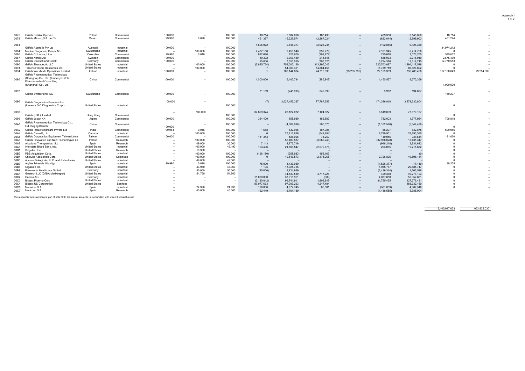| $-0075$ | Grifols Polska, Sp.z.o.o.                                  | Poland                        | Commercial | 100.000 | $\sim$  | 100.000 | 10,714        | 2,507,096     | 188,430       | $\sim$                   | 439,380       | 3,145,620     | 10,714      |                          |
|---------|------------------------------------------------------------|-------------------------------|------------|---------|---------|---------|---------------|---------------|---------------|--------------------------|---------------|---------------|-------------|--------------------------|
| 0078    | Grifols México.S.A. de CV                                  | Mexico                        | Commercial | 99.980  | 0.020   | 100.000 | 461.397       | 15,227,574    | (2, 267, 024) | $\overline{\phantom{a}}$ | (622, 044)    | 12,799,903    | 461,224     | $\sim$                   |
|         |                                                            |                               |            |         |         |         |               |               |               |                          |               |               |             |                          |
| 0081    |                                                            |                               |            |         |         |         | 1,695,072     | 9,648,377     | (2,026,234)   | $\sim$                   | (192, 885)    | 9,124,330     |             | $\sim$                   |
|         | Grifols Australia Pty Ltd                                  | Australia                     | Industrial | 100.000 |         | 100.000 |               |               |               |                          |               |               | 34,974,212  |                          |
| 0084    | Medion Diagnostic Grifols AG                               | Switzerland                   | Industrial |         | 100.000 | 100.000 | 2,487,150     | 2,458,540     | (332, 279)    | $\sim$                   | 2,101,345     | 6,714,756     |             | $\overline{\phantom{a}}$ |
| 0086    | Grifols Colombia, Ltda.                                    | Colombia                      | Commercial | 99.990  | 0.010   | 100.000 | 822,620       | 228,600       | (202, 472)    | $\sim$                   | 225,018       | 1.073.765     | 575,032     |                          |
| 0087    | Grifols Nordic AB                                          | Sweden                        | Commercial | 100.000 |         | 100.000 | 10,392        | 2.363.439     | (245, 845)    | $\sim$                   | 588,033       | 2,716,019     | 2,675,470   |                          |
| 0089    | Grifols Deutschland, GmbH                                  | Germany                       | Commercial | 100.000 |         | 100.000 | 25,000        | 7.356.520     | (796, 621)    |                          | 6,734,316     | 13.319.215    | 12,770,553  |                          |
| 0090    | Grifols Therapeutic LLC.                                   | <b>United States</b>          | Industrial |         | 100,000 | 100.000 | (2,885,734)   | 758.005.120   | 313,295,046   | $\sim$                   | 225.703.087   | 1,294,117,518 |             |                          |
| 0091    | Talecris Plasma Resources Inc.                             | <b>United States</b>          | Industrial |         | 100.000 | 100.000 |               | 54,003,421    | 14,884,456    |                          | 11,739,719    | 80,627,602    |             |                          |
| 0094    | Grifols Worldwide Operations Limited                       | Ireland                       | Industrial | 100,000 |         | 100.000 |               | 762.144.884   | 24,715,036    | (73, 235, 795)           | 22,159,369    | 735,783,496   | 812,190,649 | 79,284,069               |
|         | Grifols Pharmaceutical Technology                          |                               |            |         |         |         |               |               |               |                          |               |               |             |                          |
|         | (Shanghai) Co., Ltd. (formerly Grifols                     |                               |            |         |         |         |               |               |               |                          |               |               |             |                          |
| 0095    | <b>Pharmaceutical Consulting</b>                           | China                         | Commercial | 100.000 | $\sim$  | 100.000 | 1,000,000     | 6,405,734     | (285, 942)    | $\sim$                   | 1,450,567     | 8,570,359     |             |                          |
|         |                                                            |                               |            |         |         |         |               |               |               |                          |               |               | 1,000,000   |                          |
|         | (Shanghai) Co., Ltd.)                                      |                               |            |         |         |         |               |               |               |                          |               |               |             |                          |
| 0097    |                                                            |                               |            |         |         |         | 81,189        | (245, 913)    | 349,399       | -                        | 9,982         | 194,657       |             | $\sim$                   |
|         | Grifols Switzerland, AG                                    | Switzerland                   | Commercial | 100,000 | $\sim$  | 100.000 |               |               |               |                          |               |               | 169,207     |                          |
|         |                                                            |                               |            |         |         |         |               |               |               |                          |               |               |             |                          |
|         |                                                            |                               |            |         |         |         |               |               |               |                          |               |               |             |                          |
| 0096    | Grifols Diagnostics Solutions Inc.                         |                               |            | 100.000 | -       |         | (7)           | 3,027,456,337 | 77,787,656    | $\sim$                   | 174,386,818   | 3,279,630,804 |             |                          |
|         | (formerly G-C Diagnostics Corp.)                           | <b>United States</b>          | Industrial |         |         | 100.000 |               |               |               |                          |               |               |             |                          |
|         |                                                            |                               |            |         |         |         |               |               |               |                          |               |               |             |                          |
| 0098    |                                                            |                               |            | $\sim$  | 100.000 |         | 37,899,374    | 26,127,072    | 7,124,622     | $\sim$                   | 6,519,099     | 77,670,167    |             | $\overline{\phantom{a}}$ |
|         | Grifols (H.K.), Limited                                    | Hong Kong                     | Commercial |         |         | 100.000 |               |               |               |                          |               |               |             |                          |
| 0099    | Grifols Japan KK                                           | Japan                         | Commercial | 100.000 | -       | 100.000 | 354,409       | 658,930       | 182,582       | $\sim$                   | 782,003       | 1,977,924     | 708,818     | $\sim$                   |
|         | Grifols Pharmaceutical Technology Co.,                     |                               |            |         |         |         |               |               |               |                          |               |               |             |                          |
| 00A1    | Ltd. Beijing Branch                                        | China                         | Commercial | 100.000 |         | 100.000 | $\sim$        | (4,389,998)   | 205,075       | $\sim$                   | (1, 162, 576) | (5,347,499)   |             | $\sim$                   |
| 00A2    | Grifols India Healthcare Private Ltd                       | India                         | Commercial | 99.984  | 0.016   | 100.000 | 1,688         | 632,966       | (87,986)      | $\sim$                   | 86,207        | 632,875       | 599,086     |                          |
| 00A4    | Grifols Canadá, Ltd.                                       | Canada                        | Industrial |         | 100.000 | 100.000 |               | 26,211,626    | (642, 204)    | $\sim$                   | 2,720,951     | 28,290,380    |             | $\sim$                   |
| 00A5    | Grifols Diagnostics Equipment Taiwan Limite                | Taiwan                        | Commercial | 100,000 |         | 100.000 | 181.343       | 528,906       | 78,250        | -                        | 149,045       | 937,544       | 181,060     |                          |
| 00A6    | Grifols Innovation and New Technologies Lir                | Ireland                       | Research   |         | 100.000 | 100.000 |               | 52,480,587    | (3,089,243)   |                          | (32,956,028)  | 16,435,317    |             |                          |
|         |                                                            |                               |            |         | 49.000  | 30,000  |               | 4,772,716     |               | $\sim$                   |               |               |             | $\overline{\phantom{a}}$ |
| 00A7    | AlbaJuna Therapeutics, S.L.<br>Interstate Blood Bank, Inc. | Spain<br><b>United States</b> | Research   |         | 100.000 |         | 7.143         |               |               | $\sim$                   | (948, 248)    | 3,831,612     |             |                          |
| 00A8    |                                                            |                               | Industrial |         |         | 49.190  | 103,496       | 21,668,847    | (2,279,776)   | $\sim$                   | 223,085       | 19,715,652    |             |                          |
| 00B1    | Singulex, Inc.                                             | <b>United States</b>          | Research   |         | 19.330  | -       |               |               |               | $\sim$                   | $\sim$        |               |             |                          |
| 00B2    | PBS Acquisition Corp.                                      | <b>United States</b>          | Industrial |         | 100.000 | 100.000 | (196, 180)    | (258, 983)    | 455,163       | $\sim$                   | $\sim$        |               |             |                          |
| 00B4    | Chiquito Acquisition Corp.                                 | <b>United States</b>          | Corporate  |         | 100,000 | 100.000 | $\Omega$      | 49,643,573    | (2,474,265)   | $\sim$                   | 2,726,825     | 49,896,134    |             |                          |
| 00B5    | Access Biologicals, LLC. and Subsidiaries.                 | <b>United States</b>          | Industrial |         | 49.000  | 49.000  |               |               |               | $\sim$                   |               |               |             |                          |
| 00B7    | Aigües Minerals Vilajuïga                                  | Spain                         | Industrial | 99.990  | 0.010   | 100.000 | 75,000        | 1,433,959     |               | $\sim$                   | (1,526,377)   | (17, 419)     | 38,255      |                          |
| 00B8    | GigaGen Inc.                                               | <b>United States</b>          | Industrial |         | 43.960  | 43.960  | 1.195         | 18.924.755    |               | $\sim$                   | 1,955,767     | 20,881,717    |             |                          |
| 00B9    | Plasmavita Healthcare GmbH                                 | Germany                       | Industrial |         | 50,000  | 50.000  | (25,000)      | 3.724.939     |               | $\sim$                   | (2,436,344)   | 1,263,596     |             |                          |
| 00C1    | Goetech LLC (D/B/A Medkeeper)                              | <b>United States</b>          | Industrial |         | 54.760  | 54.760  |               | 44,130,530    | 4,717,226     | $\sim$                   | 429,368       | 49,277,123    |             |                          |
| 00C2    | Haema AG                                                   | Germany                       | Industrial |         |         |         | 15,000,000    | 33.015.951    | (989)         | -                        | 4,037,888     | 52.052.851    |             |                          |
| 00C3    | Biotest Pharma Corp                                        | <b>United States</b>          | Industrial |         |         | $\sim$  | (3, 130, 842) | 96.741.911    | 1,909,947     | $\sim$                   | 31,755,465    | 127,276,481   |             |                          |
| 00C4    | <b>Biotest US Corporation</b>                              | <b>United States</b>          | Services   |         |         | -       | 87,077,673    | 97.007.293    | 4,247,484     |                          | $\sim$        | 188,332,450   |             |                          |
| 00C5    | Mecwins, S.A.                                              | Spain                         | Industrial |         | 24.990  | 24.990  | 126,000       | 4,672,745     | 85,581        | -                        | (501, 809)    | 4,382,516     |             | $\sim$                   |
| 00C7    | Medcom, S.A.                                               | Spain                         | Research   |         | 45.000  | 45.000  | 122,449       | 6,704.139     |               |                          | (1.438.585)   | 5.388.004     |             |                          |

This appendix forms an integral part of note 12 to the annual accounts, in conjunction with which it should be read

2,400,917,023 953,825,030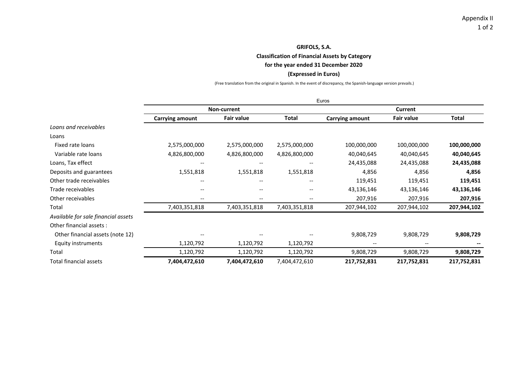**Classification of Financial Assets by Category**

**for the year ended 31 December 2020**

### **(Expressed in Euros)**

(Free translation from the original in Spanish. In the event of discrepancy, the Spanish‐language version prevails.)

|                                     |                                       |                          |               | Euros           |                   |              |
|-------------------------------------|---------------------------------------|--------------------------|---------------|-----------------|-------------------|--------------|
|                                     |                                       | <b>Non-current</b>       |               |                 | Current           |              |
|                                     | <b>Carrying amount</b>                | <b>Fair value</b>        | Total         | Carrying amount | <b>Fair value</b> | <b>Total</b> |
| Loans and receivables               |                                       |                          |               |                 |                   |              |
| Loans                               |                                       |                          |               |                 |                   |              |
| Fixed rate loans                    | 2,575,000,000                         | 2,575,000,000            | 2,575,000,000 | 100,000,000     | 100,000,000       | 100,000,000  |
| Variable rate loans                 | 4,826,800,000                         | 4,826,800,000            | 4,826,800,000 | 40,040,645      | 40,040,645        | 40,040,645   |
| Loans, Tax effect                   |                                       |                          |               | 24,435,088      | 24,435,088        | 24,435,088   |
| Deposits and guarantees             | 1,551,818                             | 1,551,818                | 1,551,818     | 4,856           | 4,856             | 4,856        |
| Other trade receivables             | $\hspace{0.05cm}$ – $\hspace{0.05cm}$ | $\overline{\phantom{m}}$ | $- -$         | 119,451         | 119,451           | 119,451      |
| Trade receivables                   | $\overline{\phantom{a}}$              | $\overline{\phantom{m}}$ | --            | 43,136,146      | 43,136,146        | 43,136,146   |
| Other receivables                   | $\overline{\phantom{a}}$              | $\overline{\phantom{m}}$ | $- -$         | 207,916         | 207,916           | 207,916      |
| Total                               | 7,403,351,818                         | 7,403,351,818            | 7,403,351,818 | 207,944,102     | 207,944,102       | 207,944,102  |
| Available for sale financial assets |                                       |                          |               |                 |                   |              |
| Other financial assets :            |                                       |                          |               |                 |                   |              |
| Other financial assets (note 12)    |                                       |                          |               | 9,808,729       | 9,808,729         | 9,808,729    |
| Equity instruments                  | 1,120,792                             | 1,120,792                | 1,120,792     |                 |                   |              |
| Total                               | 1,120,792                             | 1,120,792                | 1,120,792     | 9,808,729       | 9,808,729         | 9,808,729    |
| Total financial assets              | 7,404,472,610                         | 7,404,472,610            | 7,404,472,610 | 217,752,831     | 217,752,831       | 217,752,831  |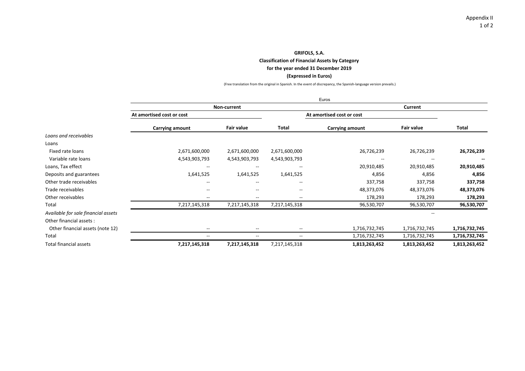**Classification of Financial Assets by Category**

#### **for the year ended 31 December 2019**

### **(Expressed in Euros)**

(Free translation from the original in Spanish. In the event of discrepancy, the Spanish‐language version prevails.)

|                                     |                           |                          |                          | Euros                     |                   |               |
|-------------------------------------|---------------------------|--------------------------|--------------------------|---------------------------|-------------------|---------------|
|                                     |                           | Non-current              |                          |                           |                   |               |
|                                     | At amortised cost or cost |                          |                          | At amortised cost or cost |                   |               |
|                                     | Carrying amount           | <b>Fair value</b>        | Total                    | Carrying amount           | <b>Fair value</b> | <b>Total</b>  |
| Loans and receivables               |                           |                          |                          |                           |                   |               |
| Loans                               |                           |                          |                          |                           |                   |               |
| Fixed rate loans                    | 2,671,600,000             | 2,671,600,000            | 2,671,600,000            | 26,726,239                | 26,726,239        | 26,726,239    |
| Variable rate loans                 | 4,543,903,793             | 4,543,903,793            | 4,543,903,793            | --                        | --                |               |
| Loans, Tax effect                   | $\qquad \qquad -$         | $- -$                    | --                       | 20,910,485                | 20,910,485        | 20,910,485    |
| Deposits and guarantees             | 1,641,525                 | 1,641,525                | 1,641,525                | 4,856                     | 4,856             | 4,856         |
| Other trade receivables             | --                        | $- -$                    | $\overline{\phantom{a}}$ | 337,758                   | 337,758           | 337,758       |
| Trade receivables                   | $\overline{\phantom{a}}$  | $- -$                    | $\overline{\phantom{a}}$ | 48,373,076                | 48,373,076        | 48,373,076    |
| Other receivables                   | $\overline{\phantom{a}}$  | $- -$                    | $\overline{\phantom{a}}$ | 178,293                   | 178,293           | 178,293       |
| Total                               | 7,217,145,318             | 7,217,145,318            | 7,217,145,318            | 96,530,707                | 96,530,707        | 96,530,707    |
| Available for sale financial assets |                           |                          |                          |                           |                   |               |
| Other financial assets:             |                           |                          |                          |                           |                   |               |
| Other financial assets (note 12)    | $\overline{\phantom{a}}$  | $- -$                    | $\sim$                   | 1,716,732,745             | 1,716,732,745     | 1,716,732,745 |
| Total                               | $\overline{\phantom{a}}$  | $\overline{\phantom{a}}$ | $\overline{\phantom{a}}$ | 1,716,732,745             | 1,716,732,745     | 1,716,732,745 |
| Total financial assets              | 7,217,145,318             | 7,217,145,318            | 7,217,145,318            | 1,813,263,452             | 1,813,263,452     | 1,813,263,452 |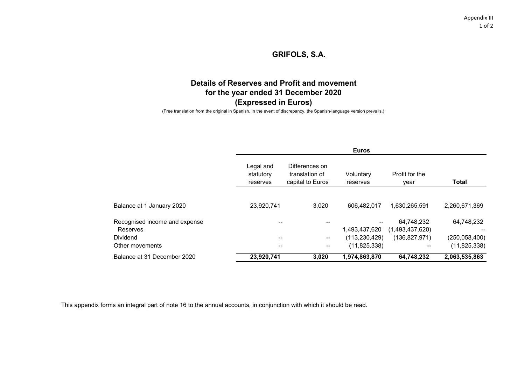# **Details of Reserves and Profit and movementfor the year ended 31 December 2020 (Expressed in Euros)**

(Free translation from the original in Spanish. In the event of discrepancy, the Spanish-language version prevails.)

|                               |                                    | <b>Euros</b>                                         |                       |                        |                 |  |  |  |  |  |
|-------------------------------|------------------------------------|------------------------------------------------------|-----------------------|------------------------|-----------------|--|--|--|--|--|
|                               | Legal and<br>statutory<br>reserves | Differences on<br>translation of<br>capital to Euros | Voluntary<br>reserves | Profit for the<br>year | <b>Total</b>    |  |  |  |  |  |
| Balance at 1 January 2020     | 23,920,741                         | 3,020                                                | 606,482,017           | 1,630,265,591          | 2,260,671,369   |  |  |  |  |  |
| Recognised income and expense | --                                 |                                                      | --                    | 64,748,232             | 64,748,232      |  |  |  |  |  |
| Reserves                      |                                    |                                                      | 1,493,437,620         | (1,493,437,620)        |                 |  |  |  |  |  |
| Dividend                      | --                                 | --                                                   | (113, 230, 429)       | (136, 827, 971)        | (250, 058, 400) |  |  |  |  |  |
| Other movements               | --                                 | --                                                   | (11, 825, 338)        |                        | (11, 825, 338)  |  |  |  |  |  |
| Balance at 31 December 2020   | 23,920,741                         | 3,020                                                | 1,974,863,870         | 64,748,232             | 2,063,535,863   |  |  |  |  |  |

This appendix forms an integral part of note 16 to the annual accounts, in conjunction with which it should be read.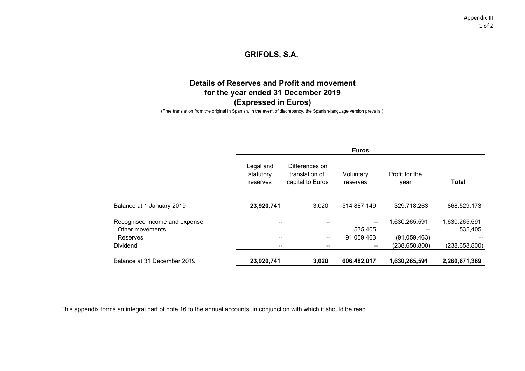# **Details of Reserves and Profit and movementfor the year ended 31 December 2019 (Expressed in Euros)**

(Free translation from the original in Spanish. In the event of discrepancy, the Spanish-language version prevails.)

| <b>Euros</b>                       |                                                      |                          |                        |                 |  |  |  |  |
|------------------------------------|------------------------------------------------------|--------------------------|------------------------|-----------------|--|--|--|--|
| Legal and<br>statutory<br>reserves | Differences on<br>translation of<br>capital to Euros | Voluntary<br>reserves    | Profit for the<br>year | <b>Total</b>    |  |  |  |  |
|                                    |                                                      |                          |                        |                 |  |  |  |  |
| 23,920,741                         | 3,020                                                | 514,887,149              | 329,718,263            | 868,529,173     |  |  |  |  |
| --                                 |                                                      | $\sim$                   | 1,630,265,591          | 1,630,265,591   |  |  |  |  |
|                                    |                                                      | 535,405                  |                        | 535,405         |  |  |  |  |
| --                                 | --                                                   | 91,059,463               | (91,059,463)           |                 |  |  |  |  |
|                                    |                                                      | $\overline{\phantom{a}}$ | (238, 658, 800)        | (238, 658, 800) |  |  |  |  |
| 23,920,741                         | 3,020                                                | 606,482,017              | 1,630,265,591          | 2,260,671,369   |  |  |  |  |
|                                    |                                                      |                          |                        |                 |  |  |  |  |

This appendix forms an integral part of note 16 to the annual accounts, in conjunction with which it should be read.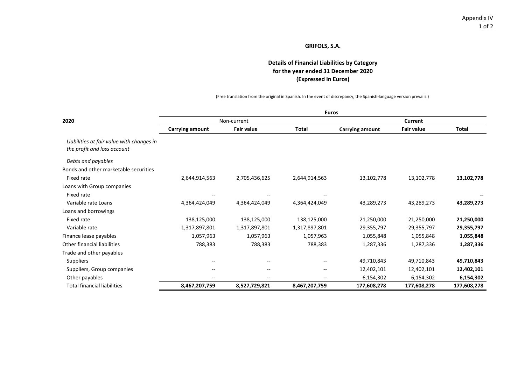### **Details of Financial Liabilities by Category for the year ended 31 December 2020 (Expressed in Euros)**

(Free translation from the original in Spanish. In the event of discrepancy, the Spanish‐language version prevails.)

|                                                                          | <b>Euros</b>             |                   |                          |                        |                   |              |  |  |  |  |  |
|--------------------------------------------------------------------------|--------------------------|-------------------|--------------------------|------------------------|-------------------|--------------|--|--|--|--|--|
| 2020                                                                     |                          | Non-current       |                          |                        | <b>Current</b>    |              |  |  |  |  |  |
|                                                                          | <b>Carrying amount</b>   | <b>Fair value</b> | <b>Total</b>             | <b>Carrying amount</b> | <b>Fair value</b> | <b>Total</b> |  |  |  |  |  |
| Liabilities at fair value with changes in<br>the profit and loss account |                          |                   |                          |                        |                   |              |  |  |  |  |  |
| Debts and payables                                                       |                          |                   |                          |                        |                   |              |  |  |  |  |  |
| Bonds and other marketable securities                                    |                          |                   |                          |                        |                   |              |  |  |  |  |  |
| Fixed rate                                                               | 2,644,914,563            | 2,705,436,625     | 2,644,914,563            | 13,102,778             | 13,102,778        | 13,102,778   |  |  |  |  |  |
| Loans with Group companies                                               |                          |                   |                          |                        |                   |              |  |  |  |  |  |
| Fixed rate                                                               |                          |                   |                          |                        |                   |              |  |  |  |  |  |
| Variable rate Loans                                                      | 4,364,424,049            | 4,364,424,049     | 4,364,424,049            | 43,289,273             | 43,289,273        | 43,289,273   |  |  |  |  |  |
| Loans and borrowings                                                     |                          |                   |                          |                        |                   |              |  |  |  |  |  |
| Fixed rate                                                               | 138,125,000              | 138,125,000       | 138,125,000              | 21,250,000             | 21,250,000        | 21,250,000   |  |  |  |  |  |
| Variable rate                                                            | 1,317,897,801            | 1,317,897,801     | 1,317,897,801            | 29,355,797             | 29,355,797        | 29,355,797   |  |  |  |  |  |
| Finance lease payables                                                   | 1,057,963                | 1,057,963         | 1,057,963                | 1,055,848              | 1,055,848         | 1,055,848    |  |  |  |  |  |
| Other financial liabilities                                              | 788,383                  | 788,383           | 788,383                  | 1,287,336              | 1,287,336         | 1,287,336    |  |  |  |  |  |
| Trade and other payables                                                 |                          |                   |                          |                        |                   |              |  |  |  |  |  |
| Suppliers                                                                | $\overline{\phantom{a}}$ | --                |                          | 49,710,843             | 49,710,843        | 49,710,843   |  |  |  |  |  |
| Suppliers, Group companies                                               | $\overline{\phantom{a}}$ | --                | $\overline{\phantom{a}}$ | 12,402,101             | 12,402,101        | 12,402,101   |  |  |  |  |  |
| Other payables                                                           | $- -$                    | --                | $\overline{\phantom{a}}$ | 6,154,302              | 6,154,302         | 6,154,302    |  |  |  |  |  |
| <b>Total financial liabilities</b>                                       | 8,467,207,759            | 8,527,729,821     | 8,467,207,759            | 177,608,278            | 177,608,278       | 177,608,278  |  |  |  |  |  |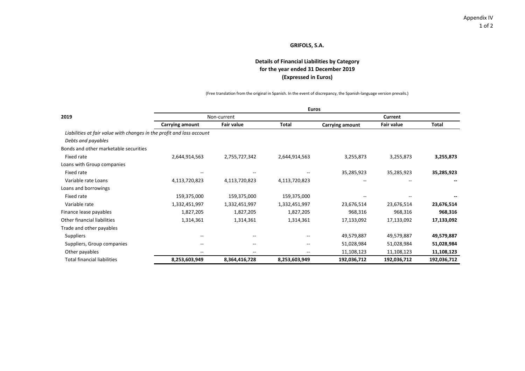### **(Expressed in Euros) for the year ended 31 December 2019 Details of Financial Liabilities by Category**

(Free translation from the original in Spanish. In the event of discrepancy, the Spanish‐language version prevails.)

|                                                                       | <b>Euros</b>             |                   |               |                 |                   |             |  |  |  |  |  |
|-----------------------------------------------------------------------|--------------------------|-------------------|---------------|-----------------|-------------------|-------------|--|--|--|--|--|
| 2019                                                                  |                          | Non-current       |               | Current         |                   |             |  |  |  |  |  |
|                                                                       | Carrying amount          | <b>Fair value</b> | <b>Total</b>  | Carrying amount | <b>Fair value</b> | Total       |  |  |  |  |  |
| Liabilities at fair value with changes in the profit and loss account |                          |                   |               |                 |                   |             |  |  |  |  |  |
| Debts and payables                                                    |                          |                   |               |                 |                   |             |  |  |  |  |  |
| Bonds and other marketable securities                                 |                          |                   |               |                 |                   |             |  |  |  |  |  |
| Fixed rate                                                            | 2,644,914,563            | 2,755,727,342     | 2,644,914,563 | 3,255,873       | 3,255,873         | 3,255,873   |  |  |  |  |  |
| Loans with Group companies                                            |                          |                   |               |                 |                   |             |  |  |  |  |  |
| Fixed rate                                                            |                          |                   |               | 35,285,923      | 35,285,923        | 35,285,923  |  |  |  |  |  |
| Variable rate Loans                                                   | 4,113,720,823            | 4,113,720,823     | 4,113,720,823 | $- -$           |                   |             |  |  |  |  |  |
| Loans and borrowings                                                  |                          |                   |               |                 |                   |             |  |  |  |  |  |
| Fixed rate                                                            | 159,375,000              | 159,375,000       | 159,375,000   |                 |                   |             |  |  |  |  |  |
| Variable rate                                                         | 1,332,451,997            | 1,332,451,997     | 1,332,451,997 | 23,676,514      | 23,676,514        | 23,676,514  |  |  |  |  |  |
| Finance lease payables                                                | 1,827,205                | 1,827,205         | 1,827,205     | 968,316         | 968,316           | 968,316     |  |  |  |  |  |
| Other financial liabilities                                           | 1,314,361                | 1,314,361         | 1,314,361     | 17,133,092      | 17,133,092        | 17,133,092  |  |  |  |  |  |
| Trade and other payables                                              |                          |                   |               |                 |                   |             |  |  |  |  |  |
| Suppliers                                                             |                          |                   |               | 49,579,887      | 49,579,887        | 49,579,887  |  |  |  |  |  |
| Suppliers, Group companies                                            | $\overline{\phantom{m}}$ | --                | --            | 51,028,984      | 51,028,984        | 51,028,984  |  |  |  |  |  |
| Other payables                                                        | $- -$                    | $-$               | --            | 11,108,123      | 11,108,123        | 11,108,123  |  |  |  |  |  |
| <b>Total financial liabilities</b>                                    | 8,253,603,949            | 8,364,416,728     | 8,253,603,949 | 192,036,712     | 192,036,712       | 192,036,712 |  |  |  |  |  |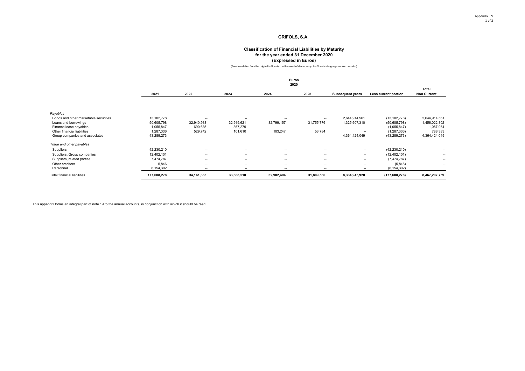#### **Classification of Financial Liabilities by Maturity for the year ended 31 December 2020 (Expressed in Euros)**

(Free translation from the original in Spanish. In the event of discrepancy, the Spanish-language version prevails.)

|                                       | Euros       |                          |                          |                          |                          |                          |                      |                    |  |  |  |  |
|---------------------------------------|-------------|--------------------------|--------------------------|--------------------------|--------------------------|--------------------------|----------------------|--------------------|--|--|--|--|
|                                       |             |                          |                          | 2020                     |                          |                          |                      |                    |  |  |  |  |
|                                       |             |                          |                          |                          |                          |                          |                      | Total              |  |  |  |  |
|                                       | 2021        | 2022                     | 2023                     | 2024                     | 2025                     | <b>Subsequent years</b>  | Less current portion | <b>Non Current</b> |  |  |  |  |
|                                       |             |                          |                          |                          |                          |                          |                      |                    |  |  |  |  |
|                                       |             |                          |                          |                          |                          |                          |                      |                    |  |  |  |  |
| Payables                              |             |                          |                          |                          |                          |                          |                      |                    |  |  |  |  |
| Bonds and other marketable securities | 13,102,778  | --                       | $\overline{\phantom{a}}$ | --                       | --                       | 2,644,914,561            | (13, 102, 778)       | 2,644,914,561      |  |  |  |  |
| Loans and borrowings                  | 50,605,798  | 32,940,938               | 32,919,621               | 32,799,157               | 31,755,776               | 1,325,607,310            | (50,605,798)         | 1,456,022,802      |  |  |  |  |
| Finance lease payables                | 1,055,847   | 690,685                  | 367,279                  | --                       | $\overline{\phantom{a}}$ | --                       | (1,055,847)          | 1,057,964          |  |  |  |  |
| Other financial liabilities           | 1,287,336   | 529,742                  | 101,610                  | 103,247                  | 53,784                   | --                       | (1, 287, 336)        | 788,383            |  |  |  |  |
| Group companies and associates        | 43,289,273  | --                       | --                       | $\overline{\phantom{a}}$ | $- -$                    | 4,364,424,049            | (43, 289, 273)       | 4,364,424,049      |  |  |  |  |
| Trade and other payables              |             |                          |                          |                          |                          |                          |                      |                    |  |  |  |  |
| Suppliers                             | 42,230,210  | $\hspace{0.05cm}$        | $\sim$                   | --                       | $-$                      | $\sim$                   | (42, 230, 210)       | $-$                |  |  |  |  |
| Suppliers, Group companies            | 12,402,101  | $\hspace{0.05cm}$        | $\sim$                   | --                       | $-$                      | $\sim$                   | (12, 402, 101)       | $-$                |  |  |  |  |
| Suppliers, related parties            | 7,474,787   | $\overline{\phantom{a}}$ | $\overline{\phantom{a}}$ | $\overline{\phantom{a}}$ | $- -$                    | $\sim$                   | (7, 474, 787)        | $- -$              |  |  |  |  |
| Other creditors                       | 5,846       | $\hspace{0.05cm}$        | $\sim$                   | $\overline{\phantom{a}}$ | --                       | $\overline{\phantom{a}}$ | (5,846)              | $-$                |  |  |  |  |
| Personnel                             | 6,154,302   | --                       | $\overline{\phantom{a}}$ | $\overline{\phantom{a}}$ | --                       | $\overline{\phantom{a}}$ | (6, 154, 302)        |                    |  |  |  |  |
| <b>Total financial liabilities</b>    | 177,608,278 | 34,161,365               | 33,388,510               | 32,902,404               | 31,809,560               | 8,334,945,920            | (177, 608, 278)      | 8,467,207,759      |  |  |  |  |

This appendix forms an integral part of note 19 to the annual accounts, in conjunction with which it should be read.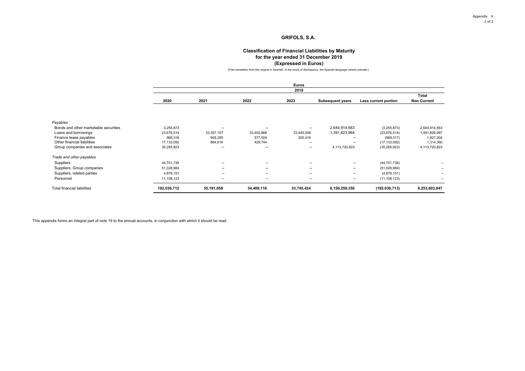#### **Classification of Financial Liabilities by Maturity for the year ended 31 December 2019 (Expressed in Euros)**

(Free translation from the original in Spanish. In the event of discrepancy, the Spanish-language version prevails.)

|      |      |      | <b>Euros</b> |                         |                      |                    |
|------|------|------|--------------|-------------------------|----------------------|--------------------|
|      |      |      | 2019         |                         |                      |                    |
|      |      |      |              |                         |                      | <b>Total</b>       |
| 2020 | 2021 | 2022 | 2023         | <b>Subsequent years</b> | Less current portion | <b>Non Current</b> |

| Payables                              |             |                          |            |                          |                          |                 |                          |
|---------------------------------------|-------------|--------------------------|------------|--------------------------|--------------------------|-----------------|--------------------------|
| Bonds and other marketable securities | 3.255.873   | $\overline{\phantom{a}}$ | --         | $\sim$                   | 2.644.914.563            | (3,255,873)     | 2.644.914.563            |
| Loans and borrowings                  | 23.676.514  | 33, 357, 157             | 33.400.868 | 33.445.008               | 1.391.623.964            | (23, 676, 514)  | 1,491,826,997            |
| Finance lease payables                | 968,316     | 949.285                  | 577.504    | 300.416                  | $\sim$                   | (968, 317)      | 1.827.204                |
| Other financial liabilities           | 17,133,092  | 884.616                  | 429.744    | --                       | $\overline{\phantom{a}}$ | (17, 133, 092)  | 1,314,360                |
| Group companies and associates        | 35,285,923  | $\overline{\phantom{a}}$ | --         | --                       | 4.113.720.823            | (35, 285, 923)  | 4,113,720,823            |
| Trade and other payables              |             |                          |            |                          |                          |                 |                          |
| Suppliers                             | 44.701.736  | $\overline{\phantom{a}}$ | --         | $-$                      | $\overline{\phantom{a}}$ | (44, 701, 736)  |                          |
| Suppliers, Group companies            | 51.028.984  | $\overline{\phantom{a}}$ | --         | $-$                      | $\overline{\phantom{a}}$ | (51,028,984)    | --                       |
| Suppliers, related parties            | 4.878.151   | $\overline{\phantom{a}}$ | --         | $\overline{\phantom{a}}$ | $\overline{\phantom{a}}$ | (4,878,151)     | $\overline{\phantom{a}}$ |
| Personnel                             | 11.108.123  | $\overline{\phantom{a}}$ | --         | $\overline{\phantom{a}}$ | $\overline{\phantom{a}}$ | (11, 108, 123)  |                          |
| Total financial liabilities           | 192,036,712 | 35.191.058               | 34,408,116 | 33.745.424               | 8.150.259.350            | (192, 036, 713) | 8,253,603,947            |

This appendix forms an integral part of note 19 to the annual accounts, in conjunction with which it should be read.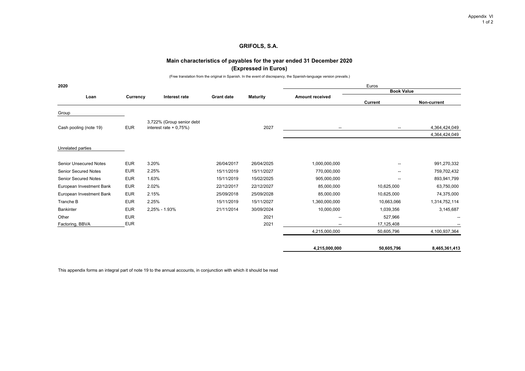## **Main characteristics of payables for the year ended 31 December 2020 (Expressed in Euros)**

(Free translation from the original in Spanish. In the event of discrepancy, the Spanish-language version prevails.)

| 2020                          |            |                                                     |                   |                 |                          | Euros                    |               |
|-------------------------------|------------|-----------------------------------------------------|-------------------|-----------------|--------------------------|--------------------------|---------------|
| Loan                          | Currency   | Interest rate                                       | <b>Grant date</b> | <b>Maturity</b> | <b>Amount received</b>   | <b>Book Value</b>        |               |
|                               |            |                                                     |                   |                 |                          | <b>Current</b>           | Non-current   |
| Group                         |            |                                                     |                   |                 |                          |                          |               |
| Cash pooling (note 19)        | <b>EUR</b> | 3,722% (Group senior debt<br>interest rate $+0.75%$ |                   | 2027            |                          | $\overline{\phantom{a}}$ | 4,364,424,049 |
|                               |            |                                                     |                   |                 | $\overline{\phantom{a}}$ |                          | 4,364,424,049 |
| Unrelated parties             |            |                                                     |                   |                 |                          |                          |               |
|                               |            |                                                     |                   |                 |                          |                          |               |
| <b>Senior Unsecured Notes</b> | <b>EUR</b> | 3.20%                                               | 26/04/2017        | 26/04/2025      | 1,000,000,000            | $\overline{\phantom{a}}$ | 991,270,332   |
| <b>Senior Secured Notes</b>   | <b>EUR</b> | 2.25%                                               | 15/11/2019        | 15/11/2027      | 770,000,000              | $\overline{\phantom{a}}$ | 759,702,432   |
| <b>Senior Secured Notes</b>   | <b>EUR</b> | 1.63%                                               | 15/11/2019        | 15/02/2025      | 905,000,000              | $\overline{\phantom{a}}$ | 893,941,799   |
| European Investment Bank      | <b>EUR</b> | 2.02%                                               | 22/12/2017        | 22/12/2027      | 85,000,000               | 10,625,000               | 63,750,000    |
| European Investment Bank      | <b>EUR</b> | 2.15%                                               | 25/09/2018        | 25/09/2028      | 85,000,000               | 10,625,000               | 74,375,000    |
| Tranche B                     | <b>EUR</b> | 2.25%                                               | 15/11/2019        | 15/11/2027      | 1,360,000,000            | 10,663,066               | 1,314,752,114 |
| Bankinter                     | <b>EUR</b> | 2,25% - 1.93%                                       | 21/11/2014        | 30/09/2024      | 10,000,000               | 1,039,356                | 3,145,687     |
| Other                         | <b>EUR</b> |                                                     |                   | 2021            | $\overline{\phantom{a}}$ | 527,966                  |               |
| Factoring, BBVA               | <b>EUR</b> |                                                     |                   | 2021            | $\overline{\phantom{a}}$ | 17,125,408               |               |
|                               |            |                                                     |                   |                 | 4,215,000,000            | 50,605,796               | 4,100,937,364 |
|                               |            |                                                     |                   |                 | 4,215,000,000            | 50,605,796               | 8,465,361,413 |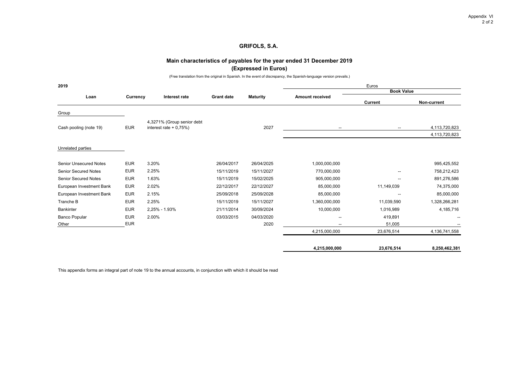## **Main characteristics of payables for the year ended 31 December 2019 (Expressed in Euros)**

(Free translation from the original in Spanish. In the event of discrepancy, the Spanish-language version prevails.)

| 2019                          |                             |                                                        |                   | Euros          |                          |                          |               |
|-------------------------------|-----------------------------|--------------------------------------------------------|-------------------|----------------|--------------------------|--------------------------|---------------|
| Loan                          |                             | Interest rate                                          | <b>Grant date</b> |                | <b>Amount received</b>   | <b>Book Value</b>        |               |
|                               | <b>Maturity</b><br>Currency |                                                        |                   | <b>Current</b> | Non-current              |                          |               |
| Group                         |                             |                                                        |                   |                |                          |                          |               |
| Cash pooling (note 19)        | <b>EUR</b>                  | 4,3271% (Group senior debt<br>interest rate $+0.75%$ ) |                   | 2027           | $\overline{\phantom{a}}$ | $\overline{\phantom{a}}$ | 4,113,720,823 |
|                               |                             |                                                        |                   |                |                          |                          | 4,113,720,823 |
| Unrelated parties             |                             |                                                        |                   |                |                          |                          |               |
| <b>Senior Unsecured Notes</b> | <b>EUR</b>                  | 3.20%                                                  | 26/04/2017        | 26/04/2025     | 1,000,000,000            |                          | 995,425,552   |
| <b>Senior Secured Notes</b>   | <b>EUR</b>                  | 2.25%                                                  | 15/11/2019        | 15/11/2027     | 770,000,000              | $\overline{\phantom{a}}$ | 758,212,423   |
| <b>Senior Secured Notes</b>   | <b>EUR</b>                  | 1.63%                                                  | 15/11/2019        | 15/02/2025     | 905,000,000              | $\overline{\phantom{a}}$ | 891,276,586   |
| European Investment Bank      | <b>EUR</b>                  | 2.02%                                                  | 22/12/2017        | 22/12/2027     | 85,000,000               | 11,149,039               | 74,375,000    |
| European Investment Bank      | <b>EUR</b>                  | 2.15%                                                  | 25/09/2018        | 25/09/2028     | 85,000,000               | $\overline{\phantom{a}}$ | 85,000,000    |
| Tranche B                     | <b>EUR</b>                  | 2.25%                                                  | 15/11/2019        | 15/11/2027     | 1,360,000,000            | 11,039,590               | 1,328,266,281 |
| <b>Bankinter</b>              | <b>EUR</b>                  | 2,25% - 1.93%                                          | 21/11/2014        | 30/09/2024     | 10,000,000               | 1,016,989                | 4,185,716     |
| <b>Banco Popular</b>          | <b>EUR</b>                  | 2.00%                                                  | 03/03/2015        | 04/03/2020     | $\overline{\phantom{a}}$ | 419,891                  |               |
| Other                         | <b>EUR</b>                  |                                                        |                   | 2020           | $\overline{\phantom{a}}$ | 51,005                   |               |
|                               |                             |                                                        |                   |                | 4,215,000,000            | 23,676,514               | 4,136,741,558 |
|                               |                             |                                                        |                   |                | 4,215,000,000            | 23,676,514               | 8,250,462,381 |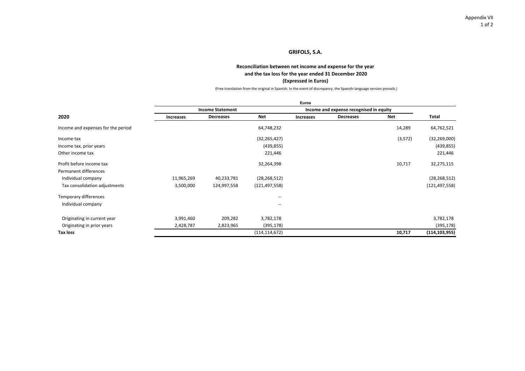### **Reconciliation between net income and expense for the year**

### **and the tax loss for the year ended 31 December 2020**

### **(Expressed in Euros)**

(Free translation from the original in Spanish. In the event of discrepancy, the Spanish‐language version prevails.)

|                                    |                  |                         |                 | <b>Euros</b>     |                                         |         |                 |
|------------------------------------|------------------|-------------------------|-----------------|------------------|-----------------------------------------|---------|-----------------|
|                                    |                  | <b>Income Statement</b> |                 |                  | Income and expense recognised in equity |         |                 |
| 2020                               | <b>Increases</b> | Decreases               | <b>Net</b>      | <b>Increases</b> | <b>Decreases</b>                        | Net     | Total           |
| Income and expenses for the period |                  |                         | 64,748,232      |                  |                                         | 14,289  | 64,762,521      |
| Income tax                         |                  |                         | (32, 265, 427)  |                  |                                         | (3,572) | (32, 269, 000)  |
| Income tax, prior years            |                  |                         | (439, 855)      |                  |                                         |         | (439, 855)      |
| Other income tax                   |                  |                         | 221,446         |                  |                                         |         | 221,446         |
| Profit before income tax           |                  |                         | 32,264,398      |                  |                                         | 10,717  | 32,275,115      |
| Permanent differences              |                  |                         |                 |                  |                                         |         |                 |
| Individual company                 | 11,965,269       | 40,233,781              | (28, 268, 512)  |                  |                                         |         | (28, 268, 512)  |
| Tax consolidation adjustments      | 3,500,000        | 124,997,558             | (121, 497, 558) |                  |                                         |         | (121, 497, 558) |
| Temporary differences              |                  |                         | --              |                  |                                         |         |                 |
| Individual company                 |                  |                         | --              |                  |                                         |         |                 |
| Originating in current year        | 3,991,460        | 209,282                 | 3,782,178       |                  |                                         |         | 3,782,178       |
| Originating in prior years         | 2,428,787        | 2,823,965               | (395, 178)      |                  |                                         |         | (395, 178)      |
| Tax loss                           |                  |                         | (114, 114, 672) |                  |                                         | 10,717  | (114, 103, 955) |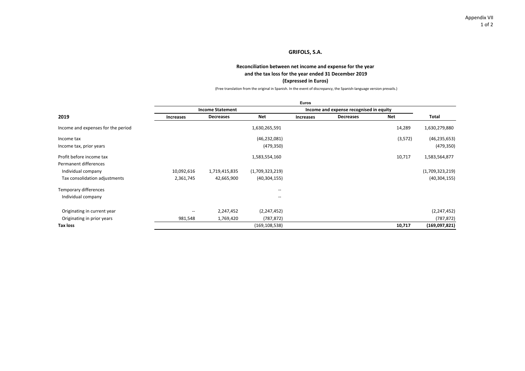### **Reconciliation between net income and expense for the year**

### **and the tax loss for the year ended 31 December 2019**

### **(Expressed in Euros)**

(Free translation from the original in Spanish. In the event of discrepancy, the Spanish‐language version prevails.)

|                                    |                          |                         |                 | <b>Euros</b> |                                         |          |                 |
|------------------------------------|--------------------------|-------------------------|-----------------|--------------|-----------------------------------------|----------|-----------------|
|                                    |                          | <b>Income Statement</b> |                 |              | Income and expense recognised in equity |          |                 |
| 2019                               | Increases                | <b>Decreases</b>        | Net             | Increases    | <b>Decreases</b>                        | Net      | Total           |
| Income and expenses for the period |                          |                         | 1,630,265,591   |              |                                         | 14,289   | 1,630,279,880   |
| Income tax                         |                          |                         | (46, 232, 081)  |              |                                         | (3, 572) | (46, 235, 653)  |
| Income tax, prior years            |                          |                         | (479, 350)      |              |                                         |          | (479, 350)      |
| Profit before income tax           |                          |                         | 1,583,554,160   |              |                                         | 10,717   | 1,583,564,877   |
| Permanent differences              |                          |                         |                 |              |                                         |          |                 |
| Individual company                 | 10,092,616               | 1,719,415,835           | (1,709,323,219) |              |                                         |          | (1,709,323,219) |
| Tax consolidation adjustments      | 2,361,745                | 42,665,900              | (40, 304, 155)  |              |                                         |          | (40, 304, 155)  |
| Temporary differences              |                          |                         | $-$             |              |                                         |          |                 |
| Individual company                 |                          |                         | $-$             |              |                                         |          |                 |
| Originating in current year        | $\overline{\phantom{a}}$ | 2,247,452               | (2, 247, 452)   |              |                                         |          | (2, 247, 452)   |
| Originating in prior years         | 981,548                  | 1,769,420               | (787,872)       |              |                                         |          | (787, 872)      |
| <b>Tax loss</b>                    |                          |                         | (169, 108, 538) |              |                                         | 10,717   | (169,097,821)   |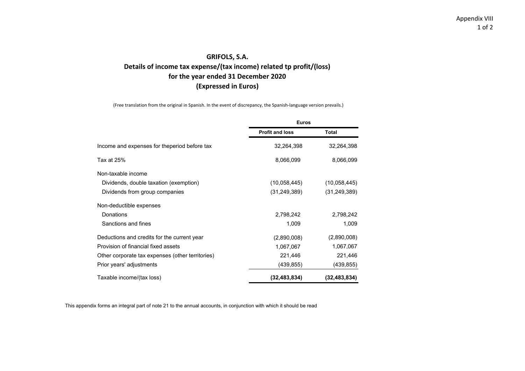# **GRIFOLS, S.A. Details of income tax expense/(tax income) related tp profit/(loss) for the year ended 31 December 2020 (Expressed in Euros)**

(Free translation from the original in Spanish. In the event of discrepancy, the Spanish‐language version prevails.)

|                                                  | <b>Euros</b>           |                |
|--------------------------------------------------|------------------------|----------------|
|                                                  | <b>Profit and loss</b> | Total          |
| Income and expenses for theperiod before tax     | 32,264,398             | 32,264,398     |
| Tax at 25%                                       | 8,066,099              | 8,066,099      |
| Non-taxable income                               |                        |                |
| Dividends, double taxation (exemption)           | (10,058,445)           | (10,058,445)   |
| Dividends from group companies                   | (31, 249, 389)         | (31, 249, 389) |
| Non-deductible expenses                          |                        |                |
| Donations                                        | 2,798,242              | 2,798,242      |
| Sanctions and fines                              | 1,009                  | 1,009          |
| Deductions and credits for the current year      | (2,890,008)            | (2,890,008)    |
| Provision of financial fixed assets              | 1,067,067              | 1,067,067      |
| Other corporate tax expenses (other territories) | 221,446                | 221,446        |
| Prior years' adjustments                         | (439, 855)             | (439, 855)     |
| Taxable income/(tax loss)                        | (32, 483, 834)         | (32, 483, 834) |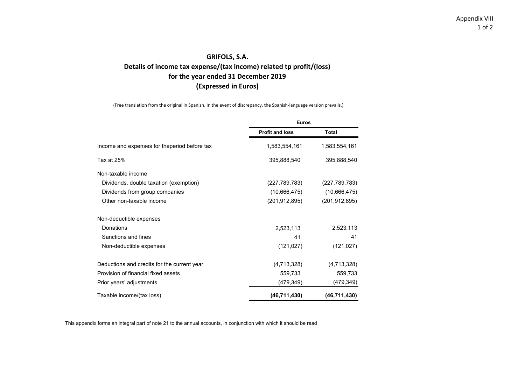# **GRIFOLS, S.A. Details of income tax expense/(tax income) related tp profit/(loss) for the year ended 31 December 2019 (Expressed in Euros)**

(Free translation from the original in Spanish. In the event of discrepancy, the Spanish‐language version prevails.)

|                                              | <b>Euros</b>           |                 |  |
|----------------------------------------------|------------------------|-----------------|--|
|                                              | <b>Profit and loss</b> | <b>Total</b>    |  |
| Income and expenses for theperiod before tax | 1,583,554,161          | 1,583,554,161   |  |
| Tax at 25%                                   | 395,888,540            | 395,888,540     |  |
| Non-taxable income                           |                        |                 |  |
| Dividends, double taxation (exemption)       | (227, 789, 783)        | (227, 789, 783) |  |
| Dividends from group companies               | (10,666,475)           | (10,666,475)    |  |
| Other non-taxable income                     | (201, 912, 895)        | (201, 912, 895) |  |
| Non-deductible expenses                      |                        |                 |  |
| Donations                                    | 2,523,113              | 2,523,113       |  |
| Sanctions and fines                          | 41                     | 41              |  |
| Non-deductible expenses                      | (121, 027)             | (121, 027)      |  |
| Deductions and credits for the current year  | (4,713,328)            | (4,713,328)     |  |
| Provision of financial fixed assets          | 559,733                | 559,733         |  |
| Prior years' adjustments                     | (479,349)              | (479,349)       |  |
| Taxable income/(tax loss)                    | (46, 711, 430)         | (46,711,430)    |  |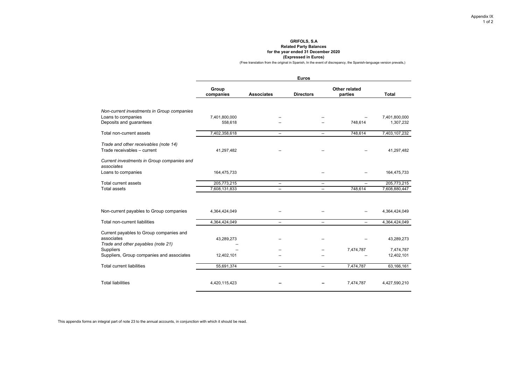### **GRIFOLS, S.A Related Party Balances for the year ended 31 December 2020 (Expressed in Euros)**

(Free translation from the original in Spanish, In the event of discrepancy, the Spanish-language version prevails,)

|                                                                                             | <b>Euros</b>                 |                                                      |                                                      |                           |                              |  |  |  |
|---------------------------------------------------------------------------------------------|------------------------------|------------------------------------------------------|------------------------------------------------------|---------------------------|------------------------------|--|--|--|
|                                                                                             | Group<br>companies           | <b>Associates</b>                                    | <b>Directors</b>                                     | Other related<br>parties  | <b>Total</b>                 |  |  |  |
| Non-current investments in Group companies                                                  |                              |                                                      |                                                      |                           |                              |  |  |  |
| Loans to companies<br>Deposits and guarantees                                               | 7,401,800,000<br>558,618     |                                                      |                                                      | 748,614                   | 7,401,800,000<br>1,307,232   |  |  |  |
| Total non-current assets                                                                    | 7,402,358,618                | $\overline{\phantom{a}}$                             | $\overline{\phantom{a}}$                             | 748,614                   | 7,403,107,232                |  |  |  |
| Trade and other receivables (note 14)<br>Trade receivables - current                        | 41,297,482                   |                                                      |                                                      |                           | 41,297,482                   |  |  |  |
| Current investments in Group companies and<br>associates                                    |                              |                                                      |                                                      |                           |                              |  |  |  |
| Loans to companies                                                                          | 164,475,733                  |                                                      |                                                      |                           | 164,475,733                  |  |  |  |
| Total current assets<br><b>Total assets</b>                                                 | 205,773,215<br>7,608,131,833 | $\overline{\phantom{a}}$<br>$\overline{\phantom{a}}$ | $\overline{\phantom{a}}$<br>$\overline{\phantom{a}}$ | $\overline{a}$<br>748,614 | 205,773,215<br>7,608,880,447 |  |  |  |
|                                                                                             |                              |                                                      |                                                      |                           |                              |  |  |  |
| Non-current payables to Group companies                                                     | 4,364,424,049                |                                                      |                                                      |                           | 4,364,424,049                |  |  |  |
| Total non-current liabilities                                                               | 4,364,424,049                | $\overline{a}$                                       | $\overline{\phantom{a}}$                             |                           | 4,364,424,049                |  |  |  |
| Current payables to Group companies and<br>associates<br>Trade and other payables (note 21) | 43,289,273                   | $\overline{a}$                                       |                                                      |                           | 43,289,273                   |  |  |  |
| <b>Suppliers</b><br>Suppliers, Group companies and associates                               | 12,402,101                   |                                                      | $\overline{\phantom{a}}$                             | 7,474,787                 | 7,474,787<br>12,402,101      |  |  |  |
| <b>Total current liabilities</b>                                                            | 55,691,374                   | $\overline{\phantom{a}}$                             | $\overline{\phantom{a}}$                             | 7,474,787                 | 63,166,161                   |  |  |  |
| <b>Total liabilities</b>                                                                    | 4,420,115,423                |                                                      |                                                      | 7,474,787                 | 4,427,590,210                |  |  |  |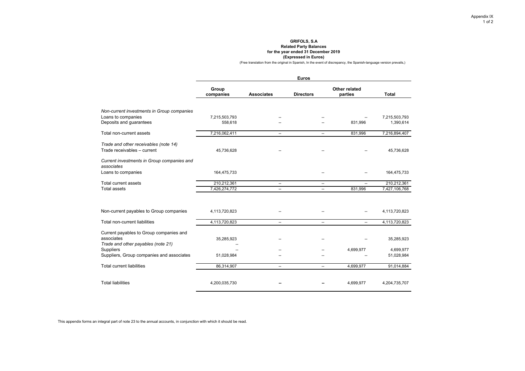### **GRIFOLS, S.A Related Party Balances for the year ended 31 December 2019 (Expressed in Euros)**

(Free translation from the original in Spanish, In the event of discrepancy, the Spanish-language version prevails,)

|                                                                                             |                              |                                                      | <b>Euros</b>             |                           |                              |
|---------------------------------------------------------------------------------------------|------------------------------|------------------------------------------------------|--------------------------|---------------------------|------------------------------|
|                                                                                             | Group<br>companies           | <b>Associates</b>                                    | <b>Directors</b>         | Other related<br>parties  | Total                        |
| Non-current investments in Group companies<br>Loans to companies<br>Deposits and guarantees | 7,215,503,793<br>558,618     |                                                      |                          | 831,996                   | 7,215,503,793<br>1,390,614   |
| Total non-current assets                                                                    | 7,216,062,411                | $\overline{\phantom{a}}$                             | $\overline{\phantom{a}}$ | 831,996                   | 7,216,894,407                |
| Trade and other receivables (note 14)<br>Trade receivables - current                        | 45,736,628                   |                                                      |                          |                           | 45,736,628                   |
| Current investments in Group companies and<br>associates<br>Loans to companies              | 164,475,733                  |                                                      |                          |                           | 164,475,733                  |
| Total current assets<br><b>Total assets</b>                                                 | 210,212,361<br>7,426,274,772 | $\overline{\phantom{a}}$<br>$\overline{\phantom{a}}$ | --<br>--                 | $\overline{a}$<br>831,996 | 210,212,361<br>7,427,106,768 |
|                                                                                             |                              |                                                      |                          |                           |                              |
| Non-current payables to Group companies                                                     | 4,113,720,823                |                                                      |                          |                           | 4,113,720,823                |
| Total non-current liabilities                                                               | 4,113,720,823                | $\overline{\phantom{a}}$                             | --                       | --                        | 4,113,720,823                |
| Current payables to Group companies and<br>associates<br>Trade and other payables (note 21) | 35,285,923                   |                                                      |                          |                           | 35,285,923                   |
| <b>Suppliers</b>                                                                            |                              |                                                      |                          | 4,699,977                 | 4,699,977                    |
| Suppliers, Group companies and associates                                                   | 51,028,984                   |                                                      |                          |                           | 51,028,984                   |
| <b>Total current liabilities</b>                                                            | 86,314,907                   | $\overline{\phantom{a}}$                             | $\overline{\phantom{a}}$ | 4,699,977                 | 91,014,884                   |
| <b>Total liabilities</b>                                                                    | 4,200,035,730                |                                                      |                          | 4,699,977                 | 4,204,735,707                |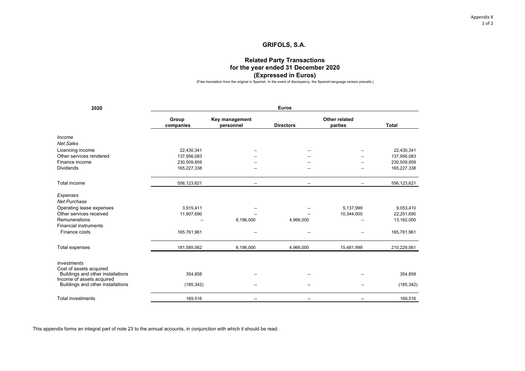Appendix X 1 of 2

# **GRIFOLS, S.A.**

# **Related Party Transactions for the year ended 31 December 2020 (Expressed in Euros)**

(Free translation from the original in Spanish. In the event of discrepancy, the Spanish-language version prevails.)

| 2020                                                                                      |                    |                             | <b>Euros</b>             |                          |              |
|-------------------------------------------------------------------------------------------|--------------------|-----------------------------|--------------------------|--------------------------|--------------|
|                                                                                           | Group<br>companies | Key management<br>personnel | <b>Directors</b>         | Other related<br>parties | <b>Total</b> |
| Income                                                                                    |                    |                             |                          |                          |              |
| <b>Net Sales</b>                                                                          |                    |                             |                          |                          |              |
| Licencing income                                                                          | 22,430,341         | --                          |                          | --                       | 22,430,341   |
| Other services rendered                                                                   | 137,956,083        |                             |                          |                          | 137,956,083  |
| Finance income                                                                            | 230,509,859        |                             |                          | --                       | 230,509,859  |
| <b>Dividends</b>                                                                          | 165,227,338        |                             |                          |                          | 165,227,338  |
| Total income                                                                              | 556,123,621        | $\overline{\phantom{a}}$    | $\overline{\phantom{a}}$ | $\overline{\phantom{a}}$ | 556,123,621  |
| Expenses<br><b>Net Purchase</b>                                                           |                    |                             |                          |                          |              |
| Operating lease expenses                                                                  | 3,915,411          |                             |                          | 5,137,999                | 9,053,410    |
| Other services received                                                                   | 11,907,690         |                             |                          | 10,344,000               | 22,251,690   |
| Remunerations                                                                             |                    | 8,196,000                   | 4,966,000                |                          | 13,162,000   |
| <b>Financial instruments</b>                                                              |                    |                             |                          |                          |              |
| Finance costs                                                                             | 165,761,961        |                             |                          |                          | 165,761,961  |
| Total expenses                                                                            | 181,585,062        | 8,196,000                   | 4,966,000                | 15,481,999               | 210,229,061  |
| <b>Investments</b>                                                                        |                    |                             |                          |                          |              |
| Cost of assets acquired<br>Buildings and other installations<br>Income of assets acquired | 354,858            |                             |                          |                          | 354,858      |
| Buildings and other installations                                                         | (185, 342)         |                             |                          |                          | (185, 342)   |
| <b>Total investments</b>                                                                  | 169,516            | --                          | $\overline{\phantom{a}}$ | --                       | 169,516      |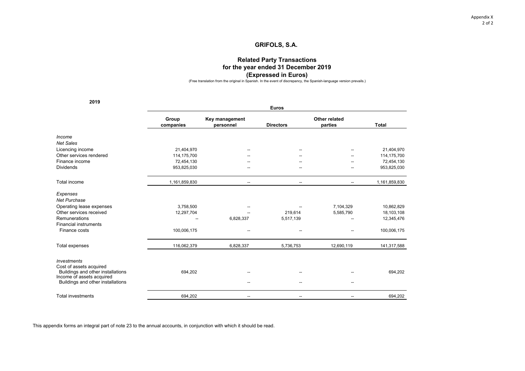Appendix X 2 of 2

## **GRIFOLS, S.A.**

## **Related Party Transactions for the year ended 31 December 2019 (Expressed in Euros)**

(Free translation from the original in Spanish. In the event of discrepancy, the Spanish-language version prevails.)

**2019**

|                                                                                           |                    |                             | <b>Euros</b>     |                          |               |
|-------------------------------------------------------------------------------------------|--------------------|-----------------------------|------------------|--------------------------|---------------|
|                                                                                           | Group<br>companies | Key management<br>personnel | <b>Directors</b> | Other related<br>parties | <b>Total</b>  |
| Income                                                                                    |                    |                             |                  |                          |               |
| Net Sales                                                                                 |                    |                             |                  |                          |               |
| Licencing income                                                                          | 21,404,970         |                             |                  |                          | 21,404,970    |
| Other services rendered                                                                   | 114,175,700        |                             |                  |                          | 114,175,700   |
| Finance income                                                                            | 72,454,130         |                             |                  |                          | 72,454,130    |
| <b>Dividends</b>                                                                          | 953,825,030        | --                          |                  | --                       | 953,825,030   |
| Total income                                                                              | 1,161,859,830      |                             |                  |                          | 1,161,859,830 |
| Expenses                                                                                  |                    |                             |                  |                          |               |
| Net Purchase                                                                              |                    |                             |                  |                          |               |
| Operating lease expenses                                                                  | 3,758,500          |                             |                  | 7,104,329                | 10,862,829    |
| Other services received                                                                   | 12,297,704         |                             | 219,614          | 5,585,790                | 18,103,108    |
| Remunerations                                                                             |                    | 6,828,337                   | 5,517,139        | --                       | 12,345,476    |
| <b>Financial instruments</b><br>Finance costs                                             | 100,006,175        | --                          |                  |                          | 100,006,175   |
| Total expenses                                                                            | 116,062,379        | 6,828,337                   | 5,736,753        | 12,690,119               | 141,317,588   |
| <b>Investments</b>                                                                        |                    |                             |                  |                          |               |
| Cost of assets acquired<br>Buildings and other installations<br>Income of assets acquired | 694,202            |                             |                  |                          | 694,202       |
| Buildings and other installations                                                         |                    |                             |                  | --                       |               |
| <b>Total investments</b>                                                                  | 694,202            | --                          |                  |                          | 694,202       |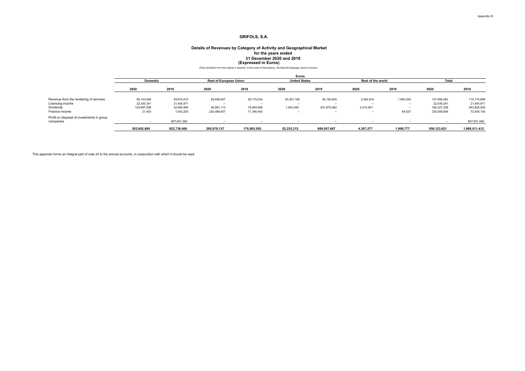### **31 December 2020 and 2019 Details of Revenues by Category of Activity and Geographical Market for the years ended** (Free translation from the original in Spanish. In the event of discrepancy, the Spanish-language version prevails.) **(Expressed in Euros)**

|                                                         |                 |             |                               |                          | Euros                |                          |                          |                          |             |               |
|---------------------------------------------------------|-----------------|-------------|-------------------------------|--------------------------|----------------------|--------------------------|--------------------------|--------------------------|-------------|---------------|
|                                                         | <b>Domestic</b> |             | <b>Rest of European Union</b> |                          | <b>United States</b> |                          | Rest of the world        |                          | Total       |               |
|                                                         | 2020            | 2019        | 2020                          | 2019                     | 2020                 | 2019                     | 2020                     | 2019                     | 2020        | 2019          |
| Revenue from the rendering of services                  | 56,153,594      | 49,972,810  | 29,408,567                    | 26,175,034               | 50,301,106           | 36,182,605               | 2,092,816                | 1,845,250                | 137,956,083 | 114, 175, 699 |
| Licencing income                                        | 22,430,341      | 21.404.971  |                               | $\overline{\phantom{a}}$ | $\sim$               | $\overline{\phantom{a}}$ | -                        | $\overline{\phantom{a}}$ | 22.430.341  | 21,404,971    |
| Dividends                                               | 124,997,558     | 42,665,900  | 36,081,113                    | 79,284,068               | 1,934,206            | 831,875,062              | 2,214,461                | $\sim$                   | 165,227,338 | 953,825,030   |
| Finance income                                          | 21,402          | 1,043,203   | 230,488,457                   | 71,346,400               | $\sim$               | $\sim$                   | $\sim$                   | 64,527                   | 230,509,859 | 72,454,130    |
| Profit on disposal of investments in group<br>companies | $\sim$          | 807,651,582 |                               | $\overline{\phantom{a}}$ | $\sim$               | $-$                      | $\overline{\phantom{a}}$ | $\sim$                   | $-$         | 807,651,582   |
|                                                         | 203,602,895     | 922,738,466 | 295.978.137                   | 176,805,502              | 52.235.312           | 868.057.667              | 4.307.277                | 1.909.777                | 556.123.621 | 1,969,511,412 |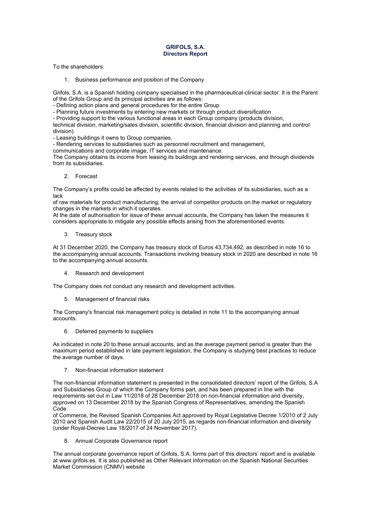### **GRIFOLS, S.A. Directors Report**

To the shareholders:

1. Business performance and position of the Company

Grifols, S.A. is a Spanish holding company specialised in the pharmaceutical-clinical sector. It is the Parent of the Grifols Group and its principal activities are as follows:

- Defining action plans and general procedures for the entire Group

- Planning future investments by entering new markets or through product diversification

- Providing support to the various functional areas in each Group company (products division,

technical division, marketing/sales division, scientific division, financial division and planning and control division)

- Leasing buildings it owns to Group companies.

- Rendering services to subsidiaries such as personnel recruitment and management,

communications and corporate image, IT services and maintenance.

The Company obtains its income from leasing its buildings and rendering services, and through dividends from its subsidiaries.

2. Forecast

The Company's profits could be affected by events related to the activities of its subsidiaries, such as a lack

of raw materials for product manufacturing, the arrival of competitor products on the market or regulatory changes in the markets in which it operates.

At the date of authorisation for issue of these annual accounts, the Company has taken the measures it considers appropriate to mitigate any possible effects arising from the aforementioned events.

3. Treasury stock

At 31 December 2020, the Company has treasury stock of Euros 43,734,492, as described in note 16 to the accompanying annual accounts. Transactions involving treasury stock in 2020 are described in note 16 to the accompanying annual accounts.

4. Research and development

The Company does not conduct any research and development activities.

5. Management of financial risks

The Company's financial risk management policy is detailed in note 11 to the accompanying annual accounts.

6. Deferred payments to suppliers

As indicated in note 20 to these annual accounts, and as the average payment period is greater than the maximum period established in late payment legislation, the Company is studying best practices to reduce the average number of days.

7. Non-financial information statement

The non-financial information statement is presented in the consolidated directors' report of the Grifols, S.A and Subsidiaries Group of which the Company forms part, and has been prepared in line with the requirements set out in Law 11/2018 of 28 December 2018 on non-financial information and diversity, approved on 13 December 2018 by the Spanish Congress of Representatives, amending the Spanish Code

of Commerce, the Revised Spanish Companies Act approved by Royal Legislative Decree 1/2010 of 2 July 2010 and Spanish Audit Law 22/2015 of 20 July 2015, as regards non-financial information and diversity (under Royal-Decree Law 18/2017 of 24 November 2017).

8. Annual Corporate Governance report

The annual corporate governance report of Grifols, S.A. forms part of this directors' report and is available at www.grifols.es. It is also published as Other Relevant Information on the Spanish National Securities Market Commission (CNMV) website